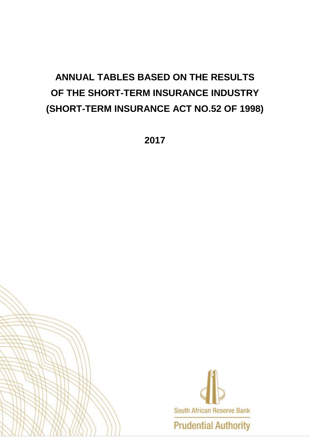# **ANNUAL TABLES BASED ON THE RESULTS OF THE SHORT-TERM INSURANCE INDUSTRY (SHORT-TERM INSURANCE ACT NO.52 OF 1998)**

**2017**



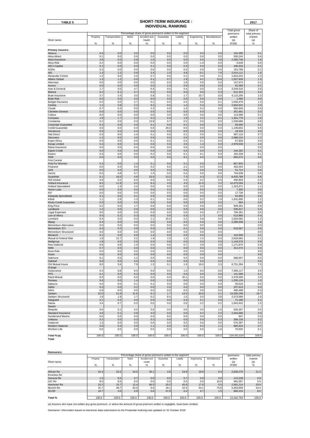### **TABLE 5 2017 SHORT-TERM INSURANCE : INDIVIDUAL RANKING**

|                                                |            |                |             |                                                                           |             |            |             |               | Total gross            | Share of                |
|------------------------------------------------|------------|----------------|-------------|---------------------------------------------------------------------------|-------------|------------|-------------|---------------|------------------------|-------------------------|
|                                                | Property   | Transportation | Motor       | Percentage share of gross premiums written in the segment<br>Accident and | Guarantee   | Liability  | Engineering | Miscellaneous | premiums<br>written    | total primary<br>market |
| Short name                                     |            |                |             | Health                                                                    |             |            |             |               | (a)                    | (a)                     |
|                                                | %          | $\%$           | %           | %                                                                         | %           | $\%$       | %           | %             | R'000                  | %                       |
|                                                |            |                |             |                                                                           |             |            |             |               |                        |                         |
| <b>Primary insurers:</b>                       |            |                |             |                                                                           |             |            |             |               |                        |                         |
| Abacus<br>Absa Idirect                         | 0.4<br>0.1 | 0.0<br>0.0     | 0.0<br>0.9  | 0.0<br>0.0                                                                | 0.0<br>0.0  | 0.0<br>0.0 | 0.0<br>0.0  | 0.0<br>0.0    | 154,495<br>500,244     | 0.1<br>0.4              |
| Absa Insurance                                 | 3.8        | 0.0            | 0.8         | 1.0                                                                       | 0.0         | 0.0        | 0.0         | 4.6           | 2,350,748              | 1.9                     |
| Absa Risk                                      | 0.2        | 0.0            | 0.0         | 0.0                                                                       | 0.0         | 0.0        | $-1.9$      | 0.0           | $-3,648$               | 0.0                     |
| <b>AECI</b> Captive                            | 0.1        | 0.0            | 0.0         | 0.1                                                                       | 0.0         | 0.3        | 0.0         | 0.0           | 106,633                | 0.1                     |
| AGRe                                           | 0.3        | 0.0            | 0.0         | 0.0                                                                       | 0.0         | 0.0        | 0.0         | 0.0           | 153,798                | 0.1                     |
| <b>AIG</b>                                     | 1.4        | 1.2            | 0.8         | 3.4                                                                       | 1.0         | 4.8        | $-0.1$      | 7.6           | 2,014,111              | 1.6                     |
| Alexander Forbes<br>Allianz Global             | 1.2<br>1.3 | 0.0<br>1.2     | 2.0<br>0.0  | 0.7<br>0.1                                                                | 0.0<br>0.7  | 0.1<br>1.9 | 0.0<br>4.1  | 0.1<br>13.6   | 1,633,203<br>1,557,930 | 1.3<br>1.3              |
| Attorneys                                      | 0.0        | 0.0            | 0.0         | 0.0                                                                       | 0.0         | 1.8        | 0.0         | 0.0           | 147,473                | 0.1                     |
| Aurora                                         | 0.0        | 0.0            | 0.0         | 0.0                                                                       | 2.4         | 0.0        | 0.0         | 0.0           | 92,369                 | 0.1                     |
| Auto & General                                 | 1.7        | 0.0            | 4.7         | 0.3                                                                       | 0.0         | 0.4        | 0.0         | 0.3           | 3,249,310              | 2.6                     |
| <b>Bidvest</b>                                 | 0.2        | 0.1            | 0.7         | 0.3                                                                       | 0.0         | 0.0        | 0.0         | 0.3           | 512,323                | 0.4                     |
| Bryte Insurance                                | 3.7        | 3.4            | 3.0         | 5.8                                                                       | 0.1         | 1.7        | 10.7        | 0.0           | 4,115,205              | 3.3                     |
| <b>Bryte Risk</b><br><b>Budget Insurance</b>   | 0.0<br>0.3 | 0.0<br>0.0     | 0.0<br>2.7  | 0.0<br>0.1                                                                | 0.0<br>0.0  | 0.0<br>0.3 | 0.0<br>0.0  | 0.0<br>0.1    | 1,460<br>1,559,479     | 0.0<br>1.3              |
| Centrig                                        | 1.2        | 3.9            | 2.2         | 9.2                                                                       | 9.5         | 1.4        | 0.4         | 3.0           | 2,904,622              | 2.3                     |
| Chubb                                          | 0.7        | 0.3            | 0.0         | 2.3                                                                       | 0.0         | 1.5        | 0.2         | 0.0           | 550,649                | 0.4                     |
| Clientele General                              | 0.0        | 0.0            | 0.0         | 0.5                                                                       | 0.0         | 0.0        | 0.0         | 7.3           | 351,661                | 0.3                     |
| Coface                                         | 0.0        | 0.0            | 0.0         | 0.0                                                                       | 3.0         | 0.0        | 0.0         | 0.0           | 114,590                | 0.1                     |
| Compass                                        | 1.9        | 1.7            | 0.3         | 0.2                                                                       | 0.4         | 1.9        | 2.2         | $-0.1$        | 1,301,779              | 1.0                     |
| Constantia                                     | 0.2        | 0.0            | 0.3         | 13.8                                                                      | 0.7         | 0.2        | 0.0         | 0.5           | 1,039,686              | 0.8                     |
| Corporate Guarantee<br><b>Credit Guarantee</b> | 0.2<br>0.0 | 0.0<br>0.0     | 0.0<br>0.0  | 0.1<br>0.0                                                                | 0.0<br>29.0 | 0.1<br>0.0 | 0.0<br>0.0  | 0.1<br>0.0    | 83,000<br>1,109,652    | 0.1<br>0.9              |
| Densecure                                      | 0.0        | 0.0            | 0.0         | 0.0                                                                       | 0.0         | 0.0        | 0.0         | 0.0           | 18,316                 | 0.0                     |
| <b>Dial Direct</b>                             | 0.3        | 0.0            | 1.4         | 0.1                                                                       | 0.0         | 0.1        | 0.0         | 0.1           | 907,119                | 0.7                     |
| Discovery                                      | 1.2        | 0.0            | 3.0         | 0.0                                                                       | 0.0         | 0.0        | 0.0         | 0.0           | 2,089,224              | 1.7                     |
| <b>Enpet Africa</b>                            | 0.0        | 0.0            | 0.0         | 0.1                                                                       | 0.0         | 0.4        | 0.1         | 0.0           | 57,929                 | 0.0                     |
| <b>Escap Limited</b>                           | 5.4        | 0.6            | 0.3         | 0.6                                                                       | 0.3         | 4.5        | 1.4         | 0.0           | 2,978,536              | 2.4                     |
| Etana Insurance<br><b>Export Credit</b>        | 0.0<br>0.0 | 0.0            | 0.0<br>0.0  | 0.0                                                                       | 0.0         | 0.0        | 0.0         | 0.0           |                        | 0.0                     |
| Exxaro                                         | 0.3        | 0.0<br>0.0     | 0.0         | 0.0<br>0.2                                                                | 3.8<br>0.0  | 0.0<br>0.1 | 0.0<br>0.1  | 0.0<br>0.0    | 144,262<br>162,328     | 0.1<br>0.1              |
| FEM                                            | 0.0        | 0.0            | 0.0         | 0.0                                                                       | 0.0         | 8.1        | 0.0         | 0.0           | 665,072                | 0.5                     |
| <b>First Central</b>                           |            |                |             |                                                                           |             |            |             |               |                        |                         |
| First For Women                                | 0.3        | 0.0            | 1.4         | 0.1                                                                       | 0.0         | 0.1        | 0.0         | 0.0           | 857,803                | 0.7                     |
| Firstrand                                      | 0.0        | 0.0            | 0.0         | 0.2                                                                       | 0.0         | 2.1        | 0.0         | 0.0           | 202,544                | 0.2                     |
| G4S                                            | 0.0        | 0.0            | 0.0         | 0.0                                                                       | 0.0         | 0.6        | 0.0         | 0.0           | 51,714                 | 0.0                     |
| Genric<br>Guardrisk                            | 0.3<br>5.1 | 4.8<br>16.0    | 0.7<br>4.6  | 1.3<br>23.5                                                               | 0.0<br>13.2 | 0.3<br>7.3 | 0.0<br>4.3  | 0.0<br>17.2   | 744,638<br>8,425,789   | 0.6<br>6.8              |
| <b>HDI</b> Global                              | 0.9        | 0.2            | 0.0         | 0.0                                                                       | 0.0         | 0.4        | 0.2         | 0.0           | 456,903                | 0.4                     |
| Hollard Insurance                              | 8.5        | 11.8           | 9.2         | 8.3                                                                       | 4.3         | 4.5        | 12.6        | 3.2           | 10,475,094             | 8.4                     |
| <b>Hollard Specialised</b>                     | 0.0        | 1.9            | 2.4         | 0.6                                                                       | 0.0         | 0.0        | 0.0         | 0.0           | 1,323,471              | 1.1                     |
| Home Loan                                      | 0.0        | 0.0            | 0.0         | 0.0                                                                       | 0.2         | 0.0        | 0.0         | 0.0           | 7,350                  | 0.0                     |
| IGF                                            | 0.0        | 0.0            | 0.0         | 0.0                                                                       | 0.5         | 0.0        | 0.0         | 0.0           | 17,736                 | 0.0                     |
| <b>Indequity Specialised</b>                   | 0.1        | 0.0            | 0.1         | 0.0                                                                       | 0.0         | 0.0        | 0.0<br>0.2  | 0.0           | 53,956                 | 0.0                     |
| Infiniti<br>Khula Credit Guarantee             | 1.1<br>0.0 | 2.6<br>0.0     | 1.3<br>0.0  | 0.1<br>0.0                                                                | 0.4<br>0.0  | 0.6<br>0.0 | 0.0         | 1.9<br>0.0    | 1,431,995<br>664       | 1.2<br>0.0              |
| <b>King Price</b>                              | 0.2        | 0.0            | 1.7         | 0.0                                                                       | 0.0         | 0.0        | 0.0         | 0.0           | 949,391                | 0.8                     |
| Landbank                                       | 1.2        | 0.0            | 0.0         | 0.0                                                                       | 0.0         | 0.0        | 0.0         | 0.0           | 536,917                | 0.4                     |
| Legal Expenses                                 | 0.0        | 0.0            | 0.0         | 0.0                                                                       | 0.0         | 0.0        | 0.0         | 17.7          | 794,391                | 0.6                     |
| Lion of Africa                                 | 0.5        | 0.2            | 0.3         | 0.5                                                                       | 0.6         | 0.3        | 1.7         | 0.0           | 513,885                | 0.4                     |
| Lombard                                        | 0.4<br>0.4 | 5.0<br>0.0     | 0.3<br>4.0  | 1.1<br>0.6                                                                | 15.6<br>0.0 | 2.2<br>0.0 | 5.8<br>0.0  | 0.0<br>0.0    | 1,520,582<br>2,289,308 | 1.2<br>1.8              |
| Miway<br>Momentum Alternative                  | 0.0        | 0.0            | 0.0         | 0.0                                                                       | 0.0         | 0.0        | 0.0         | 0.0           |                        | 0.0                     |
| Momentum STI                                   | 0.3        | 0.2            | 0.9         | 0.0                                                                       | 0.0         | 0.1        | 0.0         | 0.0           | 619,567                | 0.5                     |
| Momentum Structured                            | 0.0        | 0.0            | 0.0         | 0.0                                                                       | 0.0         | 0.0        | 0.0         | 0.0           |                        | 0.0                     |
| Monarch                                        | 0.1        | 0.0            | 0.0         | 1.4                                                                       | 0.0         | 0.0        | 0.0         | 0.4           | 142,608                | 0.1                     |
| Mutual & Federal Risk                          | 1.8        | 12.7           | 2.2         | 1.9                                                                       | 1.0         | 1.3        | 1.5         | 0.0           | 2,629,062              | 2.1                     |
| Nedgroup<br>New National                       | 1.8<br>0.6 | 0.0<br>0.8     | 0.6<br>1.0  | 0.5<br>0.0                                                                | 0.8<br>0.0  | 0.0<br>0.7 | 0.0<br>3.9  | 0.0<br>2.8    | 1,143,576<br>1,171,975 | 0.9<br>0.9              |
| <b>NMS</b>                                     | 0.7        | 0.0            | 0.0         | 0.0                                                                       | 0.0         | 0.0        | 0.0         | 0.0           | 313.374                | 0.3                     |
| Nova Risk                                      | 0.0        | 0.0            | 0.0         | 0.0                                                                       | 0.0         | 0.0        | 0.0         | 0.0           |                        | 0.0                     |
| Nzalo                                          | 0.0        | 0.0            | 0.0         | 0.0                                                                       | 0.0         | 0.0        | 0.0         | 0.0           |                        | 0.0                     |
| Oakhurst                                       | 0.1        | 0.0            | 1.2         | 0.0                                                                       | 0.0         | 0.0        | 0.0         | 0.0           | 666,557                | 0.5                     |
| Oakleaf                                        | 0.0        | 0.0            | 0.0         | 0.0                                                                       | 0.0         | 0.0        | 0.0         | 0.0           |                        | 0.0                     |
| Old Mutual Insure<br>Orange                    | 8.0        | 5.6            | 7.9         | 1.3                                                                       | 0.1         | 1.9        | 16.0        | 3.3           | 8,751,394              | 7.0                     |
| Outsurance                                     | 5.4        | 0.8            | 9.5         | 0.0                                                                       | 0.0         | 1.0        | 0.0         | 0.0           | 7,396,117              | 5.9                     |
| <b>PPS</b>                                     | 0.1        | 0.0            | 0.2         | 0.0                                                                       | 0.0         | 0.0        | 0.0         | 0.0           | 141,589                | 0.1                     |
| Rand Mutual                                    | 0.0        | 0.0            | 0.0         | 0.0                                                                       | 0.0         | 30.1       | 0.0         | 0.0           | 2,478,599              | 2.0                     |
| Renasa                                         | 0.6        | 0.0            | 1.4         | 0.0                                                                       | 0.3         | 0.0        | 0.0         | 4.8           | 1,255,126              | 1.0                     |
| Sabsure                                        | 0.0        | 0.0            | 0.1         | 0.1                                                                       | 0.0         | 0.0        | 0.0         | 0.0           | 55,616                 | 0.0                     |
| Safire                                         | 0.3<br>0.9 | 0.0<br>0.0     | 0.2         | 0.0<br>0.0                                                                | 2.0         | 0.3<br>0.0 | 0.0         | 0.0           | 337,613<br>400.498     | 0.3                     |
| SAHL<br>Santam                                 | 22.0       | 21.8           | 0.0<br>21.6 | 9.1                                                                       | 0.0<br>1.7  | 14.5       | 0.0<br>33.6 | 0.0<br>0.1    | 24,500,299             | 0.3<br>19.7             |
| Santam Structured                              | 1.8        | 1.8            | 1.7         | 0.2                                                                       | 8.4         | 1.5        | 0.0         | 3.8           | 2,373,089              | 1.9                     |
| Sasguard                                       | 0.1        | 0.2            | 0.0         | 0.0                                                                       | 0.0         | 0.2        | 0.1         | 0.0           | 71,196                 | 0.1                     |
| Sasria                                         | 3.4        | 0.7            | 0.5         | 0.0                                                                       | 0.0         | 0.0        | 2.2         | 0.2           | 1,843,402              | 1.5                     |
| Saxum                                          |            |                |             |                                                                           |             |            |             |               |                        |                         |
| Shoprite                                       | 0.6        | 0.1            | 0.0         | 5.0                                                                       | 0.0         | 0.0        | 0.0         | 1.6           | 626,357                | 0.5                     |
| Standard Insurance<br>Sunderland Marine        | 3.9<br>0.0 | 0.1<br>0.0     | 0.8<br>0.0  | 4.0<br>0.0                                                                | 0.0<br>0.0  | 0.0<br>0.0 | 0.2<br>0.0  | 2.5<br>0.0    | 2,453,686              | 2.0<br>0.0              |
| Unitrans                                       | 0.2        | 0.0            | 0.3         | 0.2                                                                       | 0.0         | 0.0        | 0.0         | 0.3           | 847<br>269,130         | 0.2                     |
| Vodacom                                        | 1.3        | 0.0            | 0.0         | 0.0                                                                       | 0.0         | 0.0        | 0.0         | 0.0           | 576,397                | 0.5                     |
| <b>Western National</b>                        | 0.6        | 0.4            | 0.9         | 1.1                                                                       | 0.0         | 0.2        | 0.2         | 1.1           | 865.624                | 0.7                     |
| Workers Life                                   | 0.0        | 0.0            | 0.0         | 0.0                                                                       | 0.0         | 0.0        | 0.0         | 1.6           | 70,625                 | 0.1                     |
|                                                | 100.0      | 100.0          | 100.0       | 100.0                                                                     | 100.0       | 100.0      | 100.0       | 100.0         |                        |                         |
| Total % (a)<br>Total                           |            |                |             |                                                                           |             |            |             |               | 124,431,614            | 100.0                   |

| <b>Reinsurers:</b> |                  |                |       | Percentage share of gross premiums written in the segment |           |           |             |                  | premiums   | total primary |
|--------------------|------------------|----------------|-------|-----------------------------------------------------------|-----------|-----------|-------------|------------------|------------|---------------|
|                    | Property         | Transportation | Motor | Accident and                                              | Guarantee | Liability | Engineering | Miscellaneous    | written    | market        |
| Short name         |                  |                |       | Health                                                    |           |           |             |                  | (a)        | (a)           |
|                    | %                | %              | $\%$  | %                                                         | %         | %         | %           | %                | R'000      | %             |
|                    |                  |                |       |                                                           |           |           |             |                  |            |               |
| African Re         | 24.4             | 22.5           | 24.0  | 26.1                                                      | 4.8       | 24.8      | 18.6        | 0.4              | 2.630.276  | 21.3          |
| <b>Emeritus Re</b> |                  |                |       |                                                           |           |           |             |                  |            |               |
| General Re         | 1.5 <sub>1</sub> | 0.6            | 0.7   | 0.0                                                       | 0.0       | 0.7       | 0.0         | 0.0 <sub>1</sub> | 113,339    | 0.9           |
| GIC Re             | 8.5              | 9.5            | 0.0   | 0.0                                                       | 0.0       | 0.0       | 0.0         | 16.9             | 681.057    | 5.5           |
| Hannover Re        | 23.2             | 15.7           | 12.4  | 66.5                                                      | 29.2      | 45.6      | 17.6        | 5.5              | 2.581.214  | 20.9          |
| Munich Re          | 31.7             | 48.7           | 62.0  | 6.6                                                       | 18.1      | 22.5      | 54.1        | 75.8             | 5,353,658  | 43.4          |
| <b>SCOR</b>        | 10.7             | 3.0            | 0.9   | 0.8                                                       | 47.9      | 6.4       | 9.7         | 1.5              | 983,210    | 8.0           |
|                    |                  |                |       |                                                           |           |           |             |                  |            |               |
| Total %            | 100.0            | 100.0          | 100.0 | 100.0                                                     | 100.0     | 100.0     | 100.0       | 100.0            | 12.342.754 | 100.0         |

(a) Insurers who have not written any gross premium, or where the amount of gross premium written is negligible, have been omitted,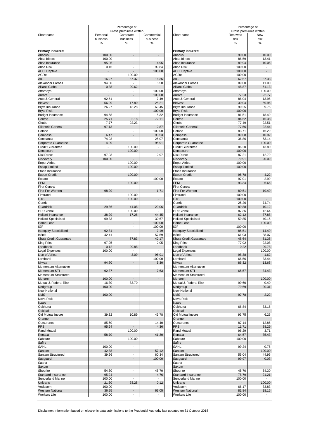|                                                                                                  |                                   | Percentage of<br>Gross premiums written              |                                   |                                                 | Percentage of<br>Gross premiums written |                                   |
|--------------------------------------------------------------------------------------------------|-----------------------------------|------------------------------------------------------|-----------------------------------|-------------------------------------------------|-----------------------------------------|-----------------------------------|
| Short name                                                                                       | Personal                          | Corporate                                            | Commercial                        | Short name                                      | Renewed                                 | New                               |
|                                                                                                  | business<br>℅                     | business<br>%                                        | business<br>%                     |                                                 | risk<br>%                               | risk<br>%                         |
| <b>Primary insurers:</b>                                                                         |                                   |                                                      |                                   | <b>Primary insurers:</b>                        |                                         |                                   |
| Abacus                                                                                           | 100.00                            | $\overline{a}$                                       |                                   | Abacus                                          | 90.00                                   | 10.00                             |
| Absa Idirect                                                                                     | 100.00                            | $\blacksquare$                                       | $\overline{a}$                    | Absa Idirect                                    | 86.59                                   | 13.41                             |
| Absa Insurance                                                                                   | 95.05                             | $\overline{\phantom{a}}$                             | 4.95                              | Absa Insurance                                  | 89.94                                   | 10.06                             |
| Absa Risk                                                                                        | 0.16                              | $\overline{\phantom{a}}$                             | 99.84                             | Absa Risk                                       | 100.00                                  | $\overline{\phantom{a}}$          |
| <b>AECI Captive</b>                                                                              |                                   | $\overline{a}$                                       | 100.00                            | <b>AECI Captive</b>                             | 100.00                                  |                                   |
| AGRe<br><b>AIG</b>                                                                               | ÷,<br>16.27                       | 100.00<br>67.37                                      | $\overline{a}$<br>16.36           | AGRe<br><b>AIG</b>                              | 100.00<br>62.67                         | $\overline{\phantom{a}}$<br>37.33 |
| Alexander Forbes                                                                                 | 94.50                             | $\blacksquare$                                       | 5.50                              | Alexander Forbes                                | 89.00                                   | 11.00                             |
| <b>Allianz Global</b>                                                                            | 0.38                              | 99.62                                                |                                   | <b>Allianz Global</b>                           | 48.87                                   | 51.13                             |
| Attorneys                                                                                        | $\overline{\phantom{a}}$          | $\overline{a}$                                       | 100.00                            | Attorneys                                       |                                         | 100.00                            |
| Aurora                                                                                           |                                   | $\overline{a}$                                       | 100.00                            | Aurora                                          | 77.23                                   | 22.77                             |
| Auto & General                                                                                   | 92.51                             | $\overline{\phantom{a}}$                             | 7.49                              | Auto & General                                  | 86.04                                   | 13.96                             |
| <b>Bidvest</b>                                                                                   | 56.99                             | 17.80                                                | 25.21                             | <b>Bidvest</b>                                  | 30.04                                   | 69.96                             |
| <b>Bryte Insurance</b>                                                                           | 26.27                             | 13.28                                                | 60.45                             | Bryte Insurance                                 | 90.25                                   | 9.75                              |
| <b>Bryte Risk</b>                                                                                | $\overline{a}$                    | $\overline{a}$                                       | 100.00                            | <b>Bryte Risk</b>                               | 100.00                                  |                                   |
| <b>Budget Insurance</b>                                                                          | 94.68                             | $\overline{a}$                                       | 5.32                              | <b>Budget Insurance</b>                         | 81.51                                   | 18.49                             |
| Centrig                                                                                          | 25.71                             | 2.18                                                 | 72.11                             | Centriq                                         | 84.62                                   | 15.38                             |
| Chubb                                                                                            | 7.77                              | 92.23                                                | $\blacksquare$                    | Chubb                                           | 77.49                                   | 22.51                             |
| <b>Clientele General</b>                                                                         | 97.13                             | $\overline{\phantom{a}}$                             | 2.87                              | <b>Clientele General</b>                        | 77.56                                   | 22.44                             |
| Coface                                                                                           | $\overline{\phantom{a}}$<br>6.47  | $\overline{\phantom{a}}$<br>$\overline{\phantom{a}}$ | 100.00                            | Coface                                          | 83.71                                   | 16.29<br>10.92                    |
| Compass<br>Constantia                                                                            | 74.93                             | $\overline{\phantom{a}}$                             | 93.53<br>25.07                    | Compass<br>Constantia                           | 89.08<br>36.86                          | 63.14                             |
| Corporate Guarantee                                                                              | 4.09                              | $\overline{\phantom{a}}$                             | 95.91                             | Corporate Guarantee                             |                                         | 100.00                            |
| <b>Credit Guarantee</b>                                                                          | $\overline{a}$                    | 100.00                                               | $\overline{a}$                    | <b>Credit Guarantee</b>                         | 86.20                                   | 13.80                             |
| Densecure                                                                                        |                                   | 100.00                                               | $\overline{a}$                    | Densecure                                       | 100.00                                  |                                   |
| <b>Dial Direct</b>                                                                               | 97.03                             | $\overline{\phantom{0}}$                             | 2.97                              | <b>Dial Direct</b>                              | 87.21                                   | 12.79                             |
| <b>Discovery</b>                                                                                 | 100.00                            | $\overline{\phantom{0}}$                             | $\overline{a}$                    | Discovery                                       | 79.91                                   | 20.09                             |
| <b>Enpet Africa</b>                                                                              | $\overline{a}$                    | 100.00                                               | $\overline{a}$                    | <b>Enpet Africa</b>                             | 100.00                                  | $\overline{\phantom{a}}$          |
| <b>Escap Limited</b>                                                                             |                                   | 100.00                                               | $\overline{a}$                    | <b>Escap Limited</b>                            | 100.00                                  |                                   |
| Etana Insurance                                                                                  |                                   |                                                      |                                   | Etana Insurance                                 |                                         |                                   |
| <b>Export Credit</b>                                                                             |                                   | 100.00                                               |                                   | <b>Export Credit</b>                            | 95.78                                   | 4.22                              |
| Exxaro                                                                                           | $\overline{\phantom{a}}$          | $\overline{\phantom{a}}$                             | 100.00                            | Exxaro                                          | 97.01                                   | 2.99                              |
| <b>FEM</b>                                                                                       |                                   | 100.00                                               |                                   | <b>FEM</b>                                      | 93.34                                   | 6.66                              |
| <b>First Central</b>                                                                             |                                   |                                                      |                                   | <b>First Central</b>                            |                                         |                                   |
| First For Women                                                                                  | 98.29                             | $\overline{a}$                                       | 1.71                              | <b>First For Women</b>                          | 80.51                                   | 19.49                             |
| Firstrand                                                                                        | $\overline{\phantom{a}}$          | 100.00                                               | $\overline{\phantom{a}}$          | Firstrand                                       | 100.00                                  | $\overline{\phantom{a}}$          |
| G4S                                                                                              | $\overline{a}$                    | 100.00                                               | $\overline{a}$                    | G4S                                             | 100.00                                  | $\overline{\phantom{a}}$          |
| Genric                                                                                           |                                   |                                                      |                                   | Genric                                          | 25.26                                   | 74.74                             |
| Guardrisk                                                                                        | 29.86                             | 41.08                                                | 29.06                             | <b>Guardrisk</b>                                | 89.88                                   | 10.12                             |
| <b>HDI Global</b>                                                                                | $\overline{\phantom{a}}$<br>38.29 | 100.00                                               | $\overline{a}$<br>44.45           | <b>HDI Global</b>                               | 87.36<br>62.12                          | 12.64<br>37.88                    |
| <b>Hollard Insurance</b><br><b>Hollard Specialised</b>                                           | 69.33                             | 17.26                                                | 30.67                             | Hollard Insurance<br><b>Hollard Specialised</b> | 59.85                                   | 40.15                             |
| Home Loan                                                                                        | $\overline{a}$                    | $\overline{a}$                                       | 100.00                            | Home Loan                                       |                                         | 100.00                            |
| <b>IGF</b>                                                                                       | $\blacksquare$                    | $\overline{\phantom{a}}$                             | 100.00                            | <b>IGF</b>                                      | 100.00                                  | $\overline{\phantom{a}}$          |
| <b>Indequity Specialised</b>                                                                     | 92.81                             | $\overline{a}$                                       | 7.19                              | <b>Indequity Specialised</b>                    | 85.51                                   | 14.49                             |
| Infiniti                                                                                         | 42.41                             |                                                      | 57.59                             | Infiniti                                        | 61.93                                   | 38.07                             |
| Khula Credit Guarantee                                                                           | $\overline{\phantom{a}}$          | 57.83                                                | 42.17                             | Khula Credit Guarantee                          | 48.64                                   | 51.36                             |
| <b>King Price</b>                                                                                | 97.95                             | $\blacksquare$                                       | 2.05                              | <b>King Price</b>                               | 77.92                                   | 22.08                             |
| Landbank                                                                                         | 0.12                              | 99.88                                                | $\overline{a}$                    | Landbank                                        | 0.22                                    | 99.78                             |
| <b>Legal Expenses</b>                                                                            | 100.00                            | $\overline{\phantom{a}}$                             | $\overline{\phantom{a}}$          | Legal Expenses                                  |                                         | 100.00                            |
| Lion of Africa                                                                                   | $\overline{a}$                    | 3.09                                                 | 96.91                             | Lion of Africa                                  | 98.38                                   | 1.62                              |
| Lombard                                                                                          |                                   | $\overline{\phantom{a}}$                             | 100.00                            | Lombard                                         | 66.56                                   | 33.44                             |
| Miway                                                                                            | 94.70                             | $\overline{a}$                                       | 5.30                              | Miway                                           | 86.32                                   | 13.68                             |
| Momentum Alternative                                                                             |                                   |                                                      |                                   | Momentum Alternative                            |                                         |                                   |
| Momentum STI                                                                                     | 92.37                             | $\overline{a}$                                       | 7.63                              | Momentum STI                                    | 65.57                                   | 34.43                             |
| Momentum Structured                                                                              |                                   |                                                      |                                   | Momentum Structured                             |                                         |                                   |
| Monarch                                                                                          | 100.00                            | $\blacksquare$                                       | $\overline{a}$                    | Monarch                                         |                                         | 100.00                            |
| Mutual & Federal Risk                                                                            | 16.30                             | 83.70                                                | $\overline{a}$                    | Mutual & Federal Risk                           | 99.60                                   | 0.40                              |
| Nedgroup<br>New National                                                                         | 100.00                            | $\overline{\phantom{a}}$                             | $\overline{a}$                    | Nedgroup<br><b>New National</b>                 | 79.69                                   | 20.31                             |
| <b>NMS</b>                                                                                       | 100.00                            | $\overline{a}$                                       | $\overline{a}$                    | <b>NMS</b>                                      | 97.78                                   | 2.22                              |
| Nova Risk                                                                                        |                                   |                                                      |                                   | Nova Risk                                       |                                         |                                   |
| <b>Nzalo</b>                                                                                     |                                   |                                                      |                                   | <b>Nzalo</b>                                    |                                         |                                   |
| Oakhurst                                                                                         |                                   |                                                      |                                   | Oakhurst                                        | 66.84                                   | 33.16                             |
| Oakleaf                                                                                          |                                   |                                                      |                                   | Oakleaf                                         |                                         |                                   |
| Old Mutual Insure                                                                                | 39.32                             | 10.89                                                | 49.78                             | Old Mutual Insure                               | 93.75                                   | 6.25                              |
| Orange                                                                                           |                                   |                                                      |                                   | Orange                                          |                                         |                                   |
| Outsurance                                                                                       | 85.60                             | $\overline{\phantom{a}}$                             | 14.40                             | Outsurance                                      | 87.14                                   | 12.86                             |
| <b>PPS</b>                                                                                       | 95.64                             | $\overline{\phantom{0}}$                             | 4.36                              | <b>PPS</b>                                      | 11.71                                   | 88.29                             |
| <b>Rand Mutual</b>                                                                               | $\blacksquare$                    | 100.00                                               | $\blacksquare$                    | Rand Mutual                                     | 96.29                                   | 3.71                              |
| Renasa                                                                                           | 58.70                             |                                                      | 41.30                             | Renasa                                          | 64.57                                   | 35.43                             |
| Sabsure                                                                                          |                                   | 100.00                                               | $\overline{\phantom{a}}$          | Sabsure                                         | 100.00                                  |                                   |
| Safire                                                                                           |                                   |                                                      |                                   | Safire                                          |                                         |                                   |
| <b>SAHL</b>                                                                                      | 100.00                            | $\overline{\phantom{a}}$                             | $\overline{a}$                    | SAHL                                            | 99.24                                   | 0.76                              |
| Santam                                                                                           | 42.88                             | $\overline{a}$                                       | 57.12                             | Santam                                          |                                         | 100.00                            |
| Santam Structured                                                                                | 39.66                             | $\overline{\phantom{a}}$                             | 60.34                             | Santam Structured                               | 55.04                                   | 44.96                             |
| Sasquard                                                                                         | $\overline{a}$                    | $\overline{\phantom{0}}$                             | 100.00                            | Sasquard                                        | 99.97                                   | 0.03                              |
| Sasria                                                                                           |                                   |                                                      |                                   | Sasria                                          |                                         |                                   |
| Saxum                                                                                            |                                   |                                                      |                                   | Saxum                                           |                                         |                                   |
| Shoprite                                                                                         | 54.30                             | $\overline{\phantom{a}}$                             | 45.70                             | Shoprite                                        | 45.70                                   | 54.30                             |
|                                                                                                  |                                   |                                                      | 4.76                              | Standard Insurance                              | 78.79                                   | 21.21                             |
|                                                                                                  | 95.24                             | $\overline{a}$                                       |                                   |                                                 |                                         |                                   |
|                                                                                                  | 100.00                            | $\overline{\phantom{0}}$                             | $\blacksquare$                    | Sunderland Marine                               | 100.00                                  | $\overline{\phantom{a}}$          |
|                                                                                                  | 21.60                             | 78.28                                                | 0.12                              | Unitrans                                        |                                         | 100.00                            |
| Standard Insurance<br><b>Sunderland Marine</b><br>Unitrans<br>Vodacom<br><b>Western National</b> | 100.00<br>36.95                   | $\overline{\phantom{a}}$<br>$\overline{a}$           | $\overline{\phantom{a}}$<br>63.05 | Vodacom<br><b>Western National</b>              | 66.17<br>81.84                          | 33.83<br>18.16                    |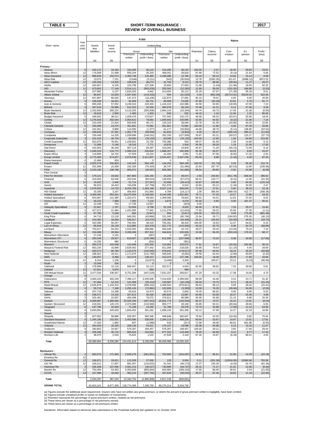### **TABLE 6 SHORT-TERM INSURANCE : 2017 REVIEW OF OVERALL BUSINESS**

|                                          |                                |                      |                    |                         | R'000                     |                         |                         |                 |                    | Ratios             |                 |                    |
|------------------------------------------|--------------------------------|----------------------|--------------------|-------------------------|---------------------------|-------------------------|-------------------------|-----------------|--------------------|--------------------|-----------------|--------------------|
| Short name                               | Year<br>end                    | Assets               | Invest-            |                         | Underwriting              |                         |                         |                 |                    |                    |                 |                    |
|                                          | (mth)                          | less<br>liabilities  | ment<br>income     | Gross<br>Premiums       | Underwriting              | Net<br>Premiums         | Underwriting            | Retention       | Claims<br>incurred | Com-<br>mission    | Ex-<br>penses   | Profit /<br>(loss) |
|                                          |                                | (a)                  | (b)                | written                 | profit / (loss)           | written                 | profit / (loss)         | (c)             | (d)                | (e)                | (e)             | (d)                |
| Primary:                                 |                                | 220.172              |                    |                         |                           |                         |                         |                 |                    |                    |                 |                    |
| Abacus<br>Absa Idirect                   | 6<br>12                        | 176,008              | 19,184<br>21,598   | 154,495<br>500,244      | 36,215<br>35,203          | 154,495<br>488,561      | 36,215<br>28,818        | 100.00<br>97.66 | 0.47<br>72.52      | 18.40<br>(0.14)    | 59.55<br>21.54  | 23.01<br>5.94      |
| Absa Insurance                           | 12                             | 966,833              | 152,574            | 2,350,748               | 134,485                   | 2,188,486               | 12,765                  | 93.10           | 69.14              | 14.84              | 15.14           | 0.59               |
| Absa Risk                                | 12                             | 13,675               | 7,151              | (3,648)                 | (3,211)                   | (502)                   | (35, 834)               | 13.78           | (5392.05)          | 321.67             | (3088.12)       | 8972.53            |
| <b>AECI Captive</b><br>AGRe              | 12<br>12                       | 140,326<br>320,907   | 13,920<br>8,155    | 106,633<br>153,798      | 48,274<br>137,339         | 31,764<br>33,650        | 9,215<br>27,633         | 29.79<br>21.88  | 88.96<br>(1.04)    | (28.00)<br>(11.08) | 11.27<br>18.83  | 26.07<br>92.32     |
| AIG                                      | 11                             | 473,603              | 77,148             | 2,014,111               | (565, 976)                | 255,592                 | (12, 282)               | 12.69           | 58.09              | (101.55)           | 166.88          | (3.33)             |
| Alexander Forbes                         | 3                              | 227,982              | 5,137              | 1,633,203               | 4,842                     | 413.054                 | 35,112                  | 25.29           | 67.57              | (71.28)            | 95.18           | 8.51               |
| Allianz Global                           | 12                             | 86,847               | 10,029             | 1,557,930               | (143, 233)                | 594                     | (31, 520)               | 0.04            | (962.08)           | (25714.91)         | 20233.02        | 522.56             |
| Attorneys<br>Aurora                      | 12<br>6                        | 637,887<br>196,638   | 80,630<br>18,551   | 147,473<br>92,369       | (18, 106)<br>66,731       | 132,870<br>80,998       | 27,981<br>74,005        | 90.10<br>87.69  | 79.01<br>(20.49)   | 0.00<br>22.81      | 0.00<br>5.79    | 20.99<br>91.77     |
| Auto & General                           | 6                              | 690,266              | 57,052             | 3.249.310               | 220.303                   | 1,416,319               | 102,986                 | 43.59           | 63.90              | (18.90)            | 47.93           | 7.23               |
| <b>Bidvest</b>                           | 6                              | 347,616              | 33,986             | 512,323                 | 32,434                    | 360,978                 | 36,134                  | 70.46           | 41.21              | 6.11               | 47.46           | 9.26               |
| <b>Bryte Insurance</b>                   | 12                             | 1,332,840            | 305,222            | 4,115,205               | (355, 836)                | 2,664,143               | (15, 344)               | 64.74           | 63.73              | 17.45              | 21.36           | (0.55)             |
| <b>Bryte Risk</b>                        | 12                             | 18,618               | 2,900              | 1,460                   | 1,303                     | 645                     | 552                     | 44.15           | 1.24               | 11.94              | 1.22            | 85.60              |
| <b>Budget Insurance</b><br>Centrig       | 6<br>12                        | 448,562<br>1,276,928 | 38,512<br>402,544  | 1,559,479<br>2,904,622  | 175,627<br>78,691         | 757,593<br>1,845,943    | 132,175<br>100,095      | 48.58<br>63.55  | 69.25<br>64.92     | (43.67)<br>(0.22)  | 55.96<br>21.06  | 18.05<br>7.24      |
| Chubb                                    | 12                             | 223,428              | 21,924             | 550,649                 | 40,171                    | 125,319                 | 28,040                  | 22.76           | 61.39              | (24.85)            | 40.29           | 22.85              |
| <b>Clientele General</b>                 | 6                              | 183,468              | 13,275             | 351,661                 | 72,981                    | 351,661                 | 72,981                  | 100.00          | 11.60              | 0.00               | 67.20           | 20.86              |
| Coface                                   | 12                             | 101,561              | 9,889              | 114,590                 | (1, 377)                  | 51,177                  | (26, 854)               | 44.66           | 48.70              | (5.12)             | 108.85          | (52.52)            |
| Compass                                  | 12                             | 190,643              | 37,351             | 1,301,779               | (59, 959)                 | 81,833                  | (9,904)                 | 6.29            | 92.47              | (260.19)           | 280.12          | (11.64)            |
| Constantia<br><b>Corporate Guarantee</b> | 6<br>3                         | 159,448<br>101.422   | 14,235<br>45,724   | 1,039,686<br>83,000     | (149, 201)<br>(78, 132)   | 352,193<br>83,000       | (127, 939)<br>(78, 132) | 33.87<br>100.00 | 62.21<br>12.95     | (50.57)<br>1.50    | 123.27<br>54.69 | (37.73)<br>215.95  |
| <b>Credit Guarantee</b>                  | 12                             | 823,975              | 78,561             | 1,109,652               | 15,759                    | 755,386                 | 916                     | 68.07           | 81.59              | 2.36               | 14.80           | 0.13               |
| Densecure                                | 3                              | 71,089               | 5,146              | 18,316                  | 7,771                     | 10,878                  | 1,918                   | 59.39           | 59.26              | 1.16               | 21.95           | 17.63              |
| <b>Dial Direct</b>                       | 6                              | 242,903              | 30,248             | 907,119                 | 59,397                    | 416,093                 | 24,609                  | 45.87           | 71.29              | (50.15)            | 72.09           | 6.10               |
| Discovery                                | 6                              | 1,046,533            | 110,772            | 2,089,224               | 220,834                   | 1,888,267               | 282,609                 | 90.38           | 64.57              | 10.53              | 9.69            | 15.07              |
| Enpet Africa                             | 3                              | 119,806              | 18,702             | 57,929                  | 15,210                    | 41,493                  | 1,053                   | 71.63           | 87.06              | (6.92)             | 17.32           | 2.54               |
| <b>Escap Limited</b><br>Etana Insurance  | 3<br>6                         | 4,775,460<br>12,484  | 674,507<br>818     | 2,978,536<br>0          | 2,311,837<br>$\Omega$     | 2,531,657<br>0          | 2,347,256<br>0          | 85.00           | 9.88               | (1.18)             | 4.03            | 87.43              |
| <b>Export Credit</b>                     | 3                              | 3.555.079            | 200,863            | 144.262                 | 584.199                   | 144,262                 | 584.199                 | 100.00          | (51.76)            | 0.43               | 95.30           | 122.74             |
| Exxaro                                   | 12                             | 201,668              | 15,358             | 162.328                 | (75, 420)                 | 36,747                  | (31.484)                | 22.64           | 267.70             | (62.53)            | 12.60           | (105.96)           |
| <b>FEM</b>                               | 12                             | 3,233,180            | 198,788            | 665,072                 | (46, 597)                 | 655,383                 | (41, 865)               | 98.54           | 80.85              | 0.00               | 24.98           | (6.58)             |
| <b>First Central</b>                     | 3                              |                      |                    |                         |                           |                         |                         |                 |                    |                    |                 |                    |
| First For Women                          | 6                              | 179,121              | 19,042             | 857,803                 | 226.150                   | 24,235                  | 49,674                  | 2.83            | 244.83             | (911.78)           | 606.84          | 296.92             |
| Firstrand<br>G4S                         | 6<br>12                        | 319,093              | 64,536             | 202,544                 | (85, 014)                 | 138,559                 | (57, 072)               | 68.41           | 129.77             | (0.41)<br>0.00     | 11.95           | (41.35)            |
| Genric                                   | 6                              | 16,632<br>96,923     | 2,446<br>18,423    | 51,714<br>744,638       | (27, 347)<br>(47, 758)    | 22,686<br>251,978       | (28, 413)<br>6,010      | 43.87<br>33.84  | 160.86<br>63.12    | (1.34)             | 64.38<br>34.55  | (125.24)<br>2.47   |
| Guardrisk                                | 6                              | 2,678,932            | 14,733             | 8,425,789               | 1,483,198                 | 6,027,116               | 846,643                 | 71.53           | 37.51              | 5.60               | 38.16           | 15.18              |
| <b>HDI Global</b>                        | 12                             | 20,295               | 3,247              | 456,903                 | 241,893                   | 4,784                   | (14, 117)               | 1.05            | 385.94             | (368.54)           | 412.77          | (336.36)           |
| Hollard Insurance                        | 6                              | 3,369,392            | 653,201            | 10,475,094              | 1,168,065                 | 8,245,096               | 1,502,861               | 78.71           | 57.03              | 10.57              | 13.96           | 18.32              |
| <b>Hollard Specialised</b>               | 6                              | 653,967              | 141,380            | 1,323,471               | 99,563                    | 1,309,069               | 78,816                  | 98.91           | 44.51              | 12.03              | 37.42           | 6.02               |
| Home Loan<br>IGF                         | 6<br>12                        | 30,222<br>13,199     | 7,688              | 7,350                   | 7,216                     | 3,675                   | 4,079                   | 50.00           | 5.90               | 0.00               | 187.37          | 35.01              |
| <b>Indequity Specialised</b>             | $\overline{9}$                 | 21,847               | 754<br>1,767       | 17,736<br>53,956        | 13,557<br>9,798           | $^{\circ}$<br>52,109    | (423)<br>8,025          | 0.00<br>96.58   | 47.81              | 7.53               | 29.27           | 15.40              |
| Infiniti                                 | 3                              | 427,072              | 21,464             | 1,431,995               | 77,942                    | 1,111,276               | (12, 610)               | 77.60           | 59.22              | 15.30              | 27.35           | (1.11)             |
| Khula Credit Guarantee                   | 3                              | 67,780               | 5,349              | 664                     | (5, 817)                  | 664                     | (5, 817)                | 100.00          | 203.18             | 0.00               | 773.49          | (881.36)           |
| <b>King Price</b>                        | 6                              | 94,716               | 13,136             | 949,391                 | (43, 866)                 | 151,345                 | (60, 746)               | 15.94           | 28.71              | (164.82)           | 276.26          | (40.13)            |
| Landbank                                 | 3                              | 224,460              | 18,058             | 536,917                 | (23,070)                  | 135,360                 | (34, 309)               | 25.21           | 100.93             | (20.05)            | 44.61           | (29.75)            |
| Legal Expenses                           | 6<br>12                        | 442,586              | 50,257             | 794,391                 | 48,419                    | 794,391                 | 48,419                  | 100.00          | 16.63<br>92.79     | 12.47              | 64.81           | 6.10               |
| Lion of Africa<br>Lombard                | 6                              | 85,918<br>703,917    | 26,139<br>94,254   | 513,885<br>1,520,582    | (63, 370)<br>298,866      | 221,773<br>594,046      | (122, 935)<br>42,710    | 43.16<br>39.07  | 29.43              | 6.36<br>(14.94)    | 54.79<br>79.24  | (69.85)<br>7.10    |
| Miway                                    | 12                             | 194,088              | 28,584             | 2,289,308               | 287,310                   | 344,824                 | 230,928                 | 15.06           | 56.35              | (203.43)           | 179.33          | 68.17              |
| Momentum Alternative                     | 6                              | 27,146               | 2,152              | $\Omega$                | (287)                     | $\Omega$                | (287)                   |                 |                    |                    |                 |                    |
| Momentum STI                             | 6                              | 260,048              | 29,927             | 619,567                 | (105, 386)                | 612,595                 | (107, 699)              | 98.87           | 73.20              | 9.38               | 34.88           | (17.66)            |
| Momentum Structured                      | 6                              | 14,335               | 980                | $\Omega$                | (301)                     | $\Omega$                | (301)                   |                 |                    |                    |                 |                    |
| Monarch<br>Mutual & Federal Risk         | 3<br>12                        | 365,576<br>663,235   | 104,938<br>16,899  | 142,608<br>2,629,062    | 225,359<br>277,442        | 110,962<br>811,006      | 220,075<br>218,026      | 77.81<br>30.85  | 15.87<br>78.54     | (20.02)<br>(11.23) | 283.96<br>4.45  | 36.10<br>28.69     |
| Nedgroup                                 | 12                             | 450,573              | 80,780             | 1,143,576               | (145, 946)                | 978,642                 | (178, 517)              | 85.58           | 69.92              | 18.24              | 26.29           | (20.86)            |
| New National                             | 12                             | 188,301              | 18,311             | 1,171,975               | (131, 769)                | 346,645                 | (8,062)                 | 29.58           | 64.44              | (2.69)             | 40.69           | (2.32)             |
| <b>NMS</b>                               | $\mathbf{3}$                   | 130,057              | 8,468              | 313,374                 | 138,312                   | 313,374                 | 137,786                 | 100.00          | 18.36              | 20.00              | 17.69           | 43.96              |
| Nova Risk                                | 12                             | 8,154                | 1,158              | $\Omega$                | (10, 873)                 | (3, 406)                | 3,303                   |                 | 183.07             | 23.12              | (9.23)          | (96.96)            |
| Nzalo                                    | $\overline{2}$                 | 15,049               | 256                | $\bf 0$                 | $\mathbf 0$               | $\mathbf 0$             | 0                       |                 |                    |                    |                 |                    |
| Oakhurst<br>Oakleaf                      | 12                             | 178.998              | 15.118             | 666,557<br>$\mathbf{0}$ | 32,113<br>990             | 552,571<br>$\mathbf{0}$ | 4,633<br>990            | 82.90           | 58.82              | 7.22               | 30.06           | 0.91               |
| Old Mutual Insure                        | 12                             | 67,631<br>3,477,534  | 5,876<br>236,557   | 8,751,394               | (447, 519)                | 7,631,337               | 359,617                 | 87.20           | 63.32              | 17.38              | 14.64           | 4.70               |
| Orange                                   | $\,6\,$                        |                      |                    |                         |                           |                         |                         |                 |                    |                    |                 |                    |
| Outsurance                               | 6                              | 3.484.102            | 402,249            | 7,396,117               | 2,205,606                 | 7,314,649               | 2,289,040               | 98.90           | 44.46              | 0.31               | 23.71           | 31.42              |
| <b>PPS</b>                               | 12                             | 67,484               | 12,215             | 141,589                 | (35, 414)                 | 135,987                 | (42, 139)               | 96.04           | 76.75              | 5.71               | 48.34           | (31.25)            |
| Rand Mutual                              | 12                             | 2,526,876            | 1,143,315          | 2,478,599               | (368, 242)                | 2,469,504               | (376, 811)              | 99.63           | 89.13              | 0.00               | 26.02           | (15.41)            |
| Renasa<br>Sabsure                        | $\pmb{0}$<br>6                 | 59,715<br>207,716    | 7,168<br>13,298    | 1,255,126<br>55,616     | (72, 991)<br>15,473       | 132,930<br>43,574       | (3, 393)<br>2,845       | 10.59<br>78.35  | 76.33<br>86.62     | (28.46)<br>0.00    | 54.65<br>6.85   | (2.56)<br>6.53     |
| Safire                                   | 3                              | 248,371              | 14,155             | 337,613                 | 46,400                    | 285,826                 | 13,887                  | 84.66           | 50.06              | 18.37              | 25.46           | 4.98               |
| SAHL                                     | 3                              | 202,461              | 22,667             | 400,498                 | 76,572                    | 376,811                 | 99,089                  | 94.09           | 45.68              | 21.15              | 6.88            | 26.30              |
| Santam                                   | 12                             | 6,469,987            | 1,369,566          | 24,500,299              | (347, 442)                | 19,691,773              | (105, 504)              | 80.37           | 70.37              | 16.10              | 13.91           | (0.54)             |
| Santam Structured                        | 12                             | 216,931              | 120,176            | 2,373,089               | (133, 560)                | 850,777                 | 26,160                  | 35.85           | 50.21              | (30.64)            | 49.66           | 6.93               |
| Sasguard                                 | $\,6$                          | 147,795              | 10,420             | 71,196                  | 13,292                    | 51,786                  | 33,378                  | 72.74           | 32.88              | (7.93)             | 11.12           | 63.95              |
| Sasria<br>Saxum                          | 9<br>3                         | 5,693,891            | 420,628            | 1,843,402               | 391,262                   | 1,698,156               | 281,285                 | 92.12           | 47.99              | 12.27              | 22.19           | 16.88              |
| Shoprite                                 | 3                              | 627,652              | 68,886             | 626,357                 | 382,346                   | 498,848                 | 382,647                 | 79.64           | 42.50              | (19.45)            | 0.82            | 75.94              |
| Standard Insurance                       | $\,6$                          | 1,345,186            | 152,001            | 2,453,686               | 338,835                   | 2,294,113               | 408,226                 | 93.50           | 53.67              | 14.97              | 13.51           | 17.81              |
| Sunderland Marine                        | 12                             | 17,182               | 1,860              | 847                     | (1,069)                   | 618                     | (317)                   | 72.96           | 28.06              | 99.51              | 681.88          | (5.05)             |
| Unitrans                                 | 12                             | 344,424              | 32,245             | 269,130                 | 54,621                    | 175,157                 | 19,598                  | 65.08           | 64.88              | 5.14               | 19.16           | 11.07              |
| Vodacom                                  | 9                              | 260,802              | 24,657             | 576,397                 | 168,457                   | 576,397                 | 168,457                 | 100.00          | 49.21              | 3.60               | 17.60           | 29.44              |
| Western National<br>Workers Life         | $\ensuremath{\mathsf{3}}$<br>2 | 326,266              | 35,716             | 865,624                 | 154,562                   | 677,310                 | 119,449                 | 78.25           | 64.90              | 9.12               | 8.77            | 17.43              |
| Total                                    |                                | 38,370<br>60,389,864 | 2,534<br>8,290,085 | 70,625<br>124,431,614   | 1,522<br>9,190,656        | 47,628<br>86,459,086    | 2,143<br>10,005,433     | 67.44           | 15.67              | (6.18)             | 86.01           | 4.50               |
| <b>Reinsurers:</b>                       |                                |                      |                    |                         |                           |                         |                         |                 |                    |                    |                 |                    |
| African Re                               | $\overline{c}$                 | 663,576              | 171,963            | 2,630,276               | (561, 651)                | 752,660                 | (164, 097)              | 28.62           | 85.61              | 21.66              | 14.29           | (22.18)            |
| <b>Emeritus Re</b>                       | 12                             |                      |                    |                         |                           |                         |                         |                 |                    |                    |                 |                    |
| General Re                               | 12                             | 156,871              | 19,621             | 113,339                 | 27,930                    | 129                     | 5,504                   | 0.11            | (201.36)           | (12918.95)         | 10360.68        | 750.98             |
| GIC Re                                   | 12                             | 165,011              | 17,607             | 681,057                 | (116, 622)                | 91,041                  | (49, 173)               | 13.37           | 105.29             | (4.26)             | 54.76           | (81.39)            |
| Hannover Re                              | $\mathbf{3}$                   | 536,358              | 107,946            | 2,581,214               | (40, 017)                 | 730,685                 | (44, 747)               | 28.31           | 71.17              | 21.01              | 12.46           | (6.46)             |
| Munich Re<br><b>SCOR</b>                 | 12<br>12                       | 754,494<br>157,988   | 53,453             | 5,353,658<br>983,210    | (992, 844)                | 944,964<br>297,649      | (189, 104)              | 17.65<br>30.27  | 86.40<br>87.46     | 30.91<br>19.63     | 2.04<br>11.18   | (21.05)            |
| Total                                    |                                | 2,434,297            | 16,634<br>387,224  | 12,342,754              | (207, 702)<br>(1,890,905) | 2,817,128               | (59, 033)<br>(500, 651) |                 |                    |                    |                 | (22.65)            |
| <b>GRAND TOTAL</b>                       |                                | 62,824,161           | 8,677,309          | 136,774,368             | 7,299,750                 | 89,276,214              | 9,504,782               |                 |                    |                    |                 |                    |

(a) Figures exclude the additional asset requirement. Insurers who have not written any gross premium, or where the amount of gross premium written is negligible, have been omitted.<br>(b) Figures exclude unrealised profits o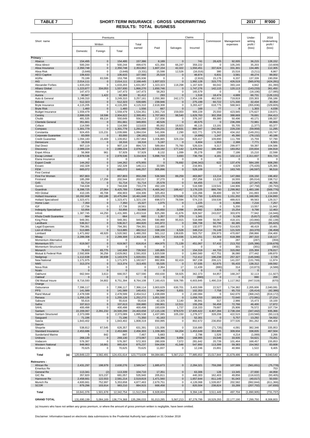# TABLE 7 SHORT-TERM INSURANCE : GROSS UNDERWRITING **2017** R'000  **RESULTS: TOTAL BUSINESS**

|                                                |                           | Premiums                   |                           |                           |                         |                            | Claims                  |                           |                        | Under-                   | 2016                     |
|------------------------------------------------|---------------------------|----------------------------|---------------------------|---------------------------|-------------------------|----------------------------|-------------------------|---------------------------|------------------------|--------------------------|--------------------------|
| Short name                                     |                           | Written                    |                           | Total                     |                         |                            |                         | Commission                | Management<br>expenses | writing<br>profit /      | Underwriting<br>profit / |
|                                                | Domestic                  | Foreign                    | Total                     | earned                    | Paid                    | Salvages                   | Incurred                |                           |                        | (loss)                   | (loss)                   |
| Primary:                                       |                           |                            |                           |                           |                         |                            |                         |                           |                        |                          |                          |
| Abacus<br>Absa Idirect                         | 154,495                   | 0                          | 154,495                   | 157,386                   | 8,189                   | $\mathbf 0$                | 741                     | 28,425                    | 92,005                 | 36,215                   | 128,152                  |
| Absa Insurance                                 | 500,244<br>2,350,748      | 0<br>$\mathbf 0$           | 500,244<br>2,350,748      | 499,670<br>2,353,862      | 421,356<br>1,607,154    | 66,247<br>42,322           | 359,222<br>1,550,451    | 0<br>337,624              | 105,245<br>331,301     | 35,203<br>134,485        | (10, 609)<br>112,305     |
| Absa Risk                                      | (3,648)                   | 0                          | (3,648)                   | (3, 331)                  | 15,598                  | 12,526                     | (16, 016)               | 380                       | 15,516                 | (3, 211)                 | 8,867                    |
| <b>AECI Captive</b><br>AGRe                    | 106,633<br>70,199         | 0<br>83,599                | 106,633<br>153,798        | 107,560<br>155,936        | 25,519<br>$\mathbf 0$   | $\mathbf 0$<br>$\Omega$    | 48,874<br>(2,916)       | 6,831<br>15,176           | 3,581<br>6,337         | 48,274<br>137,339        | 99,002<br>190,058        |
| <b>AIG</b>                                     | 2,014,111                 | $\mathbf 0$                | 2,014,111                 | 2,168,445                 | 1,607,023               | 0                          | 1,992,128               | 315,775                   | 426,519                | (565, 976)               | (424, 281)               |
| Alexander Forbes<br><b>Allianz Global</b>      | 1,633,203<br>1,223,877    | 0<br>334,053               | 1,633,203<br>1,557,930    | 1,631,957<br>1,866,270    | 1,323,323<br>1,650,746  | 118.298<br>$\Omega$        | 1,167,929<br>1,747,276  | 66,042<br>142,115         | 393,144<br>120,113     | 4,842<br>(143, 233)      | (61, 390)<br>361,450     |
| Attorneys                                      | 147,473                   | 0                          | 147,473                   | 147,473                   | 58,263                  | 0                          | 165,579                 | 0                         | 0                      | (18, 106)                | (17,085)                 |
| Aurora                                         | 90,947                    | 1,422                      | 92,369                    | 91,412                    | 293                     | $\Omega$                   | 1,518                   | 18,474                    | 4,689                  | 66,731                   | (126, 131)               |
| Auto & General<br><b>Bidvest</b>               | 3,249,310<br>512,323      | $\mathbf 0$<br>$\mathbf 0$ | 3,249,310<br>512,323      | 3,257,161<br>539,685      | 2,050,360<br>239,946    | 242,173<br>$\mathbf 0$     | 1,854,106<br>275,199    | 462,933<br>60,722         | 719,819<br>171,330     | 220,303<br>32,434        | 256,186<br>30,354        |
| Bryte Insurance                                | 4,115,205                 | $\mathbf 0$                | 4,115,205                 | 4,115,310                 | 2,618,308               | 0                          | 3,283,427               | 618,775                   | 568,943                | (355, 836)               | (329, 605)               |
| <b>Bryte Risk</b><br><b>Budget Insurance</b>   | 1,460<br>1,559,479        | $\mathbf 0$<br>$\mathbf 0$ | 1,460<br>1,559,479        | 1,556<br>1,534,351        | 667<br>1,061,716        | $\mathbf{0}$<br>159,003    | 169<br>909,229          | 77<br>25,550              | 8<br>423,945           | 1,303<br>175,627         | 4,038<br>119,071         |
| Centriq                                        | 2,886,026                 | 18,596                     | 2,904,622                 | 2,399,481                 | 1,707,663               | 98,540                     | 1,629,763               | 302,358                   | 388,669                | 78,691                   | 264,413                  |
| Chubb                                          | 481,535                   | 69,114<br>$\bf 0$          | 550,649                   | 556,214                   | 217,936<br>40,526       | $\mathbf 0$<br>$\mathbf 0$ | 376,167                 | 89,380<br>$\mathbf 0$     | 50,496<br>236,299      | 40,171<br>72,981         | 199,337<br>66,866        |
| Clientele General<br>Coface                    | 351,661<br>114,590        | 0                          | 351,661<br>114,590        | 349,855<br>113,633        | 85,002                  | 18,923                     | 40,575<br>46,115        | 13,191                    | 55,705                 | (1, 377)                 | 83,377                   |
| Compass                                        | 1,301,779                 | 0                          | 1,301,779                 | 1,291,680                 | 755,231                 | 28,631                     | 880,347                 | 242,062                   | 229,230                | (59, 959)                | 11,295                   |
| Constantia<br><b>Corporate Guarantee</b>       | 924,455<br>83,000         | 115,231<br>0               | 1,039,686<br>83,000       | 1,084,034<br>(36, 181)    | 541,006<br>1,033        | 2,290<br>$\mathbf 0$       | 622,771<br>(4,686)      | 176,302<br>1,247          | 434,162<br>45,390      | (149, 201)<br>(78, 132)  | 133,747<br>40,186        |
| Credit Guarantee                               | 1,094,183                 | 15,469                     | 1,109,652                 | 1,057,864                 | 1,006,865               | 328,154                    | 820,417                 | 109,890                   | 111,799                | 15,759                   | 57,790                   |
| Densecure<br><b>Dial Direct</b>                | 18,316<br>907,119         | $\pmb{0}$<br>0             | 18,316<br>907,119         | 18,316<br>894,715         | 5,197<br>589,064        | $\Omega$<br>75,760         | 6,604<br>526,024        | 1,553<br>9,317            | 2,388<br>299,977       | 7,771<br>59,397          | 6,501<br>104,586         |
| Discovery                                      | 2,089,224                 | $\mathbf 0$                | 2,089,224                 | 2,076,387                 | 1,533,192               | 177,142                    | 1,476,042               | 196,460                   | 183,052                | 220,834                  | 184,918                  |
| <b>Enpet Africa</b>                            | 56,968                    | 961                        | 57,929                    | 57,929                    | 8,132                   | 1,099                      | 35,278                  | 255                       | 7,186                  | 15,210                   | 22,598                   |
| <b>Escap Limited</b><br>Etana Insurance        | 2,978,536<br>0            | $\pmb{0}$<br>0             | 2,978,536<br>$\mathbf 0$  | 3,154,924<br>0            | 5,898,733<br>0          | 3,693<br>$\Omega$          | 736,794<br>$\Omega$     | 4,181<br>0                | 102,113<br>$\Omega$    | 2,311,837<br>0           | 831,724<br>0             |
| <b>Export Credit</b>                           | 144,262                   | $\mathbf 0$                | 144,262                   | 475,955                   | $\pmb{0}$               | 76,692                     | (246, 342)              | 622                       | 137.476                | 584,199                  | 608,290                  |
| Exxaro<br><b>FEM</b>                           | 162,328<br>665.072        | 0                          | 162,328<br>665,072        | 146,111<br>646,257        | 33,585<br>305,896       | 0                          | 216,901                 | 0<br>$\pmb{0}$            | 4,629                  | (75, 420)                | 125,365                  |
| <b>First Central</b>                           |                           | 0                          |                           |                           |                         | 0                          | 529,109                 |                           | 163,745                | (46, 597)                | 96,516                   |
| First For Women                                | 857,803                   | $\mathbf 0$                | 857,803                   | 850,298                   | 536,569                 | 89,259                     | 463,867                 | 13,214                    | 147,066                | 226,150                  | 196,402                  |
| Firstrand<br>G4S                               | 185,288<br>51,714         | 17,256<br>$\mathbf 0$      | 202,544<br>51,714         | 202,017<br>51,714         | 37,270<br>25,578        | 0<br>$\pmb{0}$             | 257,256<br>64,455       | 13,220<br>$\Omega$        | 16,555<br>14,606       | (85, 014)<br>(27, 347)   | 338,712<br>46,705        |
| Genric                                         | 744,638                   | 0                          | 744,638                   | 733,278                   | 492,109                 | $\mathbf 0$                | 516,590                 | 119,541                   | 144,906                | (47, 758)                | (30, 750)                |
| Guardrisk<br><b>HDI Global</b>                 | 8,398,725<br>410,195      | 27,064<br>46,708           | 8,425,789<br>456,903      | 7,848,175<br>434,306      | 4,465,342<br>325,453    | 188,417<br>$\mathbf 0$     | 3,178,225<br>133,266    | 886,790<br>39,400         | 2,299,962<br>19,747    | 1,483,198<br>241,893     | (569, 776)<br>119,848    |
| Hollard Insurance                              | 10,282,908                | 192,186                    | 10,475,094                | 10,461,648                | 7,223,176               | 573,582                    | 6,712,750               | 1,429,631                 | 1,151,202              | 1,168,065                | 1,134,893                |
| <b>Hollard Specialised</b>                     | 1,323,471                 | 0                          | 1,323,471                 | 1,323,130                 | 698,573                 | 78,594                     | 574,215                 | 159,536                   | 489,815                | 99,563                   | 129,317                  |
| Home Loan<br>IGF                               | 7,350<br>17,736           | $\mathbf 0$<br>0           | 7,350<br>17,736           | 15,327<br>18,561          | 1,075<br>$\Omega$       | $\mathbf 0$<br>$\Omega$    | 1,225<br>(196)          | $\pmb{0}$<br>$\mathbf 0$  | 6,886<br>5,200         | 7,216<br>13,557          | 7,257<br>11,942          |
| <b>Indequity Specialised</b>                   | 53,956                    | 0                          | 53,956                    | 53,968                    | 26,650                  | 3,098                      | 24,992                  | 3,924                     | 15,254                 | 9,798                    | 12,463                   |
| Infiniti                                       | 1,387,745                 | 44,250<br>$\bf 0$          | 1,431,995                 | 1,453,516                 | 825,290<br>1,357        | 41,676                     | 828,567                 | 243,037<br>$\overline{0}$ | 303,970                | 77,942                   | (16, 946)                |
| Khula Credit Guarantee<br><b>King Price</b>    | 664<br>949,391            | 0                          | 664<br>949,391            | 660<br>949,290            | 590,968                 | 379<br>95,915              | 1,341<br>518,988        | 56,067                    | 5,136<br>418,101       | (5, 817)<br>(43, 866)    | (2, 425)<br>(92, 138)    |
| Landbank                                       | 536,917                   | 0                          | 536,917                   | 484,820                   | 441,872                 | $\mathbf 0$                | 396,708                 | 50,796                    | 60,385                 | (23,070)                 | (65, 625)                |
| Legal Expenses<br>Lion of Africa               | 794,391<br>513,885        | 0<br>0                     | 794,391<br>513,885        | 794,391<br>482,512        | 112,480<br>338,109      | $\Omega$<br>6,528          | 132,077<br>348,214      | 99,070<br>76,148          | 514,825<br>121,520     | 48,419<br>(63, 370)      | 10,491<br>(36, 458)      |
| Lombard                                        | 1,471,662                 | 48,920                     | 1,520,582                 | 1,480,293                 | 561,112                 | 138,635                    | 503,757                 | 206,973                   | 470,697                | 298,866                  | 204,400                  |
| Miway                                          | 2,289,308                 | $\mathbf 0$<br>0           | 2,289,308                 | 2,302,318                 | 1,668,724<br>0          | 318,036                    | 1,343,251               | 53,369<br>0               | 618,388                | 287,310                  | 118,117                  |
| Momentum Alternative<br>Momentum STI           | 0<br>619,567              | 0                          | 0<br>619,567              | 0<br>616,814              | 464,975                 | 0<br>71,139                | 0<br>451,067            | 57,432                    | 287<br>213,702         | (287)<br>(105, 386)      | (359)<br>(159, 678)      |
| Momentum Structured                            | $\Omega$                  | $\Omega$                   | $\mathbf 0$               | 0                         | $\mathbf 0$             | $\Omega$                   | $\Omega$                | $\Omega$                  | 301                    | (301)                    | (383)                    |
| Monarch<br>Mutual & Federal Risk               | 76,833<br>2,592,806       | 65,775<br>36,256           | 142,608<br>2,629,062      | 739,502<br>2,591,833      | 165,805<br>1,820,538    | 0<br>$\Omega$              | 154,319<br>1,860,560    | 44,733<br>417,751         | 315,092<br>36,080      | 225,359<br>277,442       | 278,017<br>189,870       |
| Nedgroup                                       | 1,112,638                 | 30,938                     | 1,143,576                 | 1,020,031                 | 692,386                 | $\Omega$                   | 712,412                 | 196,238                   | 257,327                | (145, 946)               | 2,728                    |
| New National<br><b>NMS</b>                     | 1,171,975                 | 0<br>$\mathbf{0}$          | 1,171,975                 | 1,182,627                 | 882,806                 | 82,419                     | 967,238                 | 206,121                   | 141,037                | (131, 769)               | 11,974<br>169,592        |
| Nova Risk                                      | 313,374<br>0              | $\mathbf 0$                | 313,374<br>0              | 313,455<br>0              | 55,535<br>2,364         | 17                         | 57,035<br>11,439        | 62,675<br>(880)           | 55,433<br>314          | 138,312<br>(10, 873)     | (4,588)                  |
| Nzalo                                          | $\mathbf 0$               | $\mathbf 0$                | 0                         | $\pmb{0}$                 | $\Omega$                | $\mathbf 0$                | 0                       | $\Omega$                  | $\mathbf 0$            |                          |                          |
| Oakhurst<br>Oakleaf                            | 662,944                   | 3,613<br>$\Omega$          | 666,557<br>$\Omega$       | 627,590                   | 450,630                 | 58,925<br>$\Omega$         | 362,373<br>(990)        | 64,857<br>$\Omega$        | 168,247<br>$\Omega$    | 32,113<br>990            | (11, 927)<br>200         |
| Old Mutual Insure                              | 8,716,593                 | 34,802                     | 8,751,394                 | 8,764,108                 | 7,160,415               | 508,785                    | 6,603,845               | 1,490,219                 | 1,117,562              | (447, 519)               | (670)                    |
| Orange                                         |                           |                            |                           |                           |                         |                            |                         |                           |                        |                          |                          |
| Outsurance<br><b>PPS</b>                       | 7,396,117<br>141,589      | $\mathbf 0$<br>$\mathbf 0$ | 7,396,117<br>141,589      | 7,366,114<br>140,431      | 3,903,629<br>94,842     | 630,701<br>5,831           | 3,403,599<br>102,353    | 22,527<br>7,758           | 1,734,382<br>65,733    | 2,205,606<br>(35, 414)   | 2,040,081<br>(42, 386)   |
| Rand Mutual                                    | 2,478,599                 | 0                          | 2,478,599                 | 2,454,512                 | 1,438,699               | 0                          | 2,180,084               | 0                         | 642,670                | (368, 242)               | (819, 172)               |
| Renasa<br>Sabsure                              | 1,255,126<br>55,616       | $\mathbf 0$<br>$\mathbf 0$ | 1,255,126<br>55,616       | 1,252,272<br>55,616       | 1,051,530<br>42,325     | $\Omega$<br>3,140          | 1,058,703<br>36,841     | 193,920<br>317            | 72,640<br>2,986        | (72, 991)<br>15,473      | 27,214<br>19,100         |
| Safire                                         | 337,613                   | $\mathbf 0$                | 337,613                   | 330,880                   | 150,901                 | 12,511                     | 155,256                 | 56,458                    | 72,766                 | 46,400                   | 17,872                   |
| SAHL                                           | 400,498                   | $\mathbf 0$                | 400,498<br>24,500,299     | 400,498<br>24,403,658     | 193,639                 | 1,737                      | 218,333                 | 79,687                    | 25,906                 | 76,572                   | 107,734                  |
| Santam<br>Santam Structured                    | 22,209,067<br>2,373,089   | 2,291,232<br>0             | 2,373,089                 | 1,895,538                 | 17,115,136<br>1,437,085 | 978,570<br>105,150         | 17,605,622<br>1,278,377 | 4,407,284<br>328,206      | 2,738,194<br>422,515   | (347, 442)<br>(133, 560) | 935,366<br>(93, 113)     |
| Sasguard                                       | 71,196                    | $\mathbf 0$                | 71,196                    | 71,350                    | 41,163                  | $\mathbf 0$                | 52,301                  | $\mathbf 0$               | 5,757                  | 13,292                   | 54,552                   |
| Sasria<br>Saxum                                | 1,843,402                 | $\mathbf 0$                | 1,843,402                 | 1,808,319                 | 650,995                 | 0                          | 802,672                 | 236,850                   | 377,535                | 391,262                  | 496,408                  |
| Shoprite                                       | 538,812                   | 87,545                     | 626,357                   | 631,391                   | 131,006                 | $\Omega$                   | 316,680                 | (71, 726)                 | 4,091                  | 382,346                  | 335,953                  |
| Standard Insurance                             | 2,453,686                 | $\mathbf 0$                | 2,453,686                 | 2,456,303                 | 1,339,365               | 64,204                     | 1,453,649               | 353,885                   | 309,934                | 338,835                  | 467,504                  |
| Sunderland Marine<br>Unitrans                  | 5<br>269,130              | 842<br>$\mathbf 0$         | 847<br>269,130            | 7,467<br>273,067          | 5,683<br>116,386        | 0<br>9,856                 | 2,796<br>168,965        | 1,526<br>15,546           | 4,214<br>33,935        | (1,069)<br>54,621        | 2,266<br>73,201          |
| Vodacom                                        | 576,397                   | $\mathbf 0$                | 576,397                   | 572,303                   | 280,939                 | 7,072                      | 281,642                 | 20,739                    | 101,464                | 168,457                  | 155,853                  |
| <b>Western National</b><br><b>Workers Life</b> | 848,963<br>70,625         | 16,661<br>0                | 865,624<br>70,625         | 875,237<br>70,625         | 594,836<br>11,837       | 41,548<br>0                | 547,893                 | 113,399                   | 59,383                 | 154,562                  | 83,608<br>9,405          |
| Total<br>(a)                                   | 120,849,123               | 3,582,491                  | 124,431,614               | 123,773,639               | 84,084,681              | 5,567,213                  | 12,246<br>77,885,653    | 15,891<br>15,017,844      | 40,966<br>21,679,486   | 1,522<br>9,190,656       | 9,040,540                |
| <b>Reinsurers:</b>                             |                           |                            |                           |                           |                         |                            |                         |                           |                        |                          |                          |
| African Re                                     | 2,431,297                 | 198,979                    | 2,630,276                 | 2,589,547                 | 1,885,673               | $\mathbf 0$                | 2,284,321               | 759,288                   | 107,589                | (561, 651)               | (75, 778)                |
| <b>Emeritus Re</b><br>General Re               | 113,341                   | (2)                        | 113,339                   | 104,710                   | 17,351                  | $\mathbf 0$                | 63,306                  | 128                       | 13,345                 | 27,930                   | 753<br>44,958            |
| GIC Re                                         | 357,820                   | 323,237                    | 681,057                   | 535,940                   | 205,811                 | 0                          | 440,303                 | 162,403                   | 49,856                 | (116, 622)               | (93, 405)                |
| Hannover Re                                    | 2,458,661                 | 122,553                    | 2,581,214                 | 2,519,819                 | 1,471,560               | $\mathbf 0$                | 1,657,644               | 811,149                   | 91,043                 | (40, 017)                | 50,930                   |
| Munich Re<br><b>SCOR</b>                       | 4,600,661<br>879,296      | 752,997<br>103,914         | 5,353,658<br>983,210      | 4,877,463<br>884,915      | 2,679,751<br>668,458    | 0<br>0                     | 4,128,068<br>820,504    | 1,539,657<br>238,824      | 202,582<br>33,289      | (992, 844)<br>(207, 702) | (611, 366)<br>(47, 830)  |
|                                                |                           |                            |                           |                           |                         |                            |                         |                           |                        |                          |                          |
| Total<br><b>GRAND TOTAL</b>                    | 10,841,076<br>131,690,199 | 1,501,678<br>5,084,169     | 12,342,754<br>136,774,368 | 11,512,394<br>135,286,033 | 6,928,604<br>91,013,285 | 0<br>5,567,213             | 9,394,146<br>87,279,799 | 3,511,449<br>18,529,293   | 497,704<br>22,177,190  | (1,890,905)<br>7,299,750 | (731, 737)<br>8,308,803  |
|                                                |                           |                            |                           |                           |                         |                            |                         |                           |                        |                          |                          |

(a) Insurers who have not written any gross premium, or where the amount of gross premium written is negligible, have been omitted.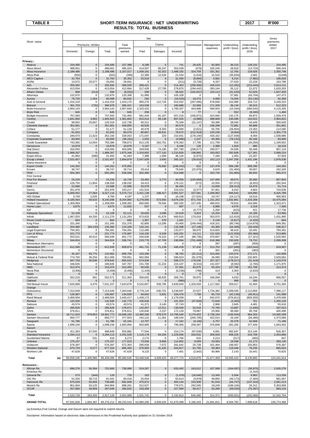### **TABLE 8 SHORT-TERM INSURANCE : NET UNDERWRITING 2017 R'000 RESULTS: TOTAL BUSINESS**

|                                                |                        |                      |                          |                       | Net                   |                          |                       |                          |                      |                        |                         | Gross                    |
|------------------------------------------------|------------------------|----------------------|--------------------------|-----------------------|-----------------------|--------------------------|-----------------------|--------------------------|----------------------|------------------------|-------------------------|--------------------------|
| Short name                                     |                        | Premiums Written     |                          | Total                 |                       | Claims                   |                       | Commission               | Management           | Underwriting           | Underwriting            | premiums<br>written      |
|                                                | Domestic               | Foreign              | Total                    | premiums<br>earned    | Paid                  | Salvages                 | Incurred              |                          | expenses             | profit / (loss)        | profit / (loss)<br>2016 | 2017                     |
|                                                |                        |                      |                          |                       |                       |                          |                       |                          |                      |                        |                         |                          |
| Primary:<br>Abacus                             | 154,495                | $\pmb{0}$            | 154,495                  | 157,386               | 8,189                 | $\pmb{0}$                | 741                   | 28,425                   | 92,005               | 36,215                 | 128,152                 | 154,495                  |
| Absa Idirect                                   | 488,561                | 0                    | 488,561                  | 485,424               | 414,507               | 66,247                   | 352,039               | (678)                    | 105,245              | 28,818                 | (13, 724)               | 500,244                  |
| Absa Insurance                                 | 2,188,486              | $\pmb{0}$            | 2,188,486                | 2,167,017             | 1,439,191             | 42,322                   | 1,498,192             | 324,759                  | 331,301              | 12,765                 | 129,926                 | 2,350,748                |
| Absa Risk<br><b>AECI Captive</b>               | (502)<br>31,764        | 0<br>$\pmb{0}$       | (502)<br>31,764          | (399)<br>35,352       | 22,389<br>25,519      | 12,526<br>0              | 21,534<br>31,450      | (1,616)<br>(8,894)       | 15,516<br>3,581      | (35, 834)<br>9,215     | 2,562<br>(7,982)        | (3,648)<br>106,633       |
| AGRe                                           | 13,072                 | 20,577               | 33,650                   | 29,931                | O                     | 0                        | (311)                 | (3,728)                  | 6,337                | 27,633                 | 22,228                  | 153,798                  |
| AIG                                            | 255,592                | $\pmb{0}$            | 255,592                  | 369,029               | 309,421               | $\mathbf 0$              | 214,353               | (259, 560)               | 426,519              | (12, 282)              | (210, 444)              | 2,014,111                |
| Alexander Forbes                               | 413,054                | 0                    | 413,054                  | 412,684               | 317,428               | 27,700                   | 278,870               | (294, 442)               | 393,144              | 35,112                 | 21,072                  | 1,633,203                |
| <b>Allianz Global</b>                          | 808                    | (214)                | 594                      | (6,032)               | 290                   | $\mathbf 0$              | 58,032                | (152, 657)               | 120,113              | (31, 520)              | 52,029                  | 1,557,930                |
| Attorneys<br>Aurora                            | 132,870<br>79,735      | 0<br>1,264           | 132,870<br>80,998        | 133,308<br>80,642     | 51,080<br>293         | 0<br>$\pmb{0}$           | 105,328<br>(16, 525)  | $\Omega$<br>18,474       | $\Omega$<br>4,689    | 27,981<br>74,005       | (43, 704)<br>(53, 135)  | 147,473<br>92,369        |
| Auto & General                                 | 1,416,319              | 0                    | 1,416,319                | 1,424,170             | 985,276               | 112,729                  | 910,032               | (267, 695)               | 678,848              | 102,986                | 104,712                 | 3,249,310                |
| <b>Bidvest</b>                                 | 361,703                | (725)                | 360,978                  | 390,421               | 163,538               | 0                        | 160,888               | 22,069                   | 171,330              | 36,134                 | 36,515                  | 512,323                  |
| Bryte Insurance                                | 2,664,143              | 0                    | 2,664,143                | 2,807,844             | 2,103,432             | 0                        | 1,789,357             | 464,888                  | 568,943              | (15, 344)              | (580, 542)              | 4,115,205                |
| <b>Bryte Risk</b>                              | 645                    | $\pmb{0}$<br>0       | 645                      | 645                   | 259                   | $\overline{0}$           | 8                     | 77                       | 8                    | 552                    | (8, 345)                | 1,460                    |
| <b>Budget Insurance</b><br>Centriq             | 757,593<br>1,841,950   | 3,993                | 757,593<br>1,845,943     | 732,465<br>1,381,802  | 581,444<br>915,514    | 81,157<br>69,148         | 507,216<br>897,025    | (330, 871)<br>(3,988)    | 423,945<br>388,669   | 132,175<br>100,095     | 69,872<br>143,022       | 1,559,479<br>2,904,622   |
| Chubb                                          | 99,652                 | 25,667               | 125,319                  | 122,738               | 60,311                | 0                        | 75,349                | (31, 147)                | 50,496               | 28,040                 | 34,449                  | 550,649                  |
| <b>Clientele General</b>                       | 351,661                | $\pmb{0}$            | 351,661                  | 349,855               | 40,526                | $\pmb{0}$                | 40,575                |                          | 236,299              | 72,981                 | 66,889                  | 351,661                  |
| Coface                                         | 51,177                 | 0                    | 51,177                   | 51,130                | 40,478                | 8,355                    | 24,900                | (2,621)                  | 55,705               | (26, 854)              | 23,353                  | 114,590                  |
| Compass<br>Constantia                          | 81,833<br>340,670      | $\pmb{0}$<br>11,523  | 81,833<br>352,193        | 85,079<br>339,053     | 80,667<br>171,047     | 28,631<br>220            | 78,672<br>210,931     | (212, 919)<br>(178, 100) | 229,230<br>434,162   | (9,904)<br>(127, 939)  | 9,472<br>8,464          | 1,301,779<br>1,039,686   |
| Corporate Guarantee                            | 83,000                 | 0                    | 83,000                   | (36, 181)             | 1,033                 | $\pmb{0}$                | (4,686)               | 1,247                    | 45,390               | (78, 132)              | 40,166                  | 83,000                   |
| <b>Credit Guarantee</b>                        | 743,382                | 12,004               | 755,386                  | 708,873               | 812,135               | 262,751                  | 578,362               | 17,795                   | 111.799              | 916                    | (34, 255)               | 1,109,652                |
| Densecure                                      | 10,878                 | $\pmb{0}$            | 10,878                   | 10,878                | 5,197                 | $\mathbf 0$              | 6,446                 | 126                      | 2,388                | 1,918                  | 980                     | 18,316                   |
| <b>Dial Direct</b>                             | 416,093                | 0                    | 416,093                  | 403,689               | 349,946               | 74,180                   | 287,780               | (208, 677)               | 299,977<br>183,052   | 24,609                 | 56,468                  | 907,119<br>2,089,224     |
| Discovery<br><b>Enpet Africa</b>               | 1,888,267<br>41,983    | $\mathbf 0$<br>(490) | 1,888,267<br>41,493      | 1,875,346<br>41,493   | 1,324,692<br>7,388    | 177,142<br>1,099         | 1,210,826<br>36,126   | 198,860<br>(2,872)       | 7,186                | 282,609<br>1,053       | 127,361<br>22,207       | 57,929                   |
| <b>Escap Limited</b>                           | 2,531,657              | 0                    | 2,531,657                | 2,684,879             | 2,547,839             | 3,693                    | 265,321               | (29, 810)                | 102,113              | 2,347,256              | 1,431,196               | 2,978,536                |
| Etana Insurance                                | $\mathbf 0$            | 0                    | 0                        | $\Omega$              | 0                     | 0                        | 0                     | 0                        | 0                    | 0                      | 0                       | $\Omega$                 |
| <b>Export Credit</b>                           | 144,262                | $\pmb{0}$            | 144,262                  | 475,955               | $\mathbf 0$           | 76,692                   | (246, 342)            | 622                      | 137,476              | 584,199                | 608,290                 | 144,262                  |
| Exxaro<br><b>FEM</b>                           | 36,747<br>655,383      | 0<br>$\pmb{0}$       | 36,747<br>655,383        | 29,714<br>636,568     | 29,414<br>302,380     | 0<br>$\mathbf 0$         | 79,545<br>514,688     | (22, 976)<br>0           | 4,629<br>163,745     | (31, 484)<br>(41, 865) | 30,657<br>86,002        | 162,328<br>665,072       |
| <b>First Central</b>                           |                        |                      |                          |                       |                       |                          |                       |                          |                      |                        |                         |                          |
| First For Women                                | 24,235                 | $\pmb{0}$            | 24,235                   | 16,730                | 33,483                | 5,773                    | 40,959                | (220, 969)               | 147,066              | 49,674                 | 35,560                  | 857,803                  |
| Firstrand                                      | 126,755                | 11,804               | 138,559                  | 138,032               | 34,413                | 0                        | 179,121               | (572)                    | 16,555               | (57, 072)              | (8,931)                 | 202,544                  |
| G4S                                            | 22,686                 | $\pmb{0}$            | 22,686                   | 22,686                | 25,578                | $\pmb{0}$                | 36,493                | $\mathbf 0$              | 14,606               | (28, 413)              | 15,976                  | 51,714                   |
| Genric<br>Guardrisk                            | 251,978<br>6,000,052   | 0<br>27,064          | 251,978<br>6,027,116     | 243,217<br>5,575,713  | 141,524<br>2,421,138  | $\mathbf 0$<br>188,417   | 153,523<br>2,091,527  | (3, 377)<br>337,581      | 87,061<br>2,299,962  | 6,010<br>846,643       | 4,663<br>169,890        | 744,638<br>8,425,789     |
| <b>HDI Global</b>                              | 3,749                  | 1,035                | 4,784                    | 4,197                 | 1,137                 | $\Omega$                 | 16,198                | (17, 631)                | 19,747               | (14, 117)              | 19,516                  | 456,903                  |
| Hollard Insurance                              | 8,185,564              | 59,533               | 8,245,096                | 8,204,960             | 5,278,066             | 573,582                  | 4,679,193             | 871,704                  | 1,151,202            | 1,502,861              | 1,423,268               | 10,475,094               |
| <b>Hollard Specialised</b>                     | 1,309,069              | 0                    | 1,309,069                | 1,308,392             | 690,590               | 78,594                   | 582,325               | 157,435                  | 489,815              | 78,816                 | 104,996                 | 1,323,471                |
| Home Loan<br>IGF                               | 3,675<br>$\mathbf 0$   | $\pmb{0}$<br>0       | 3,675<br>$\mathbf 0$     | 11,652<br>$\mathbf 0$ | 537<br>$\mathbf 0$    | $\pmb{0}$<br>$\mathbf 0$ | 687<br>$\mathbf 0$    | $\Omega$<br>(4, 777)     | 6,886<br>5,200       | 4,079<br>(423)         | 2,318<br>521            | 7,350<br>17,736          |
| <b>Indequity Specialised</b>                   | 52,109                 | $\pmb{0}$            | 52,109                   | 52,121                | 26,650                | 3,098                    | 24,918                | 3,924                    | 15,254               | 8,025                  | 10,189                  | 53,956                   |
| Infiniti                                       | 1,067,025              | 44,250               | 1,111,276                | 1,131,293             | 673,633               | 41,676                   | 669,915               | 170,018                  | 303,970              | (12, 610)              | (23, 523)               | 1,431,995                |
| Khula Credit Guarantee                         | 664                    | $\pmb{0}$            | 664                      | 660                   | 1,357                 | 379                      | 1,341                 | $\Omega$                 | 5,136                | (5, 817)               | (2, 425)                | 664                      |
| King Price                                     | 151,345                | 0                    | 151,345                  | 151,376               | 62,685                | 13,286                   | 43,465                | (249, 444)               | 418,101              | (60, 746)              | (114, 879)              | 949,391                  |
| Landbank<br>Legal Expenses                     | 204,480<br>794,391     | (69, 120)<br>0       | 135,360<br>794,391       | 115,328<br>794,391    | 132,141<br>112,480    | $\pmb{0}$<br>$\Omega$    | 116,398<br>132,077    | (27, 146)<br>99,070      | 60,385<br>514,825    | (34, 309)<br>48,419    | (28, 429)<br>10,491     | 536,917<br>794,391       |
| Lion of Africa                                 | 221,773                | 0                    | 221,773                  | 175,987               | 116,155               | 6,528                    | 163,291               | 14,111                   | 121,520              | (122, 935)             | (55,066)                | 513,885                  |
| Lombard                                        | 553,531                | 40,515               | 594,046                  | 601,772               | 256,936               | 79,310                   | 177,100               | (88, 735)                | 470,697              | 42,710                 | (17, 321)               | 1,520,582                |
| Miway                                          | 344,824                | $\pmb{0}$            | 344,824                  | 338,741               | 233,779               | 47,705                   | 190,894               | (701, 468)               | 618,388              | 230,928                | 79,753                  | 2,289,308                |
| Momentum Alternative<br>Momentum STI           | $\mathbf 0$<br>612,595 | 0<br>$\pmb{0}$       | $\Omega$<br>612,595      | $\Omega$<br>609,874   | 0<br>461,731          | 0<br>71,139              | $\Omega$<br>446,439   | $\Omega$<br>57,432       | 287<br>213,702       | (287)<br>(107, 699)    | (359)<br>(163, 544)     | $\Omega$<br>619,567      |
| Momentum Structured                            | $\mathbf 0$            | 0                    | $\mathbf 0$              | $\Omega$              | $\Omega$              | 0                        | $\mathbf 0$           | $\mathbf 0$              | 301                  | (301)                  | (383)                   | $\Omega$                 |
| Monarch                                        | 45,187                 | 65,775               | 110,962                  | 609,705               | 103,336               | $\pmb{0}$                | 96,750                | (22, 212)                | 315,092              | 220,075                | 272,171                 | 142,608                  |
| Mutual & Federal Risk                          | 774,750                | 36,256               | 811,006                  | 759,851               | 662,994               | 0                        | 596,823               | (91, 078)                | 36,080               | 218,026                | 232,803                 | 2,629,062                |
| Nedgroup<br>New National                       | 947,704<br>346,645     | 30,938<br>0          | 978,642<br>346,645       | 855,620<br>347,767    | 574,936<br>241,790    | $\pmb{0}$<br>31,224      | 598,273<br>224,107    | 178,536<br>(9, 315)      | 257,327<br>141,037   | (178, 517)<br>(8,062)  | (31, 419)<br>(2,765)    | 1,143,576<br>1,171,975   |
| <b>NMS</b>                                     | 313,374                | $\mathbf 0$          | 313,374                  | 313,455               | 55,535                | $\mathbf 0$              | 57,561                | 62.675                   | 55,433               | 137.786                | 151.708                 | 313.374                  |
| Nova Risk                                      | (3, 406)               | 0                    | (3, 406)                 | (3, 406)              | (1, 419)              | 1                        | (6, 236)              | (788)                    | 314                  | 3,303                  | (2,633)                 | 0                        |
| Nzalo                                          | $\mathbf 0$            | $\pmb{0}$            | $\mathbf 0$              | 0                     | $\mathbf 0$           | $\pmb{0}$                | $\mathbf 0$           | $\mathbf 0$              | $\mathbf 0$          | $\mathbf 0$            |                         | $\mathbf 0$              |
| Oakhurst                                       | 552,210                | 361                  | 552,571                  | 511,363<br>$\Omega$   | 356,832<br>$\Omega$   | 58,925                   | 300,761               | 39,875<br>$\Omega$       | 166,094<br>$\Omega$  | 4,633                  | 16,244                  | 666,557                  |
| Oakleaf<br>Old Mutual Insure                   | 7,626,868              | $\mathbf 0$<br>4,470 | $\mathbf 0$<br>7,631,337 | 7,643,678             | 5,542,857             | $\mathbf 0$<br>508,785   | (990)<br>4,839,940    | 1,326,559                | 1,117,562            | 990<br>359,617         | 200<br>42,494           | $\mathbf 0$<br>8,751,394 |
| Orange                                         |                        |                      |                          |                       |                       |                          |                       |                          |                      |                        |                         |                          |
| Outsurance                                     | 7,314,649              | 0                    | 7,314,649                | 7,284,646             | 3,778,134             | 630,701                  | 3,238,697             | 22,527                   | 1,734,382            | 2,289,040              | 2,113,859               | 7,396,117                |
| <b>PPS</b>                                     | 135,987                | $\pmb{0}$            | 135,987                  | 134,828               | 94,842                | 5,831                    | 103,476               | 7,758                    | 65,733               | (42, 139)              | (45, 911)               | 141,589                  |
| Rand Mutual<br>Renasa                          | 2,469,504<br>132,930   | 0<br>$\pmb{0}$       | 2,469,504<br>132,930     | 2,445,417<br>132,775  | 1,438,173<br>100,546  | 0<br>$\pmb{0}$           | 2,179,558<br>101,353  | 0<br>(37, 826)           | 642,670<br>72,640    | (376, 811)<br>(3, 393) | (826, 555)<br>751       | 2,478,599<br>1,255,126   |
| Sabsure                                        | 43,574                 | 0                    | 43,574                   | 43,574                | 41,371                | 3,140                    | 37,743                | $\mathbf 0$              | 2,986                | 2,845                  | 4,481                   | 55,616                   |
| Safire                                         | 285,826                | $\pmb{0}$            | 285,826                  | 278,671               | 142,057               | 12,511                   | 139,500               | 52,518                   | 72,766               | 13,887                 | (1,045)                 | 337,613                  |
| SAHL                                           | 376,811                | 0                    | 376,811                  | 376,811               | 130,646               | 2,237                    | 172,129               | 79,687                   | 25,906               | 99,089                 | 90,708                  | 400,498                  |
| Santam<br>Santam Structured                    | 18,711,919<br>850,777  | 979,853<br>0         | 19,691,773<br>850,777    | 19,588,183<br>377,503 | 13,480,290<br>192,122 | 978,570<br>11,361        | 13,785,040<br>189,534 | 3,170,453<br>(260, 705)  | 2,738,194<br>422,515 | (105, 504)<br>26,160   | 964,303<br>(26, 486)    | 24,500,299<br>2,373,089  |
| Sasquard                                       | 51,786                 | $\pmb{0}$            | 51,786                   | 52,191                | 12,707                | $\pmb{0}$                | 17,162                | (4, 106)                 | 5,757                | 33,378                 | 42,058                  | 71,196                   |
| Sasria                                         | 1,698,156              | 0                    | 1,698,156                | 1,665,994             | 650,995               | $\mathbf 0$              | 799,465               | 208,397                  | 376,848              | 281,285                | 377,449                 | 1,843,402                |
| Saxum                                          |                        |                      |                          |                       |                       |                          |                       |                          |                      |                        |                         |                          |
| Shoprite<br>Standard Insurance                 | 411,303                | 87,545               | 498,848                  | 503,882               | 77,544                | $\mathbf 0$              | 214,174               | (97,030)                 | 4,091                | 382,647                | 312,149                 | 626,357<br>2,453,686     |
| Sunderland Marine                              | 2,294,113<br>87        | 0<br>531             | 2,294,113<br>618         | 2,291,528<br>6,272    | 1,116,178<br>2,174    | 64,204<br>0              | 1,229,836<br>1,760    | 343,531<br>615           | 309,934<br>4,214     | 408,226<br>(317)       | 416,709<br>(483)        | 847                      |
| Unitrans                                       | 175,157                | 0                    | 175,157                  | 177,023               | 73,045                | 9,856                    | 114,852               | 9,009                    | 33,565               | 19,598                 | 21,173                  | 269,130                  |
| Vodacom                                        | 576,397                | 0                    | 576,397                  | 572,303               | 280,939               | 7,072                    | 281,642               | 20,739                   | 101,464              | 168,457                | 155,853                 | 576,397                  |
| <b>Western National</b><br><b>Workers Life</b> | 670,733                | 6,577                | 677,310                  | 685,404               | 476,955               | 31,425                   | 444,817               | 61,755                   | 59,383               | 119,449                | 76,235                  | 865,624                  |
|                                                | 47,628                 | 0                    | 47,628                   | 47,628                | 8,133                 | 0                        | 7,461                 | (2,942)                  | 40,966               | 2,143                  | 10,441                  | 70,625                   |
| Total<br>(a)                                   | 85,058,100             | 1,400,986            | 86,459,086               | 85,580,545            | 53,448,549            | 4,509,920                | 49,477,774            | 4,519,878                | 21,577,459           | 10,005,433             | 8,130,683               | 124,431,614              |
| <b>Reinsurers:</b>                             |                        |                      |                          |                       |                       |                          |                       |                          |                      |                        |                         |                          |
| African Re                                     | 696,276                | 56,384               | 752,660                  | 739,996               | 524,267               | $\pmb{0}$                | 633,492               | 163,012                  | 107,589              | (164, 097)             | (36, 975)               | 2,630,276                |
| <b>Emeritus Re</b>                             |                        |                      |                          |                       |                       |                          |                       |                          |                      |                        | (1, 310)                |                          |
| General Re<br>GIC Re                           | 573<br>52,326          | (444)<br>38,715      | 129<br>91,041            | 733<br>60,418         | 163<br>25,554         | $\pmb{0}$<br>$\pmb{0}$   | (1, 476)<br>63,613    | (16, 640)<br>(3,878)     | 13,345<br>49,856     | 5,504<br>(49, 173)     | 9,983<br>(7, 464)       | 113,339<br>681,057       |
| Hannover Re                                    | 675,029                | 55,656               | 730,685                  | 692,949               | 475,672               | $\pmb{0}$                | 493,144               | 153,508                  | 91,043               | (44, 747)              | (147, 324)              | 2,581,214                |
| Munich Re                                      | 851,844                | 93,120               | 944,964                  | 898,261               | 312,627               | 0                        | 776,071               | 292,045                  | 19,249               | (189, 104)             | 26,312                  | 5,353,658                |
| <b>SCOR</b>                                    | 257,680                | 39,969               | 297,649                  | 260,642               | 193,458               | $\pmb{0}$                | 227,969               | 58,417                   | 33,289               | (59,033)               | (75, 287)               | 983,210                  |
| Total                                          | 2,533,728              | 283,400              | 2,817,128                | 2,652,999             | 1,531,741             | $\mathbf 0$              | 2,192,814             | 646,465                  | 314,371              | (500, 651)             | (232,066)               | 12,342,754               |
| <b>GRAND TOTAL</b>                             | 87,591,828             | 1,684,387            | 89,276,214               | 88,233,543            | 54,980,290            | 4,509,920                | 51,670,588            | 5,166,343                | 21,891,831           | 9,504,782              | 7,898,618               | 136,774,368              |

(a) Emeritus,First Central, Orange and Saxum were not required to submit returns.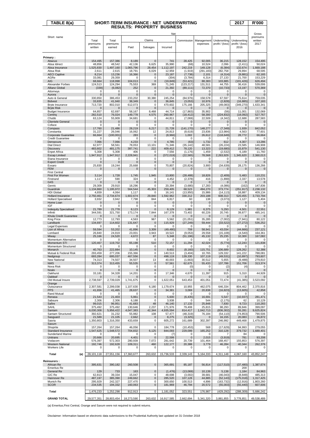| TABLE 8(a)                                   |                        | SHORT-TERM INSURANCE : NET UNDERWRITING |                          |                          |                                   |                         |                        |                         | 2017                    | <b>R'000</b>            |
|----------------------------------------------|------------------------|-----------------------------------------|--------------------------|--------------------------|-----------------------------------|-------------------------|------------------------|-------------------------|-------------------------|-------------------------|
|                                              |                        |                                         |                          |                          | <b>RESULTS: PROPERTY BUSINESS</b> |                         |                        |                         |                         |                         |
|                                              |                        |                                         |                          |                          | Net                               |                         |                        |                         |                         | Gross                   |
| Short name                                   | Total                  | Total                                   |                          | Claims                   |                                   |                         | Commission Management  | Underwriting            | Underwriting            | premiums<br>written     |
|                                              | premiums               | premiums                                |                          |                          |                                   |                         | expenses               | profit / (loss)         | profit / (loss)         | 2017                    |
|                                              | written                | earned                                  | Paid                     | Salvages                 | Incurred                          |                         |                        |                         | 2016                    |                         |
| Primary:                                     |                        |                                         |                          |                          |                                   |                         |                        |                         |                         |                         |
| Abacus                                       | 154,495                | 157,386                                 | 8,189                    | $\mathbf 0$              | 741                               | 28,425                  | 92,005                 | 36,215                  | 128,152                 | 154,495                 |
| Absa Idirect<br>Absa Insurance               | 48,856<br>1,525,830    | 48,542<br>1,497,160                     | 42,136<br>1,065,796      | 6,625<br>28,454          | 35,990<br>1,112,197               | (68)<br>242,219         | 10,524<br>149,128      | 2,096<br>(6, 384)       | (2, 411)<br>132,674     | 50,024<br>1,669,188     |
| Absa Risk                                    | 2,611                  | 2,615                                   | 18,791                   | 6,029                    | 12,959                            | (1, 919)                | (291, 183)             | 282,758                 | 29,894                  | 68,595                  |
| <b>AECI Captive</b><br>AGRe                  | 8,214<br>33,081        | 13,236<br>29,359                        | 16.366<br>0              | $\pmb{0}$<br>0           | 23,187<br>(304)                   | (7, 738)<br>(3,784)     | 2,101<br>6,314         | (4, 314)<br>27,133      | (9,881)<br>21,700       | 62,165<br>153,229       |
| AIG                                          | 68,664                 | 118,998                                 | 104,013                  | $\mathbf{0}$             | (19, 849)                         | (53, 421)               | 88,383                 | 103,885                 | (101, 426)              | 626,494                 |
| Alexander Forbes<br><b>Allianz Global</b>    | 124,513                | 124,294                                 | 75,553                   | 369                      | 71,245                            | (123, 217)              | 131,511<br>72,370      | 44,755                  | 36,416                  | 539,006<br>570.369      |
| Attorneys                                    | (339)<br>0             | (6,082)<br>0                            | 252<br>$\mathbf 0$       | $\pmb{0}$<br>0           | 21,392<br>0                       | (89, 111)<br>$\Omega$   | $\mathbf 0$            | (10, 733)<br>$\Omega$   | 13,197<br>$\Omega$      | 0                       |
| Aurora                                       | $\pmb{0}$              | 0                                       | $\mathbf 0$              | $\pmb{0}$                | $\overline{0}$                    | $\mathbf{0}$            | $\mathbf 0$            | $\mathbf 0$             | $\mathbf{0}$            | $\mathbf 0$             |
| Auto & General<br><b>Bidvest</b>             | 330,850<br>33,835      | 386,453<br>41,940                       | 233,202<br>38,349        | 30,380<br>0              | 245,254<br>36,845                 | (84, 976)<br>(3,053)    | 158,578<br>10,976      | 67,597<br>(2,828)       | 75,614<br>(16, 885)     | 759,035<br>107,183      |
| Bryte Insurance                              | 713,720                | 802,010                                 | 612,073                  | 0                        | 470,602                           | 175,166                 | 205,325                | (49, 083)               | (349, 270)              | 1,633,341               |
| <b>Bryte Risk</b><br><b>Budget Insurance</b> | $\mathbf 0$<br>64,857  | $\mathbf 0$<br>62,697                   | $\overline{0}$<br>58,167 | $\mathbf{0}$<br>8,468    | $\mathbf 0$<br>44,714             | $\Omega$<br>(17, 863)   | $\mathbf{0}$<br>35,902 | $\mathbf 0$<br>(56)     | $\Omega$<br>11,001      | 0<br>132,069            |
| Centriq                                      | 282,510                | 76,024                                  | 149,778                  | 4,575                    | 260,967                           | (18, 412)               | 58,300                 | (224, 832)              | (18,092)                | 527,767                 |
| Chubb<br><b>Clientele General</b>            | 63,124<br>0            | 55,909<br>0                             | 34,681<br>0              | 0<br>$\pmb{0}$           | 44,811<br>0                       | (7,069)<br>0            | 22,509<br>0            | (4, 342)<br>$\mathbf 0$ | 12,688<br>$\mathbf 0$   | 287,583<br>0            |
| Coface                                       | 0                      | 0                                       | 0                        | 0                        | 0                                 | 0                       | 0                      | 0                       | 0                       | 0                       |
| Compass<br>Constantia                        | 17,760<br>31,227       | 21,486<br>26,046                        | 28.219<br>16,062         | 6,217<br>12              | 21,728<br>24,813                  | (141, 170)<br>(8,619)   | 148,277<br>23,836      | (7, 349)<br>(13, 984)   | 1,939<br>4,563          | 842,052<br>77,601       |
| Corporate Guarantee                          | 66,664                 | (100, 001)                              | 283                      | $\pmb{0}$                | (8,966)                           | 1,002                   | 26,612                 | (118, 649)              | 28,772                  | 66,664                  |
| <b>Credit Guarantee</b><br>Densecure         | 0<br>7,066             | 0<br>7,066                              | 0<br>4,233               | 0<br>$\mathbf 0$         | 0<br>4,785                        | 0<br>(63)               | 0<br>1,732             | $\Omega$<br>612         | 0<br>4,307              | 0<br>13,286             |
| <b>Dial Direct</b>                           | 62,977                 | 58,561                                  | 78,053                   | 13,101                   | 71,346                            | (35, 142)               | 48,581                 | (26, 224)               | 23,585                  | 146,908                 |
| <b>Discovery</b><br><b>Enpet Africa</b>      | 483.602<br>5,308       | 481,175<br>5,308                        | 387,741<br>406           | 222<br>0                 | 409,412<br>7,556                  | 78,120<br>(1, 176)      | 13,323<br>1,459        | (19, 680)<br>(2, 532)   | 15,879<br>6,189         | 541,130<br>11,760       |
| <b>Escap Limited</b>                         | 1,947,912              | 1,947,912                               | 2,228,941                | $\pmb{0}$                | (372, 019)                        | (22, 565)               | 78,568                 | 2,263,929               | 1,345,620               | 2,360,013               |
| Etana Insurance<br><b>Export Credit</b>      | 0<br>$\mathbf 0$       | 0<br>$\mathbf 0$                        | 0<br>0                   | 0<br>$\pmb{0}$           | 0<br>$\mathbf 0$                  | 0<br>$\Omega$           | 0<br>$\Omega$          | $\mathbf 0$<br>$\Omega$ | $\Omega$<br>$\Omega$    | 0<br>$\mathbf 0$        |
| Exxaro                                       | 25,830                 | 19,244                                  | 25,668                   | 0                        | 70,807                            | (20, 824)               | 3,900                  | (34, 639)               | 28,175                  | 136,266                 |
| <b>FEM</b><br><b>First Central</b>           | 0                      | 0                                       | 0                        | $\overline{0}$           | 0                                 |                         | 0                      | $\Omega$                | 0                       | 0                       |
| First For Women                              | 3,114                  | 1,728                                   | 1,745                    | 1,945                    | 13,800                            | (28, 488)               | 18,826                 | (2, 409)                | 5,483                   | 110,231                 |
| Firstrand<br>G4S                             | 1,117<br>$\mathbf 0$   | 590<br>0                                | 324<br>0                 | 0<br>$\mathbf 0$         | 4,452<br>$\Omega$                 | (2, 378)                | 416<br>$\mathbf 0$     | (1, 899)                | 2,337<br>$\mathbf 0$    | 13,578<br>$\Omega$      |
| Genric                                       | 29,309                 | 29,910                                  | 18,296                   | 0                        | 20,394                            | (3,680)                 | 17,283                 | (4,086)                 | (162)                   | 147,836                 |
| Guardrisk<br><b>HDI Global</b>               | 1,134,860              | 1,195,972                               | 564,544                  | 45,303<br>0              | 259,405<br>16,141                 | 68,523                  | 494,270                | 373,774                 | (251, 917)              | 2,238,132               |
| Hollard Insurance                            | 4,659<br>2,750,461     | 4,064<br>2,734,674                      | 1,117<br>1,602,674       | 29,840                   | 1,592,962                         | (13,950)<br>330,212     | 15,986<br>203,188      | (14, 113)<br>608,313    | 18,887<br>520,455       | 409,134<br>3,733,794    |
| <b>Hollard Specialised</b>                   | 3,932                  | 3,942                                   | 7,798                    | 844                      | 6,817                             | 60                      | 138                    | (3,073)                 | 1,127                   | 5,404                   |
| Home Loan<br>IGF                             | 0<br>0                 | 0<br>0                                  | 0<br>0                   | $\pmb{0}$<br>0           | 0<br>0                            | $\mathbf 0$<br>$\Omega$ | $\mathbf 0$<br>0       | $\mathbf 0$<br>$\Omega$ | $\mathbf 0$<br>$\Omega$ | $\mathbf 0$<br>$\Omega$ |
| <b>Indequity Specialised</b>                 | 21,789                 | 21,778                                  | 8,123                    | $\mathbf{0}$             | 8,129                             | 1,981                   | 6,375                  | 5,293                   | 4,501                   | 22,551                  |
| Infiniti<br>Khula Credit Guarantee           | 344,591<br>0           | 321,750<br>$\mathbf 0$                  | 173,174<br>0             | 7,844<br>$\pmb{0}$       | 167,378<br>$\mathbf 0$            | 73,402<br>$\Omega$      | 60,226<br>$\Omega$     | 20,745<br>$\Omega$      | 39,877<br>$\Omega$      | 485,141<br>0            |
| King Price                                   | 12,773                 | 12,793                                  | 4,563                    | 967                      | 5,562                             | (21, 051)               | 35,285                 | (7,002)                 | (7, 941)                | 80,122                  |
| Landbank<br>Legal Expenses                   | 134.697<br>$\mathbf 0$ | 114,602<br>$\mathbf 0$                  | 131,647<br>0             | $\pmb{0}$<br>0           | 115.929<br>0                      | (27, 249)<br>0          | 59,444<br>0            | (33.522)<br>$\Omega$    | (27, 272)<br>$\Omega$   | 536,252<br>0            |
| Lion of Africa                               | 59,594                 | 53,202                                  | 41,896                   | 3,309                    | (49, 480)                         | 708                     | 58,941                 | 43,034                  | (44, 666)               | 237,121                 |
| Lombard<br>Miway                             | 26,840<br>25,166       | 24,919<br>24,520                        | 23,001<br>4,672          | 3,943<br>87              | 19,522<br>5,348                   | (9,053)<br>(51, 196)    | 29,558<br>45,132       | (15, 108)<br>25,235     | (4, 540)<br>10,300      | 164,361<br>167,082      |
| Momentum Alternative                         | 0                      | 0                                       | 0                        | 0                        | 0                                 | 0                       | 0                      | $\Omega$                | $\Omega$                | 0                       |
| Momentum STI<br>Momentum Structured          | 120.467<br>0           | 119,702<br>0                            | 65,198<br>0              | 510<br>0                 | 72,157<br>0                       | 11,294<br>$\Omega$      | 42,024<br>0            | (5, 774)<br>$\Omega$    | 12,243<br>$\Omega$      | 121,838<br>$\Omega$     |
| Monarch                                      | 40.763                 | 222,884                                 | 10,145                   | 0                        | 8,602                             | (8, 160)                | 115,751                | 106,689                 | 128,262                 | 52,388                  |
| Mutual & Federal Risk<br>Nedgroup            | 293,459<br>693,284     | 277,206<br>695,037                      | 155,366<br>467,556       | 0<br>$\mathsf{O}\xspace$ | 140,513<br>498,119                | (3, 404)<br>139,330     | 10,765<br>107,119      | 129,332<br>(49, 531)    | 141,222<br>(10, 897)    | 788,081<br>793,607      |
| New National                                 | 74,313                 | 74,507                                  | 34,507                   | 13                       | 40,003                            | (1,663)                 | 30,512                 | 5,655                   | (9, 488)                | 279,810                 |
| <b>NMS</b><br>Nova Risk                      | 313,374<br>$\mathbf 0$ | 313,455<br>0                            | 55,535<br>$\mathbf 0$    | $\mathbf 0$<br>0         | 57,561<br>$\overline{2}$          | 62,675<br>(0)           | 55,433<br>$\Omega$     | 137,786<br>(2)          | 151,706<br>(4)          | 313,374<br>0            |
| Nzalo                                        | $\mathbf 0$            | $\mathbf 0$                             | 0                        | 0                        | 0                                 | $\mathbf 0$             | 0                      | $\Omega$                |                         | $\mathbf 0$             |
| Oakhurst<br>Oakleaf                          | 33,181<br>$\Omega$     | 34,328<br>$\Omega$                      | 14,201<br>$\Omega$       | 0<br>$\pmb{0}$           | 17,346<br>$\Omega$                | 4,670<br>$\Omega$       | 11,397<br>$\Omega$     | 915<br>$\Omega$         | 5,310<br>$\Omega$       | 44,928<br>0             |
| Old Mutual Insure                            | 2,738,597              | 2,739,029                               | 1,741,675                | 0                        | 1,622,051                         | 643,453                 | 401,051                | 72,474                  | (41, 385)               | 3,523,092               |
| Orange                                       |                        |                                         |                          |                          |                                   |                         |                        |                         | 804.462                 |                         |
| Outsurance<br><b>PPS</b>                     | 2,307,581<br>41,656    | 2,299,038<br>41,465                     | 1,107,630<br>28,637      | 6,180<br>$\mathbf 0$     | 1,179,674<br>34,381               | 10,955<br>3,069         | 462,075<br>20,838      | 646,334<br>(16, 823)    | (13,605)                | 2,370,816<br>42,858     |
| Rand Mutual<br>Renasa                        | 0<br>21,543            | 0<br>21,403                             | 0<br>5,961               | 0<br>$\pmb{0}$           | 0<br>5,600                        | 0<br>(6, 435)           | 0<br>16.691            | 0<br>5,547              | 0                       | 0<br>281,471            |
| Sabsure                                      | 2,306                  | 2,306                                   | 6,188                    | $\mathbf 0$              | 3,938                             | $\Omega$                | 544                    | (2, 175)                | (10, 937)<br>62         | 10,129                  |
| Safire<br>SAHL                               | 99,015<br>375,492      | 96,951<br>375,492                       | 41,683<br>130,646        | 48<br>2,237              | 46,140<br>171,976                 | 17,133<br>79,408        | 25,848<br>25,815       | 7,830<br>98,293         | 9,723<br>89,846         | 110,283<br>399,097      |
| Santam                                       | 6,030,308              | 5,956,422                               | 4,047,383                | 42,344                   | 4,935,594                         | 814,417                 | 1,042,713              | (836, 302)              | 55,281                  | 9,625,824               |
| Santam Structured<br>Sasquard                | 392,621<br>21,589      | 31,232<br>21,105                        | 55,982<br>2,662          | 108<br>$\mathbf 0$       | 57,477<br>8,275                   | (48, 319)<br>(3, 325)   | 76,184<br>0            | (54, 110)<br>16,155     | (74, 853)<br>20,083     | 790,506<br>36,872       |
| Sasria                                       | 1,350,803              | 1,316,350                               | 433,659                  | 0                        | 605,272                           | 161,689                 | 302,397                | 246,992                 | 449,468                 | 1,479,875               |
| Saxum                                        |                        |                                         |                          |                          |                                   |                         |                        |                         |                         |                         |
| Shoprite<br>Standard Insurance               | 157,264<br>1,547,625   | 157,264<br>1,548,572                    | 46,056<br>704,832        | 0<br>6,125               | 184,778<br>844,093                | (10, 453)<br>229,099    | 568<br>165,252         | (17, 629)<br>310,128    | 94,993<br>379,732       | 279,055<br>1,689,401    |
| Sunderland Marine                            | 0                      | 0                                       | 0                        | 0                        | (7)                               | 0                       | 0                      | 7                       | 84                      | 0                       |
| Unitrans<br>Vodacom                          | 20,666<br>576,397      | 20,695<br>572,303                       | 4,401<br>280,939         | $\pmb{0}$<br>7,072       | 22,599<br>281,642                 | $\mathbf 0$<br>20,739   | 2,015<br>101,464       | (3,919)<br>168,457      | 781<br>155,853          | 93,208<br>576,397       |
| <b>Western National</b>                      | 192,746                | 192,628                                 | 109,311                  | 460                      | 122,177                           | 20,388                  | 3,779                  | 46,284                  | 40,344                  | 262,376                 |
| <b>Workers Life</b>                          | 0                      | 0                                       | 0                        | 0                        | 0                                 | 0                       | 0                      | 0                       | 0                       | 0                       |
| Total<br>(a)                                 | 28,101,118             | 27,551,156                              | 17,360,677               | 263,632                  | 15,736,533                        | 2,339,143               | 5,164,333              | 4,311,148               | 4,067,160               | 43,852,247              |
| <b>Reinsurers:</b>                           |                        |                                         |                          |                          |                                   |                         |                        |                         |                         |                         |
| African Re                                   | 395,631                | 390,182                                 | 260,508                  | $\mathbf 0$              | 365,691                           | 85,187                  | 56,814                 | (117, 510)              | (37, 480)               | 1,387,674               |
| <b>Emeritus Re</b><br>General Re             | 129                    | 733                                     | 163                      | $\pmb{0}$                | (1, 476)                          | (13,069)                | 10,139                 | 5,138                   | 209<br>1,184            | 84,963                  |
| GIC Re                                       | 62,813                 | 39,334                                  | 15,047                   | 0                        | 48,698                            | (3,002)                 | 39,681                 | (46, 043)               | (8, 848)                | 485,313                 |
| Hannover Re<br>Munich Re                     | 487,197<br>295,929     | 385,390<br>242,327                      | 249,662<br>227,470       | $\pmb{0}$<br>0           | 285,520<br>300,650                | 107,128<br>100,513      | 44,885<br>4,896        | (52, 143)<br>(163, 732) | (175, 018)<br>(12, 916) | 1,317,425<br>1,803,260  |
| <b>SCOR</b>                                  | 234,535                | 194,332                                 | 160,063                  | $\pmb{0}$                | 181,969                           | 46,794                  | 20,572                 | (55,003)                | (55, 440)               | 607,606                 |
| Total                                        | 1,476,233              | 1,252,298                               | 912,913                  | 0                        | 1,181,052                         | 323,551                 | 176,987                | (429, 292)              | (288, 309)              | 5,686,242               |
| <b>GRAND TOTAL</b>                           | 29,577,351             | 28,803,454                              | 18,273,590               | 263,632                  | 16,917,585                        | 2,662,694               | 5,341,320              | 3,881,855               | 3,778,851               | 49,538,489              |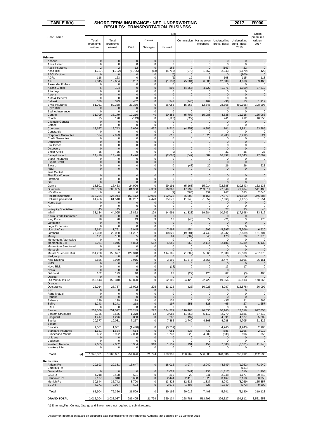| $TABLE 8(b)$                                   |                       | SHORT-TERM INSURANCE : NET UNDERWRITING |                                         |                      |                            |                          |                             |                            | 2017                        | <b>R'000</b>           |
|------------------------------------------------|-----------------------|-----------------------------------------|-----------------------------------------|----------------------|----------------------------|--------------------------|-----------------------------|----------------------------|-----------------------------|------------------------|
|                                                |                       |                                         | <b>RESULTS: TRANSPORTATION BUSINESS</b> |                      |                            |                          |                             |                            |                             |                        |
|                                                |                       |                                         |                                         |                      | Net                        |                          |                             |                            |                             | Gross                  |
| Short name                                     | Total                 | Total                                   |                                         | Claims               |                            | Commission               | Management                  | Underwriting               | Underwriting                | premiums<br>written    |
|                                                | premiums              | premiums                                |                                         |                      |                            |                          | expenses                    | profit / (loss)            | profit / (loss)             | 2017                   |
|                                                | written               | earned                                  | Paid                                    | Salvages             | Incurred                   |                          |                             |                            | 2016                        |                        |
| Primary:                                       |                       |                                         |                                         |                      |                            |                          |                             |                            |                             |                        |
| Abacus                                         | $\mathbf 0$           | $\mathbf 0$                             | $\mathbf 0$                             | $\mathbf 0$          | $\mathbf 0$                | $\mathbf{0}$             | $\mathbf{0}$                | $\mathbf 0$                | $\mathbf 0$                 | $\pmb{0}$              |
| Absa Idirect<br>Absa Insurance                 | 0<br>$\overline{2}$   | 0<br>$\overline{2}$                     | 0<br>12                                 | 0<br>$\mathbf{0}$    | 0<br>166                   | 0<br>$\mathbf 0$         | 0<br>$\mathbf 0$            | 0<br>(163)                 | 0<br>22                     | 0<br>$\mathbf 0$       |
| Absa Risk                                      | (1,787)               | (1,782)                                 | (6, 705)                                | (13)                 | (4, 719)                   | (973)                    | 1,567                       | 2,343                      | (6, 679)                    | (422)                  |
| <b>AECI Captive</b><br>AGRe                    | 0<br>118              | $\mathbf 0$<br>123                      | $\mathbf 0$<br>$\mathbf 0$              | $\pmb{0}$<br>0       | (0)<br>(2)                 | $\mathbf 0$<br>12        | $\mathbf 0$<br>5            | $\mathbf 0$<br>108         | (900)<br>115                | $\mathbf 0$<br>118     |
| <b>AIG</b>                                     | 9,845                 | 12,654                                  | 3,257                                   | 0                    | (1, 137)                   | (5, 284)                 | 6,386                       | 12,689                     | 4,068                       | 39,465                 |
| Alexander Forbes<br>Allianz Global             | 0<br>6                | 0<br>194                                | 0<br>$\mathbf 0$                        | 0<br>$\mathbf{0}$    | 0<br>803                   | 0                        | 0<br>4,722                  | 0                          | 0<br>(1,959)                | 0<br>37,212            |
| Attorneys                                      | 0                     | $\mathbf 0$                             | 0                                       | 0                    | 0                          | (4, 255)<br>$\Omega$     | $\mathbf 0$                 | (1,076)<br>$\Omega$        | $\Omega$                    | 0                      |
| Aurora                                         | 0                     | $\mathbf 0$                             | $\mathbf 0$                             | 0                    | $\mathbf 0$                | $\pmb{0}$                | $\mathbf 0$                 | $\mathbf 0$                | 0                           | 0                      |
| Auto & General<br><b>Bidvest</b>               | 0<br>339              | $\mathbf 0$<br>323                      | $\mathbf 0$<br>402                      | 0<br>0               | 0<br>342                   | 0<br>(145)               | $\mathbf 0$<br>162          | 0<br>(36)                  | $\mathbf 0$<br>53           | 0<br>1,917             |
| Bryte Insurance                                | 81,051                | 82,338                                  | 33,360                                  | 0                    | 26,053                     | 15,268                   | 12,348                      | 28,668                     | (50, 955)                   | 108,998                |
| <b>Bryte Risk</b><br><b>Budget Insurance</b>   | 0<br>0                | $\mathbf 0$<br>0                        | $\mathbf 0$<br>$\mathbf 0$              | $\mathbf 0$<br>0     | $\mathbf 0$<br>$\mathbf 0$ | $\pmb{0}$<br>$\mathbf 0$ | $\mathbf{0}$<br>$\mathbf 0$ | $\mathbf 0$<br>$\mathbf 0$ | $\mathbf{0}$<br>$\mathbf 0$ | 0<br>0                 |
| Centriq                                        | 31,709                | 35,179                                  | 19,210                                  | 40                   | 20,355                     | (5,702)                  | 15,988                      | 4,538                      | 21,318                      | 125,065                |
| Chubb<br><b>Clientele General</b>              | 25<br>0               | 198<br>$\pmb{0}$                        | (119)<br>$\pmb{0}$                      | 0<br>0               | (126)<br>$\mathbf 0$       | (622)<br>$\pmb{0}$       | 5<br>$\mathbf 0$            | 941<br>$\mathbf 0$         | 912<br>$\mathbf 0$          | 10,555<br>0            |
| Coface                                         | 0                     | 0                                       | 0                                       | 0                    | 0                          | 0                        | 0                           | 0                          | 0                           | 0                      |
| Compass<br>Constantia                          | 13,677<br>0           | 13,743<br>$\mathbf 0$                   | 6,666<br>0                              | 457<br>0             | 8,510<br>$\Omega$          | (4, 251)<br>0            | 9,383<br>$\mathbf 0$        | 101<br>$\mathbf 0$         | 3,991<br>$\mathbf 0$        | 53,285<br>0            |
| Corporate Guarantee                            | 524                   | 7,923                                   | $\mathbf 0$                             | $\pmb{0}$            | 612                        | 8                        | 1,020                       | 6,283                      | (2, 212)                    | 524                    |
| <b>Credit Guarantee</b><br>Densecure           | 0<br>0                | 0<br>$\pmb{0}$                          | 0<br>0                                  | 0<br>0               | 0<br>$\mathbf 0$           | 0<br>$\mathbf 0$         | 0<br>$\mathbf{0}$           | 0<br>$\mathbf{0}$          | 0<br>$\mathbf 0$            | 0<br>0                 |
| <b>Dial Direct</b>                             | 0                     | 0                                       | 0                                       | 0                    | 0                          | 0                        | 0                           | 0                          | 0                           | 0                      |
| <b>Discovery</b><br><b>Enpet Africa</b>        | $\mathbf{0}$<br>35    | $\mathbf 0$<br>35                       | $\mathbf 0$<br>$\mathbf 0$              | 0<br>0               | $\pmb{0}$<br>(0)           | $\pmb{0}$<br>0           | $\mathbf 0$<br>4            | $\mathbf 0$<br>31          | $\mathbf 0$<br>35           | $\mathbf 0$<br>35      |
| <b>Escap Limited</b>                           | 14,420                | 14,420                                  | 1,426                                   | $\mathbf 0$          | (2,006)                    | (647)                    | 582                         | 16,492                     | 23,343                      | 17,699                 |
| Etana Insurance<br><b>Export Credit</b>        | 0<br>0                | 0<br>$\pmb{0}$                          | 0<br>$\pmb{0}$                          | 0<br>0               | 0<br>$\pmb{0}$             | 0<br>$\mathbf{0}$        | 0<br>$\mathbf{0}$           | 0<br>$\mathbf 0$           | 0<br>$\mathbf{0}$           | 0<br>$\mathbf 0$       |
| Exxaro                                         | 0                     | 0                                       | 0                                       | 0                    | 0                          | (47)                     | 20                          | 26                         | 26                          | 623                    |
| <b>FEM</b><br><b>First Central</b>             | 0                     | 0                                       | 0                                       | 0                    | $\pmb{0}$                  | $\mathbf 0$              | $\mathbf{0}$                | $\mathbf 0$                | $\mathbf 0$                 | $\mathbf 0$            |
| First For Women                                | $\mathbf 0$           | $\mathbf 0$                             | $\mathbf 0$                             | $\bf 0$              | $\bf 0$                    | $\pmb{0}$                | $\mathbf 0$                 | $\mathbf 0$                | $\mathbf 0$                 | $\mathsf{O}\xspace$    |
| Firstrand<br>G <sub>4</sub> S                  | 0<br>$\Omega$         | 0<br>$\Omega$                           | 0<br>$\mathbf 0$                        | 0<br>0               | 0<br>$\mathbf 0$           | 0<br>$\mathbf 0$         | 0<br>$\mathbf{0}$           | 0<br>$\mathbf 0$           | $\mathbf 0$<br>$\Omega$     | 0<br>$\mathbf 0$       |
| Genric                                         | 18,501                | 16,453                                  | 24,906                                  | 0                    | 29,191                     | (5, 163)                 | 15,014                      | (22, 588)                  | (10, 843)                   | 152,133                |
| Guardrisk<br><b>HDI Global</b>                 | 396,330<br>0          | 380,965<br>$\mathbf 0$                  | 81,960<br>$\mathbf 0$                   | 4,359<br>0           | 76,363<br>(1)              | 17,739<br>(585)          | 209,814<br>339              | 77,049<br>247              | 71,984<br>383               | 511,408<br>7,040       |
| Hollard Insurance                              | 312,234               | 324,944                                 | 163,412                                 | 10,960               | 152,028                    | 66,883                   | 8,155                       | 97,877                     | 101,550                     | 376,387                |
| <b>Hollard Specialised</b><br>Home Loan        | 61,486<br>0           | 61,510<br>$\mathbf 0$                   | 39,267<br>$\mathbf 0$                   | 4,470<br>$\mathbf 0$ | 35,578<br>0                | 11,940<br>0              | 21,652<br>0                 | (7,660)<br>0               | (1,627)<br>$\mathbf 0$      | 61,551<br>$\mathbf 0$  |
| IGF                                            | 0                     | 0                                       | 0                                       | 0                    | 0                          | 0                        | 0                           | $\Omega$                   | $\mathbf 0$                 | 0                      |
| <b>Indequity Specialised</b><br>Infiniti       | 45<br>33,134          | 45<br>44,095                            | 4<br>13,852                             | 0<br>129             | 3<br>14,991                | 3                        | 12<br>19,684                | 27<br>10,743               | 33                          | 45<br>83,812           |
| Khula Credit Guarantee                         | 0                     | $\mathbf 0$                             | $\mathbf 0$                             | $\pmb{0}$            | 0                          | (1, 323)<br>$\Omega$     | $\mathbf{0}$                | $\Omega$                   | (17, 698)<br>$\Omega$       | $\pmb{0}$              |
| King Price<br>Landbank                         | 28                    | 28                                      | 13                                      | 3                    | 18                         | (46)                     | 77                          | (21)                       | 3                           | 176                    |
| <b>Legal Expenses</b>                          | 0<br>0                | $\mathbf 0$<br>0                        | $\mathbf 0$<br>$\mathbf 0$              | 0<br>0               | $\pmb{0}$<br>0             | $\mathbf{0}$<br>0        | $\mathbf{0}$<br>$\mathbf 0$ | $\mathbf 0$<br>$\mathbf 0$ | $\mathbf 0$<br>$\mathbf 0$  | $\mathbf 0$<br>0       |
| Lion of Africa                                 | 2,612<br>23.050       | 1,751<br>23.050                         | 6,945                                   | 0                    | 7,997                      | 154                      | 1,995<br>34.743             | (8, 395)                   | (5,706)                     | 6,920                  |
| Lombard<br>Miway                               | 191                   | 188                                     | 11,297<br>55                            | 0<br>$\pmb{0}$       | 10,820<br>61               | (19, 281)<br>(389)       | 343                         | (3, 232)<br>173            | (2, 589)<br>70              | 161,704<br>1,270       |
| Momentum Alternative                           | 0                     | 0                                       | 0                                       | 0                    | 0                          | 0                        | 0                           | 0                          | 0                           | 0                      |
| Momentum STI<br>Momentum Structured            | 6,061<br>0            | 6,046<br>$\mathbf 0$                    | 4,853<br>$\mathbf 0$                    | 562<br>0             | 5,550<br>0                 | 568<br>0                 | 2,114<br>$\mathbf 0$        | (2, 186)<br>0              | 2,789<br>$\mathbf 0$        | 6,130<br>0             |
| Monarch                                        | $\pmb{0}$             | $\pmb{0}$                               | 0                                       | 0                    | $\mathbf 0$                | $\pmb{0}$                | $\mathbf 0$                 | $\mathbf 0$                | $\mathbf 0$                 | $\pmb{0}$              |
| Mutual & Federal Risk<br>Nedgroup              | 151,260<br>0          | 150,677<br>0                            | 129,348<br>$\mathbf 0$                  | 0<br>0               | 114,105<br>$\mathbf 0$     | (1,082)<br>$\mathbf 0$   | 5,565<br>$\mathbf 0$        | 32,089<br>$\mathbf 0$      | 25,539<br>$\mathbf 0$       | 407,075<br>$\mathbf 0$ |
| New National                                   | 8,886                 | 8,959                                   | 3,915                                   | 0                    | 3,195                      | (1, 375)                 | 3,665                       | 3,474                      | 3,606                       | 26,151                 |
| <b>NMS</b><br>Nova Risk                        | 0<br>0                | $\mathbf 0$<br>0                        | 0<br>0                                  | 0<br>0               | $\mathbf 0$<br>(13)        | 0<br>$\Omega$            | $\mathbf 0$<br>$\Omega$     | $\mathbf 0$<br>13          | $\mathbf 0$<br>17           | $\mathbf 0$<br>0       |
| Nzalo                                          | 0                     | 0                                       | 0                                       | 0                    | $\mathbf 0$                | 0                        | $\mathbf 0$                 | $\mathbf 0$                |                             | $\mathsf{O}\xspace$    |
| Oakhurst<br>Oakleaf                            | 162<br>0              | 179<br>$\mathbf{0}$                     | 10<br>$\mathbf 0$                       | 0<br>$\mathbf 0$     | 23<br>$\mathbf{0}$         | (29)<br>$\mathbf{0}$     | 123<br>$\mathbf{0}$         | 62<br>$\mathbf{0}$         | (3)<br>$\mathbf{0}$         | 480<br>$\mathbf 0$     |
| Old Mutual Insure                              | 155,143               | 158,310                                 | 60,820                                  | 0                    | 52,105                     | 34,429                   | 22,720                      | 49,056                     | 35,813                      | 178,666                |
| Orange<br>Outsurance                           | 26,014                | 25,737                                  | 16,022                                  | 225                  | 13,125                     | (26)                     | 16,925                      | (4, 287)                   | (12, 578)                   | 26,092                 |
| <b>PPS</b>                                     | 0                     | $\mathbf 0$                             | $\mathbf 0$                             | 0                    | $\bf{0}$                   | $\mathbf 0$              | $\bf{0}$                    | 0                          | $\mathbf 0$                 | $\pmb{0}$              |
| Rand Mutual<br>Renasa                          | 0<br>0                | 0<br>$\mathbf 0$                        | 0<br>$\mathbf 0$                        | 0<br>$\mathbf 0$     | 0<br>$\mathbf 0$           | 0<br>$\mathbf 0$         | 0<br>$\mathbf 0$            | 0<br>$\mathbf 0$           | 0<br>$\mathbf 0$            | 0<br>$\mathbf 0$       |
| Sabsure                                        | 129                   | 129                                     | 129                                     | 0                    | 134                        | 0                        | 30                          | (35)                       | 31                          | 565                    |
| Safire<br>SAHL                                 | 1,243<br>0            | 1,241<br>0                              | 218<br>0                                | 0<br>0               | 197<br>0                   | 251<br>0                 | 328<br>0                    | 465<br>0                   | 27<br>0                     | 1,257<br>0             |
| Santam                                         | 554,308               | 551,522                                 | 326,249                                 | 272                  | 354,279                    | 110,468                  | 76,630                      | 10,145                     | 17,518                      | 697,658                |
| Santam Structured<br>Sasguard                  | 9,786<br>4,417        | 3,555<br>4,276                          | 1,378<br>860                            | 12<br>$\mathbf 0$    | 3,084<br>282               | (1,863)<br>(97)          | 5,112<br>0                  | (2, 779)<br>4,091          | 1,886<br>4,577              | 57,312<br>5,202        |
| Sasria                                         | 20,377                | 19,081                                  | 7,257                                   | 0                    | 7,885                      | 2,740                    | 4,368                       | 4,088                      | 4,705                       | 21,326                 |
| Saxum<br>Shoprite                              | 1,001                 | 1,001                                   | (1, 448)                                | 0                    | (3,739)                    | 0                        | $\mathbf 0$                 | 4,740                      | (4, 943)                    | 2,986                  |
| Standard Insurance                             | 1,631                 | 1,634                                   | 614                                     | 0                    | 951                        | 836                      | 433                         | (585)                      | 1,195                       | 2,012                  |
| Sunderland Marine<br>Unitrans                  | 622<br>$\mathbf 0$    | 5,922<br>$\mathbf 0$                    | 2,098<br>$\mathbf 0$                    | 0<br>$\pmb{0}$       | 1,737<br>$\mathbf 0$       | 523<br>$\mathbf 0$       | 4,200<br>$\mathbf 0$        | (538)<br>$\mathbf 0$       | 596<br>$\mathbf 0$          | 856<br>$\mathbf 0$     |
| Vodacom                                        | 0                     | 0                                       | $\mathbf 0$                             | 0                    | 0                          | $\mathbf 0$              | $\mathbf 0$                 | $\mathbf 0$                | 0                           | 0                      |
| <b>Western National</b><br><b>Workers Life</b> | 7,685<br>0            | 9,032<br>0                              | 3,354<br>0                              | 318<br>0             | 1,139<br>0                 | 131<br>0                 | 154<br>0                    | 7,608<br>0                 | (6, 521)<br>0               | 11,248<br>0            |
|                                                |                       |                                         |                                         |                      |                            |                          |                             |                            |                             |                        |
| Total<br>(a)                                   | 1,946,301             | 1,965,681                               | 954,896                                 | 21,794               | 929,938                    | 208,769                  | 506,388                     | 320,586                    | 200,992                     | 3,202,535              |
| <b>Reinsurers:</b><br>African Re               | 20,693                | 20,381                                  | 15,647                                  | 0                    | 18,016                     | 3,974                    | 2,940                       | (4, 549)                   | (1,062)                     | 71,949                 |
| <b>Emeritus Re</b>                             |                       |                                         |                                         |                      |                            |                          |                             |                            | (131)                       |                        |
| General Re<br>GIC Re                           | $\mathbf{0}$<br>4,218 | $\mathbf 0$<br>3,428                    | $\mathbf 0$<br>691                      | $\pmb{0}$<br>0       | 2,022<br>310               | (341)<br>29              | 136<br>841                  | (1, 817)                   | 310<br>1,177                | 1,905<br>30,249        |
| Hannover Re                                    | 9,177                 | 9,848                                   | 5,688                                   | 0                    | 2,444                      | 2,410                    | 1,828                       | 2,248<br>3,167             | 2,168                       | 50,053                 |
| Munich Re<br><b>SCOR</b>                       | 30,644<br>4,171       | 35,742<br>2,957                         | 8,790<br>693                            | 0<br>0               | 13,828<br>2,576            | 12,535<br>1,405          | 1,337<br>325                | 8,042<br>(1, 349)          | (8, 269)<br>(373)           | 155,357<br>9,609       |
|                                                |                       |                                         |                                         |                      |                            |                          |                             |                            |                             |                        |
| Total                                          | 68,904                | 72,356                                  | 31,509                                  | 0                    | 39,195                     | 20,012                   | 7,408                       | 5,741                      | (6, 180)                    | 319,123                |
| <b>GRAND TOTAL</b>                             | 2,015,204             | 2,038,037                               | 986,405                                 | 21,794               | 969,134                    | 228,781                  | 513,796                     | 326,327                    | 194,812                     | 3,521,658              |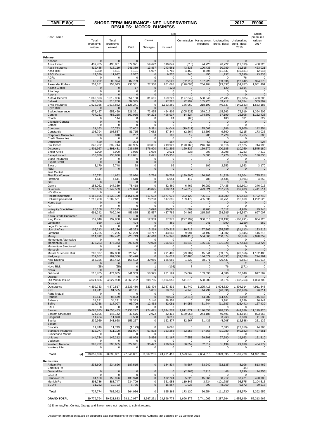| TABLE 8(c)                                     |                          |                        | SHORT-TERM INSURANCE : NET  UNDERWRITING |                       |                           |                        |                          |                            | 2017                     | <b>R'000</b>             |
|------------------------------------------------|--------------------------|------------------------|------------------------------------------|-----------------------|---------------------------|------------------------|--------------------------|----------------------------|--------------------------|--------------------------|
|                                                |                          |                        | <b>RESULTS: MOTOR BUSINESS</b>           |                       |                           |                        |                          |                            |                          |                          |
|                                                |                          |                        |                                          |                       | Net                       |                        |                          |                            |                          | Gross                    |
| Short name                                     | Total                    | Total                  |                                          | Claims                |                           | Commission             | Management               | Underwriting               | Underwriting             | premiums<br>written      |
|                                                | premiums<br>written      | premiums<br>earned     | Paid                                     | Salvages              | Incurred                  |                        | expenses                 | profit / (loss)            | profit / (loss)<br>2016  | 2017                     |
|                                                |                          |                        |                                          |                       |                           |                        |                          |                            |                          |                          |
| Primary:                                       |                          |                        |                                          |                       |                           |                        |                          |                            |                          |                          |
| Abacus<br>Absa Idirect                         | $\mathbf 0$<br>439,705   | $\mathbf 0$<br>436,881 | $\overline{0}$<br>372,371                | $\mathbf 0$<br>59,622 | $\overline{0}$<br>316,049 | $\mathbf{0}$<br>(610)  | $\overline{0}$<br>94,720 | $\mathbf 0$<br>26,722      | $\mathbf 0$<br>(11, 313) | $\Omega$<br>450,220      |
| Absa Insurance                                 | 412,485                  | 418,119                | 241,389                                  | 13,867                | 243,561                   | 43,333                 | 100,435                  | 30,789                     | 31,515                   | 423,021                  |
| Absa Risk<br><b>AECI Captive</b>               | 6,380<br>12,350          | 6,401<br>11,997        | 5,131<br>8,537                           | 4,907<br>0            | 4,786<br>9,570            | 4,458<br>740           | 8,694<br>450             | (11, 537)<br>1,237         | (16, 831)<br>(2, 595)    | (2,047)<br>13,535        |
| AGRe                                           | 0                        | 0                      | 0                                        | 0                     | 0                         | 0                      | 0                        | $\Omega$                   | 76                       | $\Omega$                 |
| <b>AIG</b><br>Alexander Forbes                 | 66.222<br>254,181        | 80,394<br>254,043      | 87,789<br>236,351                        | 0<br>27,330           | 65.520<br>201,668         | (62.719)<br>(178, 093) | 137,228<br>254,104       | (59.636)<br>(23, 637)      | (12.942)<br>(34, 787)    | 394,673<br>1,051,401     |
| <b>Allianz Global</b>                          | 0                        | 0                      | 17                                       | 0                     | (120)                     | 0                      | 0                        | 120                        | 1,814                    | $\mathbf 0$              |
| Attorneys<br>Aurora                            | 0<br>$\mathbf 0$         | 0<br>$\mathbf{0}$      | 0<br>0                                   | 0<br>$\mathbf 0$      | 0<br>$\mathbf 0$          | 0<br>$\mathbf 0$       | 0<br>0                   | $\mathbf 0$<br>$\mathbf 0$ | 0<br>$\overline{0}$      | 0<br>$\mathbf{0}$        |
| Auto & General<br><b>Bidvest</b>               | 1,060,593<br>295,886     | 1,012,936<br>315,260   | 654,150<br>99,345                        | 81,661<br>0           | 659,227<br>97,326         | (177, 342)<br>22,999   | 508,346<br>155,223       | 22,705<br>39,712           | (15, 985)<br>69,034      | 2,433,205<br>369,399     |
| <b>Bryte Insurance</b>                         | 1,525,365                | 1,517,882              | 1,128,241                                | 0                     | 1,153,260                 | 186,960                | 218,199                  | (40, 537)                  | (140, 533)               | 1,533,186                |
| <b>Bryte Risk</b><br><b>Budget Insurance</b>   | 0<br>676,427             | 0<br>653,459           | 0<br>521,321                             | $\pmb{0}$<br>72,435   | 0<br>464,402              | 0<br>(305, 523)        | 0<br>379,017             | 0<br>115,563               | $\mathbf 0$<br>72,919    | $\mathbf 0$<br>1,394,209 |
| Centrig                                        | 707,231                  | 753,268                | 560,965                                  | 64,273                | 496,937                   | 14,324                 | 174,809                  | 67,199                     | 26,508                   | 1,152,428                |
| Chubb<br><b>Clientele General</b>              | 0<br>0                   | 144<br>$\mathbf 0$     | 0<br>0                                   | 0<br>0                | 24<br>0                   | (63)<br>$\mathbf 0$    | 0<br>0                   | 183<br>$\mathbf{0}$        | 331<br>$\mathbf 0$       | 622<br>$\mathbf 0$       |
| Coface                                         | 0<br>21,163              | 0<br>20,783            | 0<br>20,602                              | 0<br>9,391            | 0<br>14,041               | 0<br>(19, 611)         | 0<br>25,067              | $\mathbf 0$<br>1,286       | 0                        | 0<br>142,354             |
| Compass<br>Constantia                          | 108,794                  | 108,537                | 81,715                                   | 7,082                 | 87,344                    | (2.264)                | 13,597                   | 9,860                      | (4,805)<br>9,115         | 173,035                  |
| Corporate Guarantee<br><b>Credit Guarantee</b> | 800<br>0                 | 3,918<br>0             | 267<br>0                                 | $\pmb{0}$<br>$\bf 0$  | 192<br>0                  | 12<br>0                | 985<br>$\mathbf 0$       | 2,729<br>$\mathbf 0$       | 3,765<br>0               | 800<br>$\mathbf 0$       |
| Densecure                                      | 430                      | 430                    | 204                                      | 0                     | 167                       | 32                     | 68                       | 162                        | (1, 350)                 | 524                      |
| <b>Dial Direct</b><br><b>Discovery</b>         | 340,732<br>1,401,967     | 332,744<br>1,391,481   | 269,905<br>936,835                       | 60,831<br>176,920     | 219,927<br>801,292        | (170, 163)<br>120,332  | 246,364<br>169,672       | 36,616<br>300,185          | 27,525<br>110,059        | 744.995<br>1,545,180     |
| <b>Enpet Africa</b>                            | 5,900                    | 5,900                  | 3,965                                    | 1,099                 | 2,931                     | (236)                  | 907                      | 2,298                      | 1,283                    | 7,312                    |
| <b>Escap Limited</b><br>Etana Insurance        | 138,830<br>0             | 138,830<br>0           | 114,841<br>0                             | 2,671<br>0            | 125.955<br>0              | $\pmb{0}$<br>0         | 5,600<br>0               | 7,276<br>0                 | 15,560<br>0              | 138,830<br>0             |
| <b>Export Credit</b><br>Exxaro                 | 0<br>3,170               | 0<br>2,748             | 0<br>58                                  | 0<br>0                | 0<br>92                   | $\pmb{0}$<br>0         | 0<br>102                 | 0<br>2,553                 | 0<br>1,953               | $\mathbf 0$<br>3,170     |
| <b>FEM</b>                                     | 0                        | $\mathbf 0$            | $\mathbf 0$                              | $\overline{0}$        | $\mathbf 0$               | $\mathbf 0$            | 0                        | $\mathbf{0}$               | $\mathbf 0$              | $\mathbf 0$              |
| <b>First Central</b><br>First For Women        | 20,772                   | 14,652                 | 26,970                                   | 3,764                 | 26,709                    | (189,990)              | 126,105                  | 51,829                     | 29,204                   | 735,224                  |
| Firstrand                                      | 4,641                    | 4,641                  | 6,510                                    | 0                     | 6,951                     | 417                    | 708                      | (3, 434)                   | (1,994)                  | 4,850                    |
| G4S<br>Genric                                  | 0<br>153,062             | 0<br>147,339           | 0<br>78,418                              | 0<br>0                | 0<br>82,460               | $\pmb{0}$<br>6,462     | 0<br>30,982              | $\Omega$<br>27,435         | $\Omega$<br>(19,601)     | 0<br>346,015             |
| Guardrisk                                      | 1,786,669                | 1,749,563              | 974,896                                  | 40,825                | 938,514                   | 124,812                | 479,021                  | 207,216                    | 137,203                  | 2,411,514                |
| <b>HDI Global</b><br><b>Hollard Insurance</b>  | 0<br>4,163,595           | 0<br>4,239,199         | 0<br>3,151,698                           | 0<br>517,532          | 0<br>2,577,978            | 0<br>382,129           | 0<br>795,812             | 0<br>483,280               | 0<br>(70, 433)           | 0<br>4,792,742           |
| <b>Hollard Specialised</b><br>Home Loan        | 1,210,280<br>0           | 1,209,561<br>0         | 619,218<br>0                             | 73,280<br>0           | 517,695<br>0              | 139,479<br>0           | 455,636<br>0             | 96,751<br>$\mathbf 0$      | 110,669<br>0             | 1,222,525<br>$\pmb{0}$   |
| IGF                                            | 0                        | 0                      | 0                                        | 0                     | 0                         | 0                      | 0                        | 0                          | 0                        | $\Omega$                 |
| <b>Indequity Specialised</b><br>Infiniti       | 28,158<br>691,242        | 28,175<br>709,246      | 17,894<br>456,855                        | 3,098<br>33,557       | 16,093<br>437,782         | 1,802<br>94,466        | 8,268<br>215,587         | 2,012<br>(38, 589)         | 4,986<br>(45, 597)       | 29,243<br>697,007        |
| Khula Credit Guarantee                         | $\mathbf 0$              | $\mathbf{0}$           | $\mathbf 0$                              | $\overline{0}$        | $\overline{0}$            | $\mathbf{0}$           | 0                        | $\mathbf 0$                | $\mathbf 0$              | $\mathbf{0}$             |
| King Price<br>Landbank                         | 137,848<br>660           | 137,858<br>723         | 58,078<br>494                            | 12,309<br>0           | 37,373<br>469             | (227, 199)<br>103      | 380,816<br>941           | (53, 132)<br>(790)         | (106, 991)<br>(1, 159)   | 864,726<br>662           |
| Legal Expenses<br>Lion of Africa               | 0                        | 0<br>83,136            | 0<br>49,323                              | 0                     | 0<br>100,212              | 0<br>10,718            | 0                        | 0<br>(55, 655)             | 0<br>(31, 113)           | $\Omega$<br>133,915      |
| Lombard                                        | 106,213<br>71,755        | 72,235                 | 59,229                                   | 3,219<br>10,717       | 43,646                    | 9,994                  | 27,862<br>23,497         | (4,902)                    | (5,945)                  | 146,215                  |
| Miway<br>Momentum Alternative                  | 314,812<br>0             | 309,472<br>0           | 228,719<br>$\mathbf 0$                   | 47,618<br>0           | 184,948<br>0              | (640, 416)<br>0        | 564,566<br>0             | 200,374<br>$\mathbf 0$     | 66,859<br>0              | 2,090,059<br>0           |
| Momentum STI                                   | 478,283                  | 476,373                | 390,659                                  | 70,028                | 366,613                   | 44,840                 | 166,847                  | (101, 928)                 | (177, 443)               | 483,726                  |
| Momentum Structured<br>Monarch                 | 0<br>$\mathbf 0$         | 0<br>0                 | 0<br>0                                   | 0<br>0                | 0<br>0                    | 0<br>$\pmb{0}$         | 0<br>0                   | 0<br>0                     | 0<br>0                   | 0<br>$\pmb{0}$           |
| Mutual & Federal Risk<br>Nedgroup              | 203.377<br>239,657       | 187,880                | 320,571                                  | 0<br>0                | 291,400                   | (79,787)               | 15,641                   | (39,374)<br>(146, 831)     | (26.556                  | 1,132,400<br>294,261     |
| New National                                   | 168,326                  | 109,350<br>168,452     | 90,498<br>156,602                        | 30,956                | 84,617<br>125,586         | 27,486<br>1,232        | 144,079<br>68,071        | (26, 437)                  | (39, 538)<br>(5,881)     | 531,614                  |
| <b>NMS</b><br>Nova Risk                        | $\mathbf 0$<br>(25)      | $\mathbf 0$<br>(25)    | 0<br>0                                   | 0<br>1                | $\mathbf{0}$<br>(108)     | $\pmb{0}$<br>7         | 0<br>0                   | $\mathbf 0$<br>76          | $\overline{2}$<br>(171)  | $\mathbf 0$<br>0         |
| Nzalo                                          | $\Omega$                 | $\Omega$               | 0                                        | $\pmb{0}$             | 0                         | $\pmb{0}$              | 0                        | $\mathbf 0$                |                          | 0                        |
| Oakhurst<br>Oakleaf                            | 516,705<br>0             | 474,035<br>0           | 341,369<br>0                             | 58,925<br>0           | 281,191<br>0              | 35,062<br>0            | 153,696<br>0             | 4,086<br>0                 | 10,648<br>$\mathbf 0$    | 617,587                  |
| Old Mutual Insure<br>Orange                    | 4,021,886                | 4,027,990              | 3,363,202                                | 508,785               | 2,804,056                 | 541,878                | 588,980                  | 93,076                     | (132, 753)               | 4,083,700                |
| Outsurance                                     | 4,899,733                | 4,879,517              | 2,633,480                                | 623,404               | 2,037,832                 | 11,749                 | 1,225,416                | 1,604,520                  | 1,304,914                | 4,911,848                |
| <b>PPS</b><br><b>Rand Mutual</b>               | 91,741<br>$\Omega$       | 91,535<br>0            | 66,141<br>$\Omega$                       | 5,831<br>$\mathbf 0$  | 68,750<br>0               | 4,948<br>$\mathbf 0$   | 44,734<br>$^{\circ}$     | (26, 896)<br>$\Omega$      | (30, 960)<br>$\Omega$    | 96,011<br>$\Omega$       |
| Renasa                                         | 85,517                   | 85,579                 | 76,803                                   | $\pmb{0}$             | 78,034                    | (22, 316)              | 44,287                   | (14, 427)                  | 3,600                    | 746,846                  |
| Sabsure<br>Safire                              | 34,291<br>117,758        | 34,291<br>117,097      | 28,363<br>93,706                         | 3,140<br>12,463       | 28,354<br>82,081          | 0<br>14,955            | 1,956<br>31,744          | 3,981<br>(11, 683)         | 9,259<br>(26, 441)       | 36,442<br>127,439        |
| SAHL<br>Santam                                 | 0<br>10,695,635          | 0<br>10,655,433        | 0<br>7,936,277                           | 0<br>924,471          | 0<br>7,144,274            | 0<br>1,811,871         | $\mathbf 0$<br>1,170,658 | 0<br>528,630               | $\Omega$<br>444,189      | 0<br>11,199,420          |
| Santam Structured                              | 124,105                  | 146,142                | 49,576                                   | 2,972                 | 42,418                    | (180, 955)             | 244,188                  | 40,491                     | (14, 814)                | 893,658                  |
| Sasguard<br>Sasria                             | 11,464<br>239,959        | 11,873<br>241,668      | 9,530<br>156,267                         | $\bf{0}$<br>0         | 8,619<br>162,877          | (9)<br>32,267          | $\mathbf 0$<br>51,433    | 3,263<br>(4,908)           | 3,988<br>(12, 588)       | 11,538<br>251,132        |
| Saxum                                          |                          |                        |                                          |                       |                           |                        |                          |                            |                          |                          |
| Shoprite<br>Standard Insurance                 | 11,749<br>415,077        | 11,749<br>411,100      | (1, 123)<br>351,907                      | 0<br>57,892           | 9,065<br>323,263          | 0<br>52,258            | -1<br>67,568             | 2,683<br>(31, 989)         | (12, 850)<br>(40, 582)   | 14,383<br>427,661        |
| Sunderland Marine<br>Unitrans                  | $\Omega$<br>144,734      | $\Omega$<br>146,212    | $\Omega$<br>81,928                       | $\Omega$<br>9,856     | $\Omega$<br>81,167        | $\Omega$<br>7,558      | $\Omega$<br>29,808       | $\Omega$<br>27,680         | $\mathbf 0$<br>19,663    | 0<br>151,810             |
| Vodacom                                        | 0                        | 0                      | 0                                        | 0                     | 0                         | 0                      | 0                        | 0                          | 0                        | 0                        |
| <b>Western National</b><br><b>Workers Life</b> | 383,732<br>0             | 390,655<br>0           | 327,941<br>0                             | 30,497<br>0           | 276,341<br>0              | 30,857<br>0            | 32,319<br>0              | 51,139<br>0                | 29,638<br>0              | 464,779<br>0             |
|                                                |                          |                        |                                          |                       |                           |                        |                          |                            |                          |                          |
| Total<br>(a)                                   | 39,052,020               | 38,838,861             | 27,546,001                               | 3,667,231             | 24,231,410                | 1,523,242              | 9,684,815                | 3,399,395                  | 1,501,729                | 51,921,007               |
| <b>Reinsurers:</b><br>African Re               | 233,606                  | 234,626                | 187,515                                  | $\mathbf 0$           | 184,834                   | 48,687                 | 33,240                   | (32, 135)                  | 8,106                    | 813,462                  |
| <b>Emeritus Re</b>                             |                          |                        |                                          |                       |                           |                        |                          |                            | (44)                     |                          |
| <b>General Re</b><br>GIC Re                    | $\pmb{0}$<br>$\mathbf 0$ | 0<br>0                 | $\mathbf 0$<br>0                         | $\pmb{0}$<br>0        | $\pmb{0}$<br>0            | (2,963)<br>$\mathbf 0$ | 2,915<br>$^{\circ}$      | 48<br>$\mathbf 0$          | 2,290<br>$\mathbf 0$     | 24,756<br>$\Omega$       |
| Hannover Re                                    | 84,150                   | 153,926                | 133,978                                  | $\mathbf 0$           | 102,724                   | 5,625                  | 15,366                   | 30,212                     | 37,471                   | 420,708                  |
| Munich Re<br><b>SCOR</b>                       | 398,786<br>11,232        | 383,747<br>10,723      | 234,709<br>8,735                         | 0<br>0                | 361,953<br>15,857         | 119,846<br>1,936       | 3,734<br>999             | (101, 786)<br>(8,069)      | 96,575<br>9,572          | 2,104,515<br>29,518      |
| Total                                          | 727,774                  | 783,022                | 564,936                                  | 0                     | 665,368                   | 173,130                | 56,254                   | (111, 730)                 | 153,970                  | 3,392,959                |
|                                                |                          |                        |                                          |                       |                           |                        |                          |                            |                          |                          |
| <b>GRAND TOTAL</b>                             | 39,779,794               | 39,621,883             | 28,110,937                               | 3,667,231             | 24,896,778                | 1,696,372              | 9,741,069                | 3,287,664                  | 1,655,699                | 55,313,966               |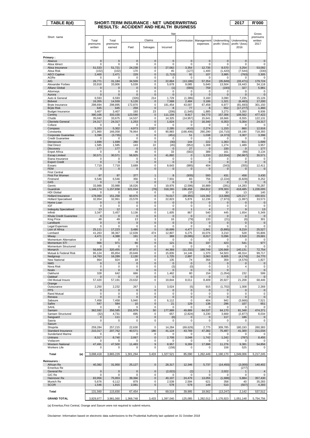| TABLE 8(d)                                             |                     | SHORT-TERM INSURANCE: NET UNDERWRITING       |                            |                    |                       |                         |                     |                       | 2017                    | <b>R'000</b>          |
|--------------------------------------------------------|---------------------|----------------------------------------------|----------------------------|--------------------|-----------------------|-------------------------|---------------------|-----------------------|-------------------------|-----------------------|
|                                                        |                     | <b>RESULTS: ACCIDENT AND HEALTH BUSINESS</b> |                            |                    |                       |                         |                     |                       |                         |                       |
|                                                        |                     |                                              |                            |                    | Net                   |                         |                     |                       |                         | Gross                 |
| Short name                                             | Total               | Total                                        |                            | Claims             |                       | Commission              | Management          | Underwriting          | Underwriting            | premiums<br>written   |
|                                                        | premiums<br>written | premiums<br>earned                           | Paid                       | Salvages           | Incurred              |                         | expenses            | profit / (loss)       | profit / (loss)<br>2016 | 2017                  |
|                                                        |                     |                                              |                            |                    |                       |                         |                     |                       |                         |                       |
| Primary:<br>Abacus                                     | $\mathbf 0$         | $\mathbf{0}$                                 | $\mathbf 0$                | $\mathbf{0}$       | $\pmb{0}$             | $\mathbf 0$             | $\mathbf 0$         | $\mathbf 0$           | $\mathbf 0$             | $\pmb{0}$             |
| Absa Idirect                                           | 0                   | 0                                            | 0                          | 0                  | 0                     | 0                       | 0                   | 0                     | 0                       | 0                     |
| Absa Insurance<br>Absa Risk                            | 51,533<br>(102)     | 51,721<br>(102)                              | 24,238<br>170              | 0<br>0             | 27,062<br>45          | 3,354<br>(127)          | 12,735<br>1,400     | 8,570<br>(1, 420)     | 3,254<br>(7, 544)       | 53,092<br>(330)       |
| <b>AECI Captive</b>                                    | 2,400               | 2,471                                        | 229                        | 0                  | (1, 713)              | 92                      | 107                 | 3,985                 | (763)                   | 3,305                 |
| AGRe<br><b>AIG</b>                                     | 0<br>26,771         | 0<br>31,184                                  | 0<br>34,509                | 0<br>0             | $\Omega$<br>22,864    | $\Omega$<br>(13, 186)   | 0<br>57,354         | $\Omega$<br>(35, 849) | $\Omega$<br>(33, 471)   | 0<br>179.724          |
| Alexander Forbes                                       | 33,918              | 33,906                                       | 5,039                      | 0                  | 5,678                 | 9,085                   | 5,640               | 13,504                | 19,443                  | 34,118                |
| <b>Allianz Global</b><br>Attorneys                     | 0<br>0              | 0<br>$\mathbf 0$                             | $\mathbf 0$<br>$\mathbf 0$ | 0<br>0             | (1)<br>$\Omega$       | (565)<br>0              | 759<br>$\mathbf 0$  | (193)<br>$\Omega$     | 327<br>$\mathbf 0$      | 5,981<br>0            |
| Aurora                                                 | $\overline{0}$      | $\overline{0}$                               | $\mathbf{0}$               | $\mathbf 0$        | $\mathbf{0}$          | $\Omega$                | $\mathbf 0$         | $\Omega$              | $\Omega$                | $\pmb{0}$             |
| Auto & General<br><b>Bidvest</b>                       | 6,593<br>16,355     | 6,593<br>14,559                              | (326)<br>5,126             | 214<br>$\mathbf 0$ | 1,729<br>7,568        | (1, 386)<br>2,484       | 3,160<br>3,186      | 3,090<br>1,321        | 7,235<br>(6, 463)       | 15,126<br>17,200      |
| <b>Bryte Insurance</b>                                 | 298,694             | 298,895                                      | 172,870                    | 0                  | 181,454               | 43,007                  | 67,458              | 6,977                 | (81, 693)               | 301,150               |
| <b>Bryte Risk</b><br><b>Budget Insurance</b>           | 645<br>3,407        | 645<br>3,407                                 | 259<br>193                 | $\mathbf{0}$<br>23 | 8<br>(206)            | 77<br>(1, 545)          | 8<br>1,885          | 552<br>3,273          | (17, 277)<br>3,350      | 1,460<br>6,936        |
| Centriq                                                | 390,166             | 333,155                                      | 123,590                    | $\pmb{0}$          | 111,159               | 9,917                   | 54,773              | 157,306               | 108,562                 | 477,422               |
| Chubb                                                  | 35,042              | 33,675                                       | 14,537                     | 0                  | 14,325                | (14, 957)               | 15,641              | 18,666                | 8,555                   | 122,131               |
| <b>Clientele General</b><br>Coface                     | 24,317<br>$\Omega$  | 24,317<br>0                                  | 1,253<br>$\Omega$          | 0<br>0             | 1,624<br>0            | $\mathbf 0$<br>$\Omega$ | 16,340<br>$\Omega$  | 6,353<br>$\Omega$     | 5,304<br>$\Omega$       | 24,317<br>0           |
| Compass                                                | 5,203               | 5,302                                        | 4,973                      | 2,527              | 2,285                 | (410)                   | 2,274               | 1,153                 | 860                     | 12,916                |
| Constantia<br>Corporate Guarantee                      | 171,960<br>3,396    | 166,058<br>(3,735)                           | 78,964<br>$\mathbf 0$      | 0<br>$\mathbf{0}$  | 90,883<br>(451)       | (168, 406)<br>51        | 260,290<br>1,038    | (16, 710)<br>(4, 373) | 19,190<br>3,307         | 718,393<br>3,396      |
| <b>Credit Guarantee</b>                                | 0                   | 0                                            | 0                          | 0                  | 0                     | 0                       | 0                   | 0                     | 0                       | 0                     |
| Densecure<br><b>Dial Direct</b>                        | 1,699<br>1,585      | 1,699<br>1,585                               | 280<br>143                 | $\mathbf{0}$<br>22 | (30)<br>(45)          | 144<br>(952)            | 222<br>1,308        | 1,363<br>1,274        | 811<br>1,489            | 1,699<br>3,957        |
| <b>Discovery</b>                                       | 177                 | 177                                          | $\mathbf 0$                | 0                  | $\mathbf 0$           | 27                      | $\mathbf 0$         | 150                   | 0                       | 177                   |
| <b>Enpet Africa</b><br><b>Escap Limited</b>            | $\Omega$<br>30,571  | 0<br>30,571                                  | 46<br>56,925               | 0<br>$\pmb{0}$     | 33<br>41,892          | (582)<br>$\mathbf 0$    | 389<br>1,233        | 161<br>(12, 554)      | (99)<br>(50, 967)       | 3,134<br>30,571       |
| Etana Insurance                                        | 0                   | 0                                            | 0                          | 0                  | 0                     | 0                       | 0                   | 0                     | 0                       | 0                     |
| <b>Export Credit</b><br>Exxaro                         | 0<br>7,719          | 0<br>7,719                                   | $\mathbf 0$<br>3,689       | 0<br>0             | 0<br>8,643            | $\mathbf 0$<br>(985)    | 0<br>404            | $\Omega$<br>(343)     | $\Omega$<br>(355)       | $\mathbf 0$<br>12,411 |
| <b>FEM</b>                                             | 0                   | 0                                            | 0                          | 0                  | 0                     | $\mathbf 0$             | 0                   | $\mathbf 0$           | $\mathbf 0$             | 0                     |
| <b>First Central</b><br>First For Women                | 97                  | 97                                           | 377                        | $\mathbf{1}$       | 8                     | (935)                   | 593                 | 431                   | 458                     | 3,430                 |
| Firstrand                                              | 6,546               | 6,546                                        | 356                        | 0                  | 7,931                 | 83                      | 756                 | (2, 224)              | (6, 828)                | 9,252                 |
| G4S                                                    | $\mathbf 0$         | $\overline{0}$                               | $\mathbf 0$                | 0                  | $\Omega$              | $\Omega$                | $\Omega$            | $\Omega$              | $\Omega$                | $\mathbf 0$           |
| Genric<br>Guardrisk                                    | 33,988<br>1,146,174 | 33,988<br>1,157,838                          | 18,026<br>321,034          | 0<br>(78)          | 19,976<br>318,265     | (2,596)<br>196,458      | 16,889<br>264,812   | (281)<br>378,303      | 14,283<br>418,485       | 70,287<br>1,228,005   |
| <b>HDI Global</b>                                      | $\Omega$            | 0                                            | $\mathbf 0$                | 0                  | $\Omega$              | (37)                    | 7                   | 30                    | 13                      | 140                   |
| <b>Hollard Insurance</b><br><b>Hollard Specialised</b> | 178,060<br>32,954   | 151,258<br>32,961                            | 60,976<br>23,578           | $\pmb{0}$<br>0     | 74,017<br>22,823      | (28, 955)<br>5,876      | 119,282<br>12,236   | (13,086)<br>(7, 973)  | 120,217<br>(1,997)      | 430,931<br>33,573     |
| Home Loan                                              | 0                   | 0                                            | $\mathbf 0$                | 0                  | 0                     | $\mathbf 0$             | 0                   | $\mathbf 0$           | $\mathbf 0$             | $\mathbf 0$           |
| IGF<br><b>Indequity Specialised</b>                    | 0<br>13             | 0<br>12                                      | $\mathbf 0$<br>$\mathbf 0$ | 0<br>0             | $\Omega$<br>0         | $\Omega$<br>-1          | 0<br>$\overline{4}$ | $\Omega$<br>7         | $\Omega$<br>9           | 0<br>13               |
| Infiniti                                               | 3,347               | 3,457                                        | 3,136                      | 0                  | 1,605                 | 867                     | 540                 | 445                   | 1,654                   | 5,349                 |
| Khula Credit Guarantee                                 | $\mathbf{0}$        | $\mathbf 0$<br>49                            | $\mathbf{0}$               | 0                  | $\mathbf{0}$          | $\mathbf 0$<br>(79)     | $\mathbf 0$<br>133  | $\mathbf 0$<br>(21)   | $\mathbf 0$             | $\pmb{0}$<br>301      |
| King Price<br>Landbank                                 | 48<br>0             | 0                                            | 13<br>$\mathbf 0$          | 3<br>0             | 16<br>0               | $\mathbf 0$             | $\mathbf 0$         | $\mathbf 0$           | (6)<br>0                | $\mathbf 0$           |
| Legal Expenses                                         | 0                   | 0                                            | 0                          | 0                  | 0                     | 0                       | 0                   | $\mathbf 0$           | $\mathbf 0$             | 0                     |
| Lion of Africa<br>Lombard                              | 25,111<br>41,263    | 17,223<br>38,367                             | 3,486<br>12,639            | $\mathbf 0$<br>474 | 16,699<br>12,807      | 4,477<br>6,275          | 1,941<br>16,076     | (5,895)<br>3,210      | 8,219<br>528            | 25,527<br>55,806      |
| Miway                                                  | 4,471               | 4,388                                        | 191                        | $\mathbf 0$        | 369                   | (9,095)                 | 8,017               | 5,096                 | 2,518                   | 29,681                |
| Momentum Alternative<br>Momentum STI                   | $\mathbf 0$<br>966  | $\mathbf 0$<br>971                           | $\mathbf 0$<br>66          | 0<br>$\pmb{0}$     | 0<br>121              | $\Omega$<br>91          | $\mathbf 0$<br>337  | $\mathbf 0$<br>423    | $\Omega$<br>541         | 0<br>977              |
| Momentum Structured                                    | 0                   | 0                                            | 0                          | 0                  | $\Omega$              | $\Omega$                | $\Omega$            | $\Omega$              | $\Omega$                | 0                     |
| Monarch<br>Mutual & Federal Risk                       | 56,609<br>85,124    | 320,455<br>85,854                            | 47,972<br>20,649           | 0<br>0             | 44,369<br>15,835      | (11, 332)<br>14,146     | 160,749<br>1,370    | 126,668<br>54,503     | 140,131<br>48,314       | 72,754<br>99,717      |
| Nedgroup                                               | 14,763              | 16,289                                       | 2,130                      | 0                  | 1,725                 | 2,897                   | 3,063               | 8,605                 | (4, 174)                | 24,770                |
| New National<br><b>NMS</b>                             | 864<br>$\pmb{0}$    | 924<br>$\pmb{0}$                             | 18<br>0                    | 0<br>0             | 135<br>$\mathbf 0$    | 74<br>$\mathbf 0$       | 356<br>$\mathbf 0$  | 359<br>$\mathbf 0$    | (4, 576)<br>$\mathbf 0$ | 1,827<br>$\mathbf 0$  |
| Nova Risk                                              | 0                   | 0                                            | 0                          | 0                  | (3)                   | (0)                     | 0                   | 3                     | 4                       | 0                     |
| Nzalo<br>Oakhurst                                      | 0<br>328            | 0<br>642                                     | 0<br>666                   | 0<br>0             | $\mathbf{0}$<br>1,462 | $\mathbf 0$<br>80       | 0<br>154            | $\Omega$<br>(1,054)   | 232                     | $\pmb{0}$<br>599      |
| Oakleaf                                                | $\Omega$            | 0                                            | $\mathbf 0$                | 0                  | $\Omega$              | $\mathbf 0$             | $\mathbf 0$         |                       | $\Omega$                | $\pmb{0}$             |
| Old Mutual Insure                                      | 57,420              | 57,191                                       | 23,632                     | 0                  | 19,844                | 8,011                   | 8,409               | 20,927                | 21,208                  | 68,446                |
| Orange<br>Outsurance                                   | 2,250               | 2,232                                        | 267                        | 1                  | 3,024                 | (5)                     | 915                 | (1,702)               | 1,008                   | 2,269                 |
| <b>PPS</b>                                             | 0                   | 0                                            | 0                          | 0                  | $\mathbf 0$           | $\mathbf 0$             | $\mathbf 0$         | $\bf{0}$              | 0                       | $\pmb{0}$             |
| Rand Mutual<br>Renasa                                  | 0<br>0              | 0<br>0                                       | 0<br>0                     | 0<br>0             | 0<br>0                | 0<br>$\mathbf 0$        | 0<br>0              | 0<br>$\mathbf 0$      | 0<br>$\mathbf 0$        | 0<br>$\mathbf 0$      |
| Sabsure                                                | 7,458               | 7,458                                        | 5,940                      | 0                  | 6,112                 | 0                       | 404                 | 942                   | (3,666)                 | 7,521                 |
| Safire<br>SAHL                                         | 547<br>0            | 584<br>0                                     | 10<br>0                    | $\mathbf 0$<br>0   | 21<br>0               | 129<br>0                | 138<br>0            | 296<br>0              | 107<br>$\Omega$         | 651<br>0              |
| Santam                                                 | 362,592             | 356,585                                      | 151,979                    | 50                 | 177,989               | 49,889                  | 64,537              | 64,170                | 81,348                  | 474,371               |
| Santam Structured<br>Sasguard                          | (32)<br>0           | 4,731<br>111                                 | 695<br>0                   | 0<br>0             | 657<br>(6)            | (2,824)<br>$\mathbf 0$  | 3,230<br>0          | 3,669<br>117          | (2, 877)<br>186         | 8,034<br>$\mathbf 0$  |
| Sasria                                                 | 0                   | 0                                            | 0                          | 0                  | 0                     | 0                       | 0                   | 0                     | $\Omega$                | 0                     |
| Saxum<br>Shoprite                                      | 259,284             | 257,215                                      | 22,630                     | 0                  | 14,284                | (69, 629)               | 2,775               | 309,785               | 180,193                 | 260,383               |
| Standard Insurance                                     | 210,317             | 207,762                                      | 40,571                     | 186                | 41,124                | 43,769                  | 47,382              | 75,487                | 41,300                  | 211,034               |
| Sunderland Marine<br>Unitrans                          | 0<br>8,317          | 0<br>8,740                                   | 0<br>2,067                 | 0<br>0             | 0<br>2,708            | $\Omega$<br>3,048       | $\Omega$            | $\Omega$<br>1,242     | $\Omega$                | 0<br>8,455            |
| Vodacom                                                | 0                   | $\Omega$                                     | 0                          | 0                  | $\Omega$              | $\Omega$                | 1,742<br>0          | $\Omega$              | (787)<br>0              | 0                     |
| <b>Western National</b>                                | 47,491              | 47,500                                       | 11,483                     | 9                  | 8,957                 | 9,269                   | 17,998              | 11,276                | 9,381                   | 54,856                |
| <b>Workers Life</b>                                    | 0                   | 0                                            | 0                          | 0                  | (158)                 | $\Omega$                | 0                   | 158                   | 525                     | 0                     |
| Total<br>(a)                                           | 3,698,418           | 3,865,229                                    | 1,301,294                  | 3,433              | 1,327,521             | 85,090                  | 1,262,449           | 1,190,170             | 1,049,006               | 5,217,245             |
| <b>Reinsurers:</b>                                     |                     |                                              |                            |                    |                       |                         |                     |                       |                         |                       |
| African Re<br><b>Emeritus Re</b>                       | 40,382              | 31,950                                       | 25,127                     | $\pmb{0}$          | 28,317                | 12,346                  | 5,737               | (14, 450)             | (3,000)                 | 140,402               |
| General Re                                             | $\pmb{0}$           | $\pmb{0}$                                    | $\pmb{0}$                  | $\pmb{0}$          | (2,022)               | (2)                     | $\mathbf{1}$        | 2,022                 | (277)<br>1              | $\overline{4}$        |
| GIC Re                                                 | 0                   | 0                                            | 0                          | 0                  | $\Omega$              | $\Omega$                | 0                   | $\Omega$              | 0                       | 0                     |
| Hannover Re<br>Munich Re                               | 83,956<br>5,676     | 75,953<br>6,112                              | 39,366<br>879              | 0<br>0             | 40,107<br>2,539       | 24,479<br>2,594         | 13,055<br>621       | (1,688)<br>358        | 5,884<br>40             | 357,430<br>35,283     |
| <b>SCOR</b>                                            | 1,546               | 1,815                                        | 2,081                      | 0                  | 578                   | 578                     | 149                 | 510                   | (507)                   | 4,393                 |
| Total                                                  | 131,560             | 115,830                                      | 67,454                     | 0                  | 69,519                | 39,995                  | 19,562              | (13, 247)             | 2,142                   | 537,512               |
| <b>GRAND TOTAL</b>                                     | 3,829,977           | 3,981,060                                    | 1,368,748                  | 3,433              | 1,397,040             | 125,085                 | 1,282,012           | 1,176,923             | 1,051,148               | 5,754,756             |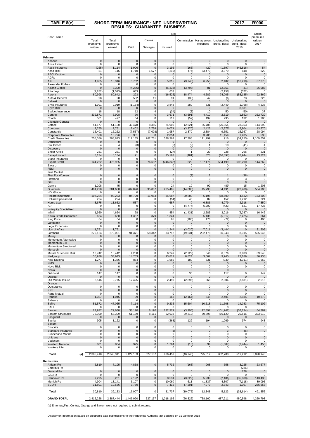| $\overline{\mathsf{TABLE}}$ 8(e)               |                      | SHORT-TERM INSURANCE : NET UNDERWRITING |                                    |                          |                     |                        |                             |                         | 2017                    | <b>R'000</b>         |
|------------------------------------------------|----------------------|-----------------------------------------|------------------------------------|--------------------------|---------------------|------------------------|-----------------------------|-------------------------|-------------------------|----------------------|
|                                                |                      |                                         | <b>RESULTS: GUARANTEE BUSINESS</b> |                          |                     |                        |                             |                         |                         |                      |
|                                                |                      |                                         |                                    |                          | Net                 |                        |                             |                         |                         | Gross                |
| Short name                                     | Total                | Total                                   |                                    | Claims                   |                     | Commission             | Management                  | Underwriting            | Underwriting            | premiums<br>written  |
|                                                | premiums             | premiums                                |                                    |                          |                     |                        | expenses                    | profit / (loss)         | profit / (loss)         | 2017                 |
|                                                | written              | earned                                  | Paid                               | Salvages                 | Incurred            |                        |                             |                         | 2016                    |                      |
| Primary:                                       |                      |                                         |                                    |                          |                     |                        |                             |                         |                         |                      |
| Abacus                                         | $\mathbf 0$          | $\mathbf 0$                             | $\mathbf 0$                        | $\mathbf 0$              | $\bf 0$             | $\mathbf 0$            | $\mathbf{0}$                | $\mathbf 0$             | $\mathbf 0$             | $\mathbf 0$          |
| Absa Idirect<br>Absa Insurance                 | $\mathbf 0$<br>(265) | $\mathbf 0$<br>1,114                    | $\mathbf 0$<br>1,906               | 0<br>0                   | 0<br>3,196          | $\mathbf 0$<br>(163)   | $\mathbf 0$<br>(22)         | $\mathbf 0$<br>(1,897)  | $\Omega$<br>(45, 816)   | 0<br>54              |
| Absa Risk                                      | 51                   | 116                                     | 1,710                              | 1,577                    | (210)               | (74)                   | (3, 479)                    | 3,879                   | 848                     | 820                  |
| <b>AECI Captive</b><br>AGRe                    | $\pmb{0}$<br>0       | $\pmb{0}$<br>0                          | 0<br>0                             | 0<br>0                   | $\pmb{0}$<br>0      | $\mathbf 0$<br>0       | $\mathbf 0$<br>0            | 0<br>0                  | $\pmb{0}$<br>0          | $\pmb{0}$<br>0       |
| AIG                                            | 4,985                | 10,316                                  | 5,762                              | $\mathbf{0}$             | 5,315               | (3,740)                | 6,258                       | 2,482                   | (16, 210)               | 37,278               |
| Alexander Forbes<br>Allianz Global             | 0<br>0               | $\mathbf 0$<br>3,300                    | $\mathbf 0$<br>(4, 286)            | 0<br>$\mathbf 0$         | 0<br>(5, 338)       | 0<br>(3,793)           | $\mathbf 0$<br>81           | $\mathbf 0$<br>12,351   | 0<br>(41)               | 0<br>26,083          |
| Attorneys                                      | (2, 282)             | (1, 523)                                | 633                                | 0                        | 633                 | 0                      | 0                           | (2, 156)                | (372)                   | $\Omega$             |
| Aurora                                         | 80,998               | 80,642                                  | 293<br>582                         | $\mathbf{0}$<br>11       | (16, 525)           | 18,474                 | 4,689                       | 74,005                  | (53, 135)               | 92,369               |
| Auto & General<br><b>Bidvest</b>               | 98<br>0              | 98<br>0                                 | 0                                  | 0                        | 91<br>$\mathbf{0}$  | (33)<br>$\mathbf 0$    | 47<br>$\mathbf{0}$          | (6)<br>$\Omega$         | 73<br>0                 | 226<br>$\mathbf 0$   |
| <b>Bryte Insurance</b>                         | 1,991                | 2,019                                   | (1, 154)                           | 0<br>0                   | 3,848               | 289<br>$\mathbf{0}$    | 331<br>$\mathbf{0}$         | (2, 449)                | (1,768)<br>8,931        | 4,238                |
| <b>Bryte Risk</b><br><b>Budget Insurance</b>   | $\mathbf 0$<br>18    | $\mathbf 0$<br>18                       | $\mathbf 0$<br>12                  | 4                        | $\mathbf 0$<br>(34) | (8)                    | 10                          | $\mathbf 0$<br>50       | (60)                    | $\mathbf 0$<br>37    |
| Centriq<br>Chubb                               | 332,871<br>501       | 6,908<br>497                            | 70<br>64                           | $\mathbf{0}$<br>0        | 3,671<br>117        | (3,691)                | 4,410<br>197                | 2,519<br>235            | (1, 852)<br>132         | 362,729<br>1,285     |
| <b>Clientele General</b>                       | 0                    | $\mathbf 0$                             | $\mathbf 0$                        | $\mathbf{0}$             | $\mathbf{0}$        | (52)<br>$\mathbf 0$    | $\mathbf{0}$                | $\mathbf 0$             | $\mathbf 0$             | $\mathbf 0$          |
| Coface<br>Compass                              | 51,177               | 51,130<br>2,751                         | 40,478<br>2,402                    | 8,355                    | 24,900<br>6,071     | (2,621)                | 55,705<br>2,425             | (26.854)                | 23,353<br>5,904         | 114,590              |
| Constantia                                     | 2,755<br>15,401      | 16,262                                  | (7, 537)                           | 2,758<br>(7,003)         | 1,957               | (3, 370)<br>2,370      | 2,384                       | (2, 375)<br>9,551       | 15,957                  | 13,770<br>28,094     |
| Corporate Guarantee<br><b>Credit Guarantee</b> | 538                  | 16,726                                  | 351                                | $\overline{0}$           | 2,054               | 8                      | 3,205                       | 11,459                  | 1,205                   | 538<br>1,109,652     |
| Densecure                                      | 755,386<br>0         | 708,873<br>0                            | 812,135<br>0                       | 262,751<br>0             | 578,362<br>0        | 17,795<br>$\mathbf{0}$ | 111,799<br>$\mathbf{0}$     | 916<br>$\mathbf 0$      | (34, 255)<br>0          | $\mathbf 0$          |
| <b>Dial Direct</b>                             | 4                    | 4                                       | (3)                                | 0                        | (5)                 | (2)                    | 1                           | 10                      | (41)                    | $\overline{4}$       |
| <b>Discovery</b><br><b>Enpet Africa</b>        | $\mathbf 0$<br>231   | $\mathbf 0$<br>231                      | $\mathbf 0$<br>0                   | $\bf 0$<br>0             | $\mathbf 0$<br>(27) | 0<br>1                 | $\mathbf{0}$<br>29          | $\mathbf 0$<br>228      | $\mathbf 0$<br>296      | $\mathbf 0$<br>231   |
| <b>Escap Limited</b>                           | 8,134                | 8,134                                   | 21                                 | 0                        | 25.183              | (481)                  | 328                         | (16.897)                | 28,944                  | 13,324               |
| Etana Insurance<br><b>Export Credit</b>        | 0<br>144,262         | 0<br>475,955                            | 0<br>0                             | 0<br>76,692              | 0<br>(246, 342)     | 0<br>622               | $\mathbf 0$<br>137,476      | 0<br>584,199            | 0<br>608,290            | 0<br>144,262         |
| Exxaro                                         | 0                    | 0                                       | 0                                  | 0                        | 0                   | 0                      | 0                           | 0                       | 0                       | 0                    |
| <b>FEM</b><br><b>First Central</b>             | $\mathbf 0$          | $\mathbf 0$                             | $\overline{0}$                     | $\mathbf{0}$             | $\bf 0$             | $\mathbf 0$            | $\mathbf 0$                 | $\mathbf 0$             | $\mathbf 0$             | $\pmb{0}$            |
| First For Women                                | 0                    | 0                                       | 8                                  | 0                        | $\mathbf{0}$        | (2)                    | $\overline{2}$              | $\mathbf{1}$            | (38)                    | 9                    |
| Firstrand<br>G4S                               | 0<br>0               | 0<br>$\mathbf 0$                        | 0<br>0                             | 0<br>0                   | 0<br>$\pmb{0}$      | 0<br>$\mathbf{0}$      | $\mathbf 0$<br>$\mathbf{0}$ | $\mathbf 0$<br>0        | 3<br>$\mathbf 0$        | $\pmb{0}$<br>0       |
| Genric                                         | 1,208                | 45                                      | 0                                  | 0                        | 24                  | 19                     | 92                          | (89)                    | 15                      | 1,208                |
| Guardrisk<br><b>HDI Global</b>                 | 401,228<br>0         | 381,688<br>0                            | 262,896<br>0                       | 95,007<br>0              | 265,405<br>$\bf 0$  | (14,006)<br>0          | 45,798<br>$\mathbf 0$       | 84,491<br>$\mathbf 0$   | (22, 400)<br>0          | 504,700<br>0         |
| Hollard Insurance                              | 107,284              | 93,253                                  | 84,729                             | 11,963                   | 85,687              | 20,880                 | 5,195                       | (18, 509)               | (4, 532)                | 163,308              |
| <b>Hollard Specialised</b><br>Home Loan        | 224<br>3,675         | 224<br>11,652                           | $\mathbf 0$<br>537                 | 0<br>$\mathbf{0}$        | (54)<br>687         | 45<br>$\mathbf{0}$     | 82<br>6,886                 | 152<br>4,079            | 1,212<br>2,318          | 224<br>7,350         |
| IGF                                            | 0                    | 0                                       | 0                                  | 0                        | 0                   | (4, 777)               | 5,200                       | (423)                   | 521                     | 17,736               |
| <b>Indequity Specialised</b><br>Infiniti       | 0<br>1,950           | $\mathbf 0$<br>4,624                    | $\mathbf 0$<br>78                  | $\mathbf{0}$<br>0        | $\mathbf 0$<br>454  | 0<br>(1, 431)          | $\mathbf{0}$<br>2,585       | $\mathbf{0}$<br>3,016   | $\mathbf 0$<br>(2,037)  | $\Omega$<br>16,442   |
| Khula Credit Guarantee                         | 664                  | 660                                     | 1,357                              | 379                      | 1,341               | 0                      | 5,136                       | (5, 817)                | (2, 425)                | 664                  |
| King Price<br>Landbank                         | 64<br>$\pmb{0}$      | 64<br>$\pmb{0}$                         | 0<br>0                             | 0<br>0                   | 65<br>$\mathbf 0$   | (105)<br>$\mathbf 0$   | 176<br>$\mathbf 0$          | (72)<br>$\mathbf{0}$    | $\mathbf 0$<br>0        | 400<br>$\pmb{0}$     |
| Legal Expenses                                 | 0                    | 0                                       | 0                                  | 0                        | 0                   | 0                      | 0                           | 0                       | 0                       | 0                    |
| Lion of Africa<br>Lombard                      | 1,791<br>270,124     | 1,791<br>273,001                        | $\mathbf 0$<br>91,371              | $\overline{0}$<br>58,342 | 1,244<br>33,712     | (3,020)<br>(49, 531)   | 7,011<br>232,478            | (3, 444)<br>56,343      | $\mathbf 0$<br>8,315    | 21,205<br>595,546    |
| Miway                                          | 0                    | $\mathbf 0$                             | 0                                  | 0                        | $\pmb{0}$           | 0                      | $\mathbf 0$                 | $\mathbf 0$             | $\mathbf 0$             | $\pmb{0}$            |
| Momentum Alternative<br>Momentum STI           | 0<br>0               | $\mathbf 0$<br>0                        | 0<br>$\mathbf 0$                   | 0<br>$\mathbf{0}$        | 0<br>$\pmb{0}$      | 0<br>0                 | $\mathbf 0$<br>0            | $\mathbf 0$<br>0        | 0<br>0                  | 0<br>$\pmb{0}$       |
| Momentum Structured                            | 0                    | 0                                       | 0                                  | 0                        | 0                   | 0                      | 0                           | 0                       | 0                       | 0                    |
| Monarch<br>Mutual & Federal Risk               | 0<br>10,742          | 0<br>10,442                             | 0<br>4,230                         | 0<br>0                   | 0<br>6.249          | 0<br>(2,729)           | 0<br>546                    | 0<br>6,376              | 0<br>3,903              | $\pmb{0}$<br>39.543  |
| Nedgroup                                       | 30,938               | 34,943                                  | 14,753                             | 0                        | 13,812              | 8,824                  | 3,067                       | 9,240                   | 23,189                  | 30,938               |
| New National<br><b>NMS</b>                     | 1,277<br>0           | 1,366<br>0                              | 864<br>0                           | 0<br>0                   | 1,585<br>$\pmb{0}$  | 189<br>$\pmb{0}$       | 531<br>$\mathbf 0$          | (939)<br>$\mathbf 0$    | (4, 311)<br>$\mathbf 0$ | 1,652<br>$\mathbf 0$ |
| Nova Risk                                      | 0                    | 0                                       | 0                                  | 0                        | 0                   | 0                      | 0                           | 0                       | 0                       | 0                    |
| Nzalo<br>Oakhurst                              | 0<br>147             | $\mathbf 0$<br>147                      | 0<br>0                             | 0<br>0                   | $\pmb{0}$<br>0      | $\mathbf 0$<br>30      | $\mathbf 0$<br>0            | $\mathbf{0}$<br>117     | 0                       | $\mathbf 0$<br>147   |
| Oakleaf                                        | 0                    | $\mathbf 0$                             | 0                                  | 0                        | $\mathbf 0$         | $\mathbf 0$            | $\mathbf 0$                 | $\mathbf 0$             | $\mathbf 0$             | $\mathbf 0$          |
| Old Mutual Insure<br>Orange                    | 2,516                | 2,775                                   | 17,425                             | 0                        | 2,499               | (2,896)                | 368                         | 2,804                   | (3,831)                 | 2,515                |
| Outsurance                                     | 0                    | 0                                       | 0                                  | 0                        | 0                   | 0                      | $\mathbf 0$                 | 0                       | 0                       | 0                    |
| <b>PPS</b><br><b>Rand Mutual</b>               | 0<br>0               | 0<br>0                                  | 0<br>0                             | 0<br>0                   | $\pmb{0}$<br>0      | $\pmb{0}$<br>0         | $\mathbf 0$<br>0            | 0<br>0                  | 0<br>$\mathbf 0$        | $\mathbf 0$<br>0     |
| Renasa                                         | 1,087                | 1,045                                   | 99                                 | 0                        | 163                 | (2, 164)               | 645                         | 2,401                   | 2,935                   | 10,870               |
| Sabsure<br>Safire                              | 0<br>51,572          | 0<br>47,065                             | 0<br>7,114                         | 0<br>0                   | 0<br>9,235          | 0<br>15,604            | 0<br>10,618                 | 0<br>11,608             | 0<br>14,083             | 0<br>75,102          |
| SAHL                                           | 0                    | 0                                       | 0                                  | 0                        | 0                   | 0                      | 0                           | $\Omega$                | $\Omega$                | 0                    |
| Santam<br>Santam Structured                    | 24,977<br>75,390     | 29,630<br>68,399                        | 38,170<br>51,189                   | 8,190<br>8,111           | 122,971<br>52,933   | (3,996)<br>(29, 312)   | 12,397<br>60,898            | (101, 742)<br>(16, 120) | (57, 134)<br>20,516     | 64,389<br>323,010    |
| Sasquard                                       | 0                    | 0                                       | 0                                  | $\pmb{0}$                | $\mathbf 0$         | $\mathbf 0$            | $\mathbf 0$                 | 0                       | $\mathbf 0$             | $\mathbf 0$          |
| Sasria<br>Saxum                                | 905                  | 1,122                                   | 0                                  | 0                        | (263)               | 122                    | 194                         | 1,069                   | 974                     | 948                  |
| Shoprite                                       | 0                    | 0                                       | 0                                  | 0                        | 0                   | 0                      | $\mathbf 0$                 | 0                       | $\mathbf 0$             | 0                    |
| Standard Insurance<br>Sunderland Marine        | 0<br>0               | 0<br>0                                  | 0<br>0                             | 0<br>0                   | (3)<br>0            | $\pmb{0}$<br>0         | $\pmb{0}$<br>0              | 3<br>0                  | (6)<br>0                | $\mathbf 0$<br>0     |
| Unitrans                                       | 0                    | 0                                       | 0                                  | 0                        | 0                   | $\pmb{0}$              | $\mathbf 0$                 | $\mathbf 0$             | $\mathbf 0$             | $\pmb{0}$            |
| Vodacom<br><b>Western National</b>             | 0<br>801             | 0<br>804                                | 0<br>925                           | 0<br>0                   | 0<br>1,794          | 0<br>(18)              | 0<br>34                     | 0<br>(1,007)            | 0<br>(2, 444)           | 0<br>1,455           |
| <b>Workers Life</b>                            | 0                    | 0                                       | 0                                  | 0                        | 0                   | 0                      | 0                           | 0                       | 0                       | 0                    |
| Total<br>(a)                                   | 2,385,418            | 2,348,311                               | 1,429,183                          | 527,137                  | 986,457             | (46, 746)              | 725,812                     | 682,788                 | 519,212                 | 3,828,943            |
|                                                |                      |                                         |                                    |                          |                     |                        |                             |                         |                         |                      |
| <b>Reinsurers:</b><br>African Re               | 6,810                | 7,195                                   | 4,858                              | $\bf 0$                  | 5,732               | (163)                  | 968                         | 658                     | 3,225                   | 23,677               |
| <b>Emeritus Re</b>                             |                      |                                         |                                    |                          |                     |                        |                             |                         | (226)                   |                      |
| General Re<br>GIC Re                           | 0<br>0               | 0<br>0                                  | 0<br>0                             | $\mathbf 0$<br>0         | $\pmb{0}$<br>0      | $\mathbf 0$<br>0       | $\mathbf 0$<br>0            | $\mathbf{0}$<br>0       | 178<br>$\mathbf 0$      | $\pmb{0}$<br>0       |
| Hannover Re                                    | 7,295                | 8,261                                   | 2,192                              | 0                        | 8,531               | (3, 322)               | 5,239                       | (2, 186)                | (35,980)                | 143,430              |
| Munich Re<br><b>SCOR</b>                       | 4,904<br>11,801      | 13,141<br>10,536                        | 6,107<br>3,750                     | 0<br>0                   | 10,060<br>7,415     | 611<br>(7, 201)        | (1, 837)<br>7,979           | 4,307<br>2,343          | (7, 118)<br>1,307       | 89,095<br>235,653    |
| Total                                          | 30,810               | 39,133                                  | 16,907                             | 0                        |                     | (10, 075)              | 12,348                      | 5,123                   | (38, 614)               | 491,855              |
|                                                |                      |                                         |                                    |                          | 31,737              |                        |                             |                         |                         |                      |
| <b>GRAND TOTAL</b>                             | 2,416,228            | 2,387,444                               | 1,446,090                          | 527,137                  | 1,018,195           | (56, 822)              | 738,160                     | 687,911                 | 480,598                 | 4,320,798            |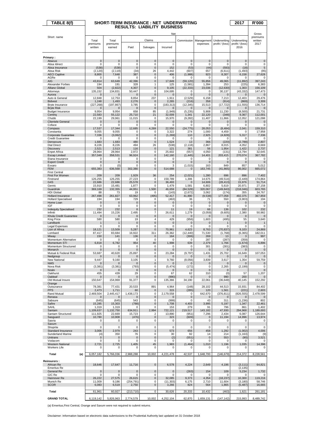| TABLE 8(f)                                      |                         | SHORT-TERM INSURANCE : NET UNDERWRITING |                                    |                    |                      |                          |                            |                       | 2017                    | <b>R'000</b>          |
|-------------------------------------------------|-------------------------|-----------------------------------------|------------------------------------|--------------------|----------------------|--------------------------|----------------------------|-----------------------|-------------------------|-----------------------|
|                                                 |                         |                                         | <b>RESULTS: LIABILITY BUSINESS</b> |                    |                      |                          |                            |                       |                         |                       |
|                                                 |                         |                                         |                                    |                    | Net                  |                          |                            |                       |                         | Gross<br>premiums     |
| Short name                                      | Total                   | Total                                   |                                    | Claims             |                      | Commission               | Management                 | Underwriting          | Underwriting            | written               |
|                                                 | premiums<br>written     | premiums<br>earned                      | Paid                               | Salvages           | Incurred             |                          | expenses                   | profit / (loss)       | profit / (loss)<br>2016 | 2017                  |
|                                                 |                         |                                         |                                    |                    |                      |                          |                            |                       |                         |                       |
| Primary:                                        |                         |                                         |                                    |                    |                      |                          |                            |                       |                         |                       |
| Abacus<br>Absa Idirect                          | $\mathbf 0$<br>0        | $\mathbf 0$<br>0                        | $\mathbf 0$<br>0                   | $\mathbf 0$<br>0   | $\mathbf 0$<br>0     | $\mathbf 0$<br>0         | $\mathbf{0}$<br>0          | $\mathbf{0}$<br>0     | $\mathbf 0$<br>0        | $\pmb{0}$<br>0        |
| Absa Insurance                                  | (538)                   | (538)                                   | $\mathbf{0}$                       | $\mathbf 0$        | 152                  | (53)                     | (44)                       | (593)                 | (18)                    | 5                     |
| Absa Risk<br><b>AECI Captive</b>                | (2, 120)<br>8,800       | (2, 119)<br>7,648                       | (34)<br>387                        | 26<br>$\pmb{0}$    | 4,442<br>406         | (607)<br>(1,988)         | 657<br>923                 | (6, 611)<br>8,307     | (1, 493)<br>6,158       | (95)<br>27,628        |
| AGRe                                            | 0                       | $\mathbf 0$                             | $\mathbf 0$                        | 0                  | $\mathbf 0$          | 0                        | 0                          | $\Omega$              | $\Omega$                | 0                     |
| AIG<br>Alexander Forbes                         | 43,814<br>194           | 63,649<br>191                           | 42,396<br>328                      | 0<br>1             | 17,849<br>125        | (59, 120)<br>(1, 581)    | 55,856<br>1,394            | 49,065<br>253         | (11, 892)<br>(225)      | 397,243<br>6,383      |
| Allianz Global                                  | 504                     | (2,822)                                 | 4,307                              | $\mathbf{0}$       | 9,105                | (22, 333)                | 23,036                     | (12, 630)             | 1,303                   | 156,109               |
| Attorneys<br>Aurora                             | 135,152<br>0            | 134,831<br>0                            | 50,447<br>$\mathbf 0$              | 0<br>0             | 104,695<br>$\Omega$  | $\Omega$<br>$\mathbf{0}$ | $\Omega$<br>$\mathbf{0}$   | 30,137<br>$\Omega$    | (43, 332)<br>$\Omega$   | 147,473<br>0          |
| Auto & General<br><b>Bidvest</b>                | 12,848<br>1,248         | 12,753<br>1,493                         | 8,854<br>2,276                     | 237<br>$\mathbf 0$ | 1,911<br>2,265       | (2, 529)<br>(216)        | 6,158<br>358               | 7,213<br>(914)        | 12,403<br>(869)         | 29,476<br>3,309       |
| Bryte Insurance                                 | (227, 268)              | (197, 867)                              | 3,785                              | 0                  | (183, 313)           | (12, 345)                | 15,513                     | (17, 722)             | (11, 555)               | 136,714               |
| <b>Bryte Risk</b><br><b>Budget Insurance</b>    | 0<br>9,954              | $\mathbf 0$<br>9,954                    | $\mathbf 0$<br>658                 | $\mathbf 0$<br>85  | $\Omega$<br>(1,949)  | $\Omega$<br>(5, 235)     | $\Omega$<br>5,908          | $\Omega$<br>11,230    | $\mathbf 0$<br>(8,500)  | 0<br>21,731           |
| Centriq                                         | 22,583                  | 55,122                                  | 25,710                             | 21                 | 32,009               | 1,341                    | 22,120                     | (348)                 | 9,367                   | 112,001               |
| Chubb<br><b>Clientele General</b>               | 22,199<br>0             | 29,961<br>0                             | 11,015<br>0                        | 0<br>0             | 15,970<br>0          | (9, 282)<br>0            | 11,407<br>$\mathbf 0$      | 11,866<br>0           | 12,052<br>0             | 121,098<br>0          |
| Coface                                          | 0                       | 0                                       | 0                                  | 0                  | 0                    | 0                        | 0                          | 0                     | 0                       | 0                     |
| Compass<br>Constantia                           | 17,537<br>9,055         | 17,344<br>9,055                         | 12,685<br>0                        | 4,269<br>0         | 22,550<br>3,322      | (24, 775)<br>274         | 28,053<br>1,000            | (8, 484)<br>4,459     | 2,041<br>$\Omega$       | 159,310<br>17,958     |
| Corporate Guarantee                             | 7,336                   | (3,062)                                 | $\pmb{0}$                          | 0                  | (1, 269)             | 110                      | 2,925                      | (4,828)               | 5,317                   | 7,336                 |
| <b>Credit Guarantee</b><br>Densecure            | 0<br>1,683              | 0<br>1,683                              | 0<br>480                           | 0<br>$\mathbf{0}$  | 0<br>1,524           | 0<br>13                  | $^{\circ}$<br>366          | $\Omega$<br>(220)     | $\Omega$<br>(2,788)     | 0<br>2,807            |
| <b>Dial Direct</b>                              | 8,226                   | 8,226                                   | 494                                | 26                 | (538)                | (2, 118)                 | 2,867                      | 8,015                 | 4,052                   | 8,669                 |
| <b>Discovery</b><br><b>Enpet Africa</b>         | 2,521<br>28,964         | 2,513<br>28.964                         | 116<br>2,972                       | $\mathbf{0}$<br>0  | 121<br>25,602        | 381<br>(557)             | 56<br>4,050                | 1,954<br>(131)        | 1,422<br>13,794         | 2,737<br>32,645       |
| <b>Escap Limited</b>                            | 357,049                 | 358,531                                 | 96,924                             | $\pmb{0}$          | 142,160              | (1, 445)                 | 14,401                     | 203,415               | 270,074                 | 367,782               |
| Etana Insurance<br><b>Export Credit</b>         | 0<br>0                  | 0<br>$\mathbf 0$                        | 0<br>0                             | 0<br>0             | 0<br>$\pmb{0}$       | $\Omega$<br>$\Omega$     | 0<br>$\Omega$              | 0<br>$\Omega$         | $\Omega$<br>$\Omega$    | 0<br>$\mathbf 0$      |
| Exxaro<br><b>FEM</b>                            | 0<br>655,383            | (0)<br>636,568                          | $\Omega$<br>302,380                | 0<br>0             | 3<br>514,688         | (1,015)                  | 163                        | 849                   | 857<br>86.002           | 5,012<br>665,072      |
| <b>First Central</b>                            |                         |                                         |                                    |                    |                      | 0                        | 163,745                    | (41, 865)             |                         |                       |
| First For Women<br>Firstrand                    | 209<br>126,255          | 209<br>126,255                          | 1,929<br>27,223                    | 36<br>0            | 254<br>159,789       | (2,021)<br>1,306         | 1,280<br>14,675            | 696<br>(49, 514)      | 896<br>(2, 449)         | 7,402<br>174,864      |
| G4S                                             | 22,686                  | 22,686                                  | 25,578                             | 0                  | 36,493               | $\Omega$                 | 14,606                     | (28, 413)             | 15,976                  | 51,714                |
| Genric<br>Guardrisk                             | 15,910<br>369,169       | 15,481<br>132,355                       | 1,877<br>44,951                    | 0<br>1,500         | 1,479<br>46,659      | 1,581<br>(84, 528)       | 6,802<br>320,067           | 5,619<br>(149, 843)   | 20,971<br>(218, 046)    | 27,158<br>603,765     |
| <b>HDI Global</b>                               | 88                      | 73                                      | 19                                 | 0                  | (143)                | (2,672)                  | 3,062                      | (174)                 | 355                     | 34,767                |
| Hollard Insurance<br><b>Hollard Specialised</b> | 267,498<br>194          | 261,827<br>194                          | 63,962<br>729                      | (495)<br>0         | 52,417<br>(463)      | 41,890<br>36             | (9,538)<br>71              | 177,058<br>550        | 492,375<br>(3,903)      | 367,859<br>194        |
| Home Loan                                       | 0                       | $\pmb{0}$                               | $\mathbf 0$                        | 0                  | $\mathbf{0}$         | 0                        | $\mathbf 0$                | 0                     | $\mathbf 0$             | $\mathbf 0$           |
| IGF<br><b>Indequity Specialised</b>             | 0<br>232                | 0<br>232                                | 0<br>8                             | 0<br>0             | 0<br>11              | 0<br>19                  | $\mathbf 0$<br>66          | $\Omega$<br>136       | $\mathbf 0$<br>102      | 0<br>232              |
| Infiniti                                        | 11,494<br>0             | 15,226<br>$\mathbf 0$                   | 2,495<br>$\mathbf 0$               | 7<br>$\mathbf 0$   | 26,611               | 1,279<br>$\Omega$        | (3,059)<br>$\Omega$        | (9,605)<br>$\Omega$   | 2,380<br>$\mathbf 0$    | 50,982                |
| Khula Credit Guarantee<br>King Price            | 580                     | 580                                     | 19                                 | 4                  | 0<br>429             | (956)                    | 1,603                      | (495)                 | 55                      | 0<br>3,640            |
| Landbank<br><b>Legal Expenses</b>               | 1<br>$\mathbf 0$        | $\mathbf{1}$<br>$\mathbf 0$             | 0<br>$\mathbf 0$                   | $\mathbf{0}$<br>0  | 0<br>0               | $\mathbf 0$<br>0         | $\mathbf 0$<br>$\mathbf 0$ | 0                     | 0<br>0                  | $\mathbf{1}$<br>0     |
| Lion of Africa                                  | 18,121                  | 13,509                                  | 5,287                              | 0                  | 70.961               | 4,623                    | 8,763                      | (70, 837)             | 9,103                   | 24,869                |
| Lombard<br>Miway                                | 87,417<br>150           | 83,684<br>141                           | 16,922<br>136                      | 311<br>$\mathbf 0$ | 26,362<br>164        | (12.440)<br>(306)        | 71,530<br>269              | (1,768)<br>13         | (6, 365)<br>3           | 182.011<br>997        |
| Momentum Alternative                            | 0                       | 0                                       | 0                                  | 0                  | 0                    | 0                        | 287                        | (287)                 | (359)                   | 0                     |
| Momentum STI<br>Momentum Structured             | 6,818<br>0              | 6,782<br>0                              | 954<br>$\mathbf 0$                 | 40<br>0            | 1,998<br>0           | 639<br>0                 | 2,379<br>301               | 1,766<br>(301)        | (1,674)<br>(383)        | 6,896<br>0            |
| Monarch<br>Mutual & Federal Risk                | 0<br>53,687             | 0<br>40,620                             | 0<br>25,897                        | 0<br>0             | $\pmb{0}$<br>23,284  | $\pmb{0}$<br>(9,797)     | $\mathbf{0}$<br>1,431      | $\mathbf 0$<br>25,702 | $\mathbf 0$<br>16,649   | $\pmb{0}$<br>107,053  |
| Nedgroup                                        | $\mathbf 0$             | $\mathbf 0$                             | $\mathbf 0$                        | 0                  | 0                    | $\mathbf 0$              | $\mathbf 0$                | 0                     | 0                       | $\mathbf 0$           |
| New National<br><b>NMS</b>                      | 9,447<br>0              | 9,160<br>$\mathbf 0$                    | 3,105<br>$\mathbf 0$               | 1<br>$\mathbf 0$   | 9,760<br>$\Omega$    | (8,056)<br>$\Omega$      | 3,839<br>$\mathbf 0$       | 3,617<br>$\mathbf 0$  | 1,354                   | 59,759<br>$\mathbf 0$ |
| Nova Risk                                       | (3, 381)                | (3, 381)                                | (793)                              | 0                  | (5, 474)             | (172)                    | $\Omega$                   | 2,265                 | (2, 199)                | 0                     |
| Nzalo<br>Oakhurst                               | 0<br>455                | $\mathbf 0$<br>439                      | $\mathbf 0$<br>29                  | 0<br>0             | $\mathbf 0$<br>67    | 0<br>62                  | 0<br>310                   | $\mathbf 0$<br>(0)    | 57                      | $\mathbf 0$<br>1,207  |
| Oakleaf<br>Old Mutual Insure                    | $\mathbf{0}$<br>150,647 | $\mathbf 0$<br>154,969                  | $\mathbf 0$<br>91,377              | $\mathbf 0$<br>0   | (990)                | $\mathbf{0}$<br>34,190   | $\Omega$<br>22,061         | 990                   | 200                     | 0<br>152,292          |
| Orange                                          |                         |                                         |                                    |                    | 135,366              |                          |                            | (36, 648)             | 40,145                  |                       |
| Outsurance<br><b>PPS</b>                        | 78,381<br>2,473         | 77,431<br>1,711                         | 20,533<br>60                       | 891<br>0           | 4,964<br>315         | (148)<br>(285)           | 28,102<br>120              | 44,513<br>1,561       | 15,931<br>(221)         | 84,402<br>2,603       |
| Rand Mutual                                     | 2,469,504               | 2,445,417                               | 1,438,173                          | 0                  | 2,179,558            | 0                        | 642,670                    | (376, 811)            | (826, 555)              | 2,478,599             |
| Renasa<br>Sabsure                               | $\mathbf 0$<br>(645)    | $\mathbf 0$<br>(645)                    | $\mathbf 0$<br>543                 | $\pmb{0}$<br>0     | $\mathbf 0$<br>(999) | $\mathbf 0$<br>0         | $\mathbf 0$<br>43          | $\mathbf 0$<br>311    | $\Omega$<br>(1, 236)    | $\overline{0}$<br>802 |
| Safire                                          | 15,285                  | 15,303                                  | (788)                              | 0                  | 1,708                | 4,403                    | 3,995                      | 5,197                 | 1,347                   | 22,461                |
| SAHL<br>Santam                                  | 1,319<br>1,109,637      | 1,319<br>1,132,750                      | 0<br>634,911                       | 0<br>2,994         | 153<br>722,121       | 279<br>219,517           | 91<br>143,182              | 796<br>47,930         | 861<br>294,968          | 1,402<br>1,189,693    |
| Santam Structured                               | 111,925                 | 22,669                                  | 15,723                             | 2                  | 13,890               | (951)                    | 7,296                      | 2,434                 | 6,087                   | 126,644               |
| Sasguard<br>Sasria                              | 10,780<br>0             | 10,908<br>0                             | (476)<br>0                         | $\mathbf 0$<br>0   | 323<br>0             | (609)<br>0               | $\mathbf 0$<br>$\mathbf 0$ | 11,194<br>$\mathbf 0$ | 14,996<br>0             | 13,974<br>0           |
| Saxum<br>Shoprite                               | 0                       | 0                                       | 0                                  | 0                  | 0                    | 0                        | $\mathbf 0$                | 0                     | 0                       | 0                     |
| Standard Insurance                              | 3,006                   | 2,979                                   | 243                                | 1                  | 573                  | 656                      | 458                        | 1,292                 | (1,002)                 | 4,006                 |
| Sunderland Marine<br>Unitrans                   | (4)<br>0                | 350<br>$\mathbf 0$                      | 76<br>$\mathbf 0$                  | 0<br>$\mathbf 0$   | 30<br>(2)            | 92<br>(551)              | 14<br>$\mathbf 0$          | 214<br>553            | (1, 163)<br>(90)        | (9)<br>3,521          |
| Vodacom                                         | 0                       | 0                                       | 0                                  | 0                  | $\Omega$             | $\Omega$                 | $\Omega$                   | $\Omega$              | $\Omega$                | 0                     |
| <b>Western National</b><br><b>Workers Life</b>  | 2,721<br>0              | 2,725<br>0                              | 1,405<br>0                         | 45<br>0            | 1,983<br>0           | (1, 464)<br>0            | 1,010<br>0                 | 1,196<br>0            | 1,035<br>0              | 14,396<br>0           |
|                                                 |                         |                                         |                                    |                    |                      |                          |                            |                       |                         |                       |
| Total<br>(a)                                    | 6,057,182               | 5,766,036                               | 2,988,288                          | 10,002             | 4,221,478            | 42,537                   | 1,648,700                  | (146, 679)            | 214,372                 | 8,228,561             |
| <b>Reinsurers:</b><br>African Re                | 18,646                  | 17,647                                  | 11,716                             | 0                  | 6,578                | 4,224                    | 2,649                      | 4,196                 | (3, 111)                | 64,821                |
| <b>Emeritus Re</b>                              |                         |                                         |                                    |                    |                      |                          |                            |                       | (2, 135)                |                       |
| General Re<br>GIC Re                            | 0<br>0                  | $\pmb{0}$<br>0                          | $\pmb{0}$<br>0                     | $\pmb{0}$<br>0     | $\pmb{0}$<br>0       | (263)<br>0               | 154<br>0                   | 109<br>0              | 5,234<br>0              | 1,732<br>0            |
| Hannover Re                                     | 26,222                  | 27,575                                  | 26,615                             | 0                  | 32,085               | 9,373                    | 4,354                      | (18, 237)             | 10,300                  | 119,216               |
| Munich Re<br><b>SCOR</b>                        | 11,009<br>6,083         | 9,186<br>6,519                          | (254, 791)<br>2,750                | 0<br>0             | (11, 303)<br>3,266   | 6,175<br>824             | 2,710<br>564               | 11,604<br>1,865       | (3, 180)<br>(5, 487)    | 58,746<br>16,665      |
| Total                                           | 61,961                  | 60,927                                  | (213, 710)                         | 0                  | 30,626               | 20,333                   | 10,432                     | (463)                 | 1,621                   | 261,181               |
| <b>GRAND TOTAL</b>                              | 6,119,142               | 5,826,963                               | 2,774,579                          | 10,002             | 4,252,104            | 62,870                   | 1,659,131                  | (147, 142)            | 215,993                 | 8,489,742             |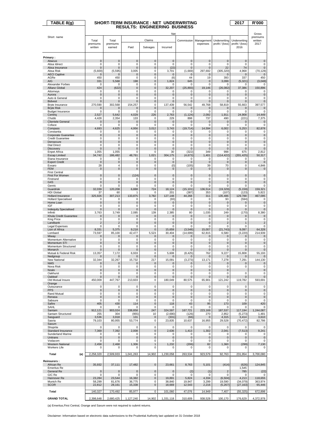| TABLE $8(g)$                             | SHORT-TERM INSURANCE : NET UNDERWRITING | 2017                         | <b>R'000</b>               |                    |                             |                        |                            |                            |                            |                              |
|------------------------------------------|-----------------------------------------|------------------------------|----------------------------|--------------------|-----------------------------|------------------------|----------------------------|----------------------------|----------------------------|------------------------------|
|                                          | <b>RESULTS: ENGINEERING BUSINESS</b>    |                              |                            |                    |                             |                        |                            |                            |                            |                              |
|                                          | Net                                     |                              |                            |                    |                             |                        |                            |                            |                            | Gross                        |
| Short name                               | Total                                   | Total                        |                            | Claims             |                             | Commission             | Management                 | Underwriting               | Underwriting               | premiums<br>written          |
|                                          | premiums<br>written                     | premiums<br>earned           | Paid                       | Salvages           | Incurred                    |                        | expenses                   | profit / (loss)            | profit / (loss)<br>2016    | 2017                         |
|                                          |                                         |                              |                            |                    |                             |                        |                            |                            |                            |                              |
| Primary:                                 |                                         |                              |                            |                    |                             |                        |                            |                            |                            |                              |
| Abacus<br>Absa Idirect                   | $\mathbf 0$<br>$\mathbf 0$              | $\mathbf 0$<br>$\mathbf 0$   | $\mathbf 0$<br>$\mathbf 0$ | $\bf 0$<br>0       | $\mathbf{0}$<br>$\mathbf 0$ | $\mathbf 0$<br>0       | $\mathbf 0$<br>$\mathbf 0$ | $\mathbf 0$<br>$\mathbf 0$ | $\mathbf 0$<br>$\mathbf 0$ | $\mathbf 0$<br>0             |
| Absa Insurance                           | 0                                       | $\mathbf 0$                  | $\mathbf 0$                | $\mathbf 0$        | (22)                        | 0                      | $\mathbf 0$                | 22                         | 74                         | $\mathbf 0$                  |
| Absa Risk<br><b>AECI</b> Captive         | (5,600)<br>0                            | (5, 595)<br>$\mathbf 0$      | 3,005<br>$\pmb{0}$         | 0<br>$\mathbf{0}$  | 3,701<br>$\pmb{0}$          | (1,669)<br>$\Omega$    | 297.692<br>$\mathbf 0$     | (305, 320)<br>$\mathbf 0$  | 4,968<br>$\mathbf 0$       | (70, 128)<br>$\mathbf 0$     |
| AGRe                                     | 450                                     | 450                          | 0                          | 0                  | (6)                         | 44                     | 19                         | 393                        | 337                        | 450                          |
| AIG<br>Alexander Forbes                  | 331<br>$\mathbf 0$                      | 5,568<br>$\mathbf 0$         | 198<br>$\mathbf 0$         | $\mathbf{0}$<br>0  | 1,824<br>$\mathbf 0$        | 645<br>0               | $\mathbf 0$<br>$\mathbf 0$ | 3,099<br>0                 | (5, 321)<br>$\mathbf 0$    | (3,048)<br>$\Omega$          |
| Allianz Global                           | 424                                     | (622)                        | $\mathbf 0$                | $\mathbf 0$        | 32,207                      | (25, 893)              | 19,146                     | (26, 082)                  | 37,386                     | 150,896                      |
| Attorneys<br>Aurora                      | 0<br>0                                  | 0<br>$\pmb{0}$               | 0<br>0                     | 0<br>0             | 0<br>$\mathbf{0}$           | $\Omega$<br>$\pmb{0}$  | $\Omega$<br>$\mathbf{0}$   | $\Omega$<br>$\mathbf 0$    | $\Omega$<br>$\mathbf 0$    | 0<br>0                       |
| Auto & General                           | 0                                       | 0                            | 0                          | 0                  | 0                           | 0                      | 0                          | 0                          | 0                          | 0                            |
| <b>Bidvest</b><br>Bryte Insurance        | 0<br>270,590                            | 0<br>302,568                 | 0<br>154,257               | 0<br>0             | $\pmb{0}$<br>137,439        | $\mathbf{0}$<br>56,542 | $\mathbf 0$<br>49,768      | $\mathbf 0$<br>58,819      | $\mathbf 0$<br>55,663      | $\mathbf 0$<br>397,577       |
| <b>Bryte Risk</b>                        | 0                                       | $\mathbf 0$                  | $\mathbf 0$                | 0                  | $\mathbf 0$                 | 0                      | $\mathbf 0$                | $\mathbf 0$                | 0                          | $\mathbf 0$                  |
| <b>Budget Insurance</b><br>Centrig       | 0<br>2,527                              | 0<br>5,642                   | $\mathbf 0$<br>4,029       | 0<br>226           | 0<br>2,763                  | 0<br>(1, 124)          | 0<br>2,092                 | $\Omega$<br>1,911          | $\Omega$<br>24,908         | 0<br>14,449                  |
| Chubb<br><b>Clientele General</b>        | 4,428<br>0                              | 2,354<br>$\mathbf 0$         | 133<br>$\mathbf 0$         | 0<br>0             | 229<br>$\pmb{0}$            | 898<br>$\pmb{0}$       | 737<br>$\mathbf 0$         | 490<br>$\mathbf 0$         | (221)<br>$\mathbf 0$       | 7,375<br>$\mathbf 0$         |
| Coface                                   | 0                                       | $\mathbf 0$                  | $\mathbf 0$                | 0                  | $\mathbf 0$                 | 0                      | $\mathbf 0$                | 0                          | $\mathbf 0$                | 0                            |
| Compass<br>Constantia                    | 4,693<br>0                              | 4,625<br>0                   | 4,956<br>0                 | 3,012<br>0         | 3,743<br>0                  | (19, 714)<br>0         | 14,594<br>0                | 6,002<br>0                 | 5,253<br>0                 | 82,878<br>0                  |
| Corporate Guarantee                      | 0                                       | $\mathbf 0$                  | $\mathbf 0$                | 0                  | $\mathbf{0}$                | $\pmb{0}$              | $\mathbf 0$                | $\mathbf{0}$               | $\mathbf 0$                | 0                            |
| <b>Credit Guarantee</b><br>Densecure     | 0<br>$\mathbf 0$                        | 0<br>$\mathbf 0$             | 0<br>0                     | 0<br>0             | 0<br>$\pmb{0}$              | 0<br>$\pmb{0}$         | 0<br>$\mathbf 0$           | 0<br>$\mathbf 0$           | 0<br>$\mathbf 0$           | 0<br>$\mathsf{O}\xspace$     |
| <b>Dial Direct</b>                       | $\mathbf 0$                             | $\mathbf 0$                  | $\mathbf 0$                | 0                  | 0                           | 0                      | 0                          | 0                          | 0                          | 0                            |
| Discovery<br><b>Enpet Africa</b>         | $\mathbf 0$<br>1,055                    | $\mathbf 0$<br>1,055         | $\mathbf 0$<br>0           | $\mathbf 0$<br>0   | $\mathsf{O}\xspace$<br>30   | $\mathbf{0}$<br>(322)  | $\mathbf 0$<br>349         | $\mathbf 0$<br>998         | $\mathbf{0}$<br>675        | $\mathsf{O}\xspace$<br>2,812 |
| <b>Escap Limited</b>                     | 34,742                                  | 186,482                      | 48,761                     | 1,021              | 304,175                     | (4,673)                | 1,401                      | (114, 422)                 | (201, 425)                 | 50,317                       |
| Etana Insurance<br><b>Export Credit</b>  | 0<br>$\mathbf 0$                        | 0<br>$\mathbf 0$             | 0<br>0                     | 0<br>0             | 0<br>$\mathbf 0$            | 0<br>$\pmb{0}$         | 0<br>$\mathbf 0$           | 0<br>$\mathbf 0$           | 0<br>0                     | 0<br>$\mathbf 0$             |
| Exxaro                                   | 28                                      | 4                            | 0                          | 0                  | (0)                         | (105)                  | 39                         | 70                         | 0                          | 4,846                        |
| <b>FEM</b><br><b>First Central</b>       | $\mathbf 0$                             | $\mathbf 0$                  | $\mathbf 0$                | $\mathbf 0$        | $\mathbf 0$                 | $\mathbf 0$            | $\mathbf{0}$               | $\mathbf{0}$               | $\mathbf 0$                | $\pmb{0}$                    |
| First For Women                          | 0                                       | $\mathbf 0$                  | (124)                      | $\mathbf{0}$       | $\pmb{0}$                   | $\pmb{0}$              | $\mathbf 0$                | $\mathbf 0$                | $\mathbf 0$                | $\mathsf 0$                  |
| Firstrand<br>G4S                         | 0<br>0                                  | 0<br>$\mathbf 0$             | 0<br>0                     | 0<br>0             | 0<br>$\pmb{0}$              | 0<br>$\pmb{0}$         | $\mathbf 0$<br>$\mathbf 0$ | $\mathbf 0$<br>$\mathbf 0$ | $\mathbf 0$<br>$\mathbf 0$ | 0<br>$\pmb{0}$               |
| Genric                                   | 0                                       | 0                            | 0                          | 0                  | 0                           | 0                      | 0                          | 0                          | 0                          | 0                            |
| Guardrisk<br><b>HDI Global</b>           | 32,039<br>37                            | 120,208<br>60                | 6,888<br>1                 | 724<br>0           | 18,124<br>201               | (15, 101)<br>(387)     | 136,514<br>353             | (19, 329)<br>(107)         | (5, 159)<br>(123)          | 159,321<br>5,822             |
| <b>Hollard Insurance</b>                 | 325,926                                 | 307,213                      | 133,875                    | 3,782              | 127,148                     | 44,268                 | 311                        | 135,486                    | 129,788                    | 467,095                      |
| <b>Hollard Specialised</b><br>Home Loan  | 0<br>$\pmb{0}$                          | $\mathbf 0$<br>$\pmb{0}$     | $\mathbf 0$<br>0           | 0<br>0             | (93)<br>$\mathbf 0$         | 0<br>$\pmb{0}$         | $\mathbf 0$<br>$\pmb{0}$   | 93<br>$\mathbf 0$          | (594)<br>$\mathbf 0$       | 0<br>0                       |
| IGF                                      | 0                                       | 0                            | 0                          | 0                  | 0                           | 0                      | 0                          | 0                          | 0                          | 0                            |
| <b>Indequity Specialised</b><br>Infiniti | $\mathbf 0$<br>3,763                    | $\mathbf 0$<br>3,749         | $\mathbf 0$<br>2,085       | $\mathbf 0$<br>139 | $\mathbf{0}$<br>2,385       | $\mathbf 0$<br>80      | $\mathbf 0$<br>1,035       | $\mathbf 0$<br>249         | $\mathbf{0}$<br>(170)      | $\mathbf 0$<br>8,380         |
| Khula Credit Guarantee                   | 0<br>0                                  | $\mathbf 0$                  | $\mathbf 0$<br>$\mathbf 0$ | $\mathbf 0$<br>0   | $\mathbf 0$<br>0            | $\pmb{0}$<br>0         | $\mathbf 0$<br>0           | $\mathbf 0$<br>0           | $\mathbf 0$<br>0           | $\mathbf 0$                  |
| King Price<br>Landbank                   | $\overline{\mathbf{c}}$                 | 0<br>$\overline{\mathbf{c}}$ | 0                          | 0                  | $\pmb{0}$                   | $\pmb{0}$              | $\mathbf 0$                | $\overline{\mathbf{c}}$    | 1                          | 0<br>$\overline{c}$          |
| Legal Expenses<br>Lion of Africa         | 0<br>8,331                              | 0<br>5,375                   | 0<br>9,218                 | 0<br>$\mathbf{0}$  | 0<br>15,659                 | 0<br>(3, 548)          | 0<br>15,007                | 0<br>(21, 743)             | 0<br>9,097                 | 0<br>64,328                  |
| Lombard                                  | 73,597                                  | 85,100                       | 42,477                     | 5,523              | 30,404                      | (14, 699)              | 62,815                     | 6,580                      | (3, 220)                   | 214,939                      |
| Miway<br>Momentum Alternative            | 0<br>0                                  | $\pmb{0}$<br>$\mathbf 0$     | $\mathbf 0$<br>$\mathbf 0$ | $\mathbf 0$<br>0   | $\mathbf 0$<br>0            | 0<br>0                 | $\mathbf 0$<br>0           | $\mathbf 0$<br>0           | 0<br>$\mathbf 0$           | $\mathbf 0$<br>0             |
| Momentum STI                             | 0                                       | $\pmb{0}$                    | 0                          | 0                  | $\pmb{0}$                   | $\pmb{0}$              | $\mathbf 0$                | $\mathbf 0$                | $\mathbf 0$                | $\mathsf{O}\xspace$          |
| Momentum Structured<br>Monarch           | 0<br>0                                  | 0<br>0                       | 0<br>0                     | 0<br>0             | 0<br>$\pmb{0}$              | 0<br>$\pmb{0}$         | 0<br>$\mathbf 0$           | 0<br>$\mathbf 0$           | 0<br>$\mathbf 0$           | 0<br>$\mathbf 0$             |
| Mutual & Federal Risk                    | 13,357                                  | 7,172                        | 6,933                      | O                  | 5,608                       | (8, 425)               | 762                        | 9,227                      | 15,808                     | 55,193                       |
| Nedgroup<br>New National                 | 0<br>32,344                             | 0<br>32,267                  | $\mathbf 0$<br>15,732      | $\pmb{0}$<br>217   | 0<br>15,091                 | 0<br>(3,273)           | $\mathbf 0$<br>13,171      | 0<br>7,278                 | 0<br>7,291                 | $\mathbf 0$<br>144,130       |
| <b>NMS</b>                               | 0                                       | $\pmb{0}$                    | 0                          | 0                  | 0                           | 0                      | $\bf{0}$                   | 0                          | 0                          | $\pmb{0}$                    |
| Nova Risk<br>Nzalo                       | 0<br>0                                  | 0<br>$\mathbf 0$             | 0<br>$\mathbf 0$           | 0<br>$\mathbf 0$   | 0<br>$\mathbf 0$            | 0<br>$\mathbf 0$       | 0<br>$\mathbf 0$           | 0<br>$\mathbf 0$           | 0                          | 0<br>$\mathsf{O}\xspace$     |
| Oakhurst                                 | 0                                       | 0                            | 0                          | 0                  | 0                           | 0                      | 0                          | 0                          | 0                          | 0                            |
| Oakleaf<br>Old Mutual Insure             | 0<br>450,009                            | $\mathbf 0$<br>447,767       | $\mathbf 0$<br>213,603     | 0<br>0             | 0<br>180,049                | 0<br>80,575            | $\mathbf 0$<br>65,901      | $\mathbf 0$<br>121,242     | 0<br>119,782               | 0<br>593,691                 |
| Orange                                   |                                         |                              |                            |                    |                             |                        |                            |                            |                            |                              |
| Outsurance<br><b>PPS</b>                 | 0<br>0                                  | 0<br>$\mathbf 0$             | 0<br>$\mathbf 0$           | 0<br>0             | 0<br>$\mathbf 0$            | 0<br>$\mathbf 0$       | 0<br>$\mathbf 0$           | 0<br>$\mathbf 0$           | 0<br>$\mathbf 0$           | 0<br>$\pmb{0}$               |
| <b>Rand Mutual</b>                       | 0<br>$\pmb{0}$                          | 0                            | 0                          | 0                  | 0                           | 0<br>$\mathbf 0$       | $\mathbf 0$<br>$\mathbf 0$ | $\mathbf 0$<br>$\mathbf 0$ | 0<br>$\mathbf 0$           | 0                            |
| Renasa<br>Sabsure                        | 0                                       | 0<br>0                       | 0<br>0                     | 0<br>0             | $\pmb{0}$<br>0              | 0                      | 0                          | 0                          | 0                          | $\pmb{0}$<br>0               |
| Safire<br>SAHL                           | 405<br>0                                | 430<br>0                     | 114<br>0                   | $\pmb{0}$<br>0     | 118<br>0                    | 43<br>0                | 95<br>0                    | 173<br>0                   | 109<br>0                   | 420<br>0                     |
| Santam                                   | 912,121                                 | 903,024                      | 338,858                    | 247                | 324,597                     | 167,721                | 223,169                    | 187,537                    | 117,194                    | 1,244,087                    |
| Santam Structured<br>Sasquard            | 255<br>3,536                            | 304<br>3,918                 | (955)<br>131               | 10<br>$\mathbf 0$  | (2,690)<br>(331)            | (126)<br>(66)          | 270<br>$\mathbf 0$         | 2,852<br>4,315             | (5,273)<br>3,414           | 1,481<br>3,610               |
| Sasria                                   | 79,103                                  | 80,955                       | 53,774                     | 0                  | 23,835                      | 10,637                 | 16,955                     | 29,528                     | (70,472)                   | 82,786                       |
| Saxum<br>Shoprite                        | 0                                       | 0                            | $\mathbf 0$                | 0                  | 0                           | 0                      | $\Omega$                   | $\Omega$                   | $\Omega$                   | 0                            |
| Standard Insurance                       | 7,369                                   | 7,392                        | 2,008                      | 0                  | 2,636                       | 1,413                  | 1,302                      | 2,041                      | (7, 513)                   | 9,241                        |
| Sunderland Marine<br>Unitrans            | 0<br>0                                  | 0<br>0                       | 0<br>0                     | 0<br>0             | 0<br>$\mathbf 0$            | 0<br>$\mathbf 0$       | $\mathbf 0$<br>$\mathbf 0$ | $\Omega$<br>$\mathbf 0$    | $\Omega$<br>$\mathbf 0$    | 0<br>$\mathbf 0$             |
| Vodacom                                  | 0                                       | 0                            | 0                          | 0                  | 0                           | 0                      | 0                          | 0                          | 0                          | 0                            |
| <b>Western National</b><br>Workers Life  | 2,458<br>0                              | 2,468<br>0                   | 1,306<br>0                 | 1<br>0             | 1,232<br>0                  | (206)<br>0             | 82<br>0                    | 1,360<br>0                 | (299)<br>0                 | 7,130<br>0                   |
|                                          |                                         |                              |                            |                    |                             |                        |                            |                            |                            |                              |
| Total<br>(a)                             | 2,258,320                               | 2,509,933                    | 1,041,263                  | 14,902             | 1,230,058                   | 263,534                | 923,579                    | 92,763                     | 231,954                    | 3,700,080                    |
| <b>Reinsurers:</b>                       |                                         |                              |                            |                    |                             |                        |                            |                            |                            |                              |
| African Re<br><b>Emeritus Re</b>         | 35,932                                  | 37,111                       | 17,482                     | $\mathbf 0$        | 23,661                      | 8,763                  | 5,101                      | (414)                      | (626)<br>1,545             | 124,845                      |
| General Re<br>GIC Re                     | 0                                       | $\pmb{0}$<br>0               | $\pmb{0}$<br>$\mathbf 0$   | $\pmb{0}$<br>0     | $\mathbf 0$                 | (2)<br>0               | (1)<br>$\mathbf 0$         | $\overline{2}$             | 785<br>0                   | (22)<br>$\Omega$             |
| Hannover Re                              | 0<br>23,284                             | 23,544                       | 16,382                     | 0                  | 0<br>19,891                 | 5,824                  | 4,334                      | 0<br>(6, 504)              | 4,213                      | 118,655                      |
| Munich Re<br><b>SCOR</b>                 | 58,299<br>22,812                        | 81,676                       | 36,775                     | 0<br>0             | 38,840<br>18,669            | 19,947<br>12,543       | 3,299                      | 19,590                     | (34, 079)                  | 363,974<br>65,446            |
|                                          |                                         | 28,161                       | 15,338                     |                    |                             |                        | 2,216                      | (5, 267)                   | (27, 163)                  |                              |
| Total                                    | 140,327                                 | 170,492                      | 85,977                     | 0                  | 101,060                     | 47,076                 | 14,949                     | 7,407                      | (55, 325)                  | 672,898                      |
| <b>GRAND TOTAL</b>                       | 2,398,648                               | 2,680,425                    | 1,127,240                  | 14,902             | 1,331,118                   | 310,609                | 938,528                    | 100,170                    | 176,629                    | 4,372,978                    |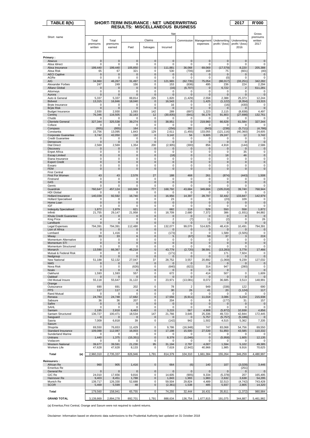| TABLE 8(h)                                             | SHORT-TERM INSURANCE : NET UNDERWRITING | 2017                  | <b>R'000</b>               |                        |                                |                      |                            |                         |                            |                           |
|--------------------------------------------------------|-----------------------------------------|-----------------------|----------------------------|------------------------|--------------------------------|----------------------|----------------------------|-------------------------|----------------------------|---------------------------|
|                                                        |                                         |                       |                            |                        |                                |                      |                            |                         |                            |                           |
|                                                        |                                         |                       |                            |                        | Net                            |                      |                            |                         |                            | Gross                     |
| Short name                                             | Total                                   | Total                 |                            | Claims                 |                                | Commission           | Management                 | Underwriting            | Underwriting               | premiums<br>written       |
|                                                        | premiums                                | premiums              |                            |                        |                                |                      | expenses                   | profit / (loss)         | profit / (loss)            | 2017                      |
|                                                        | written                                 | earned                | Paid                       | Salvages               | Incurred                       |                      |                            |                         | 2016                       |                           |
|                                                        |                                         |                       |                            |                        |                                |                      |                            |                         |                            |                           |
| Primary:<br>Abacus                                     | 0                                       | 0                     | $\mathbf 0$                | $\mathbf 0$            | $\mathbf 0$                    | $\mathbf 0$          | $\mathbf{0}$               | $\mathbf{0}$            | $\mathbf 0$                | $\pmb{0}$                 |
| Absa Idirect                                           | 0                                       | 0                     | 0                          | 0                      | 0                              | 0                    | $\mathbf 0$                | $\mathbf 0$             | 0                          | 0                         |
| Absa Insurance<br>Absa Risk                            | 199,440<br>65                           | 199,440<br>67         | 105,850<br>321             | $\pmb{0}$<br>0         | 111,881<br>530                 | 36,068<br>(706)      | 69,069<br>168              | (17, 579)<br>75         | 8,220<br>(601)             | 205,388                   |
| <b>AECI Captive</b>                                    | $\mathbf 0$                             | $\mathbf 0$           | $\mathbf 0$                | $\bf 0$                | $\mathbf 0$                    | $\pmb{0}$            | $\mathbf 0$                | $\mathbf 0$             | $\mathbf 0$                | (40)<br>$\mathbf 0$       |
| AGRe                                                   | 0                                       | 0                     | 0                          | 0                      | 0                              | 0                    | 0                          | (0)                     | 0                          | 0                         |
| AIG<br>Alexander Forbes                                | 34,960<br>247                           | 46,267<br>249         | 31,497<br>156              | $\pmb{0}$<br>0         | 121,965<br>153                 | (62, 735)<br>(636)   | 75,054<br>495              | (88, 017)<br>236        | (33.251)<br>224            | 342,282<br>2,294          |
| <b>Allianz Global</b>                                  | 0                                       | 0                     | $\mathbf 0$                | $\pmb{0}$              | (16)                           | (6, 707)             | $\mathbf{0}$               | 6,722                   | $\overline{2}$             | 611,281                   |
| Attorneys<br>Aurora                                    | 0<br>$\mathbf 0$                        | 0<br>$\mathbf{0}$     | 0<br>$\mathbf{0}$          | 0<br>$\pmb{0}$         | 0<br>$\mathbf 0$               | 0<br>$\mathbf 0$     | 0<br>$\mathbf 0$           | 0<br>$\mathbf 0$        | $\Omega$<br>$\overline{0}$ | $\Omega$<br>$\Omega$      |
| Auto & General                                         | 5,337                                   | 5,337                 | 88,814                     | 225                    | 1,820                          | (1, 429)             | 2,558                      | 2,388                   | 25,373                     | 12,244                    |
| <b>Bidvest</b>                                         | 13,315<br>0                             | 16,846<br>0           | 18,040<br>$\mathbf 0$      | $\pmb{0}$<br>0         | 16,543<br>16                   | 0<br>0               | 1,425<br>$\mathbf 0$       | (1, 122)                | (8, 354)                   | 13,315<br>$\Omega$        |
| Bryte Insurance<br><b>Bryte Risk</b>                   | 0                                       | 0                     | $\mathbf 0$                | $\pmb{0}$              | $\mathbf 0$                    | $\mathbf 0$          | 0                          | (16)<br>0               | (430)<br>0                 | 0                         |
| <b>Budget Insurance</b>                                | 2,930                                   | 2,930                 | 1,093                      | 142                    | 289                            | (697)                | 1,223                      | 2,115                   | (8, 838)                   | 4,497                     |
| Centriq<br>Chubb                                       | 76,346<br>0                             | 116,505<br>0          | 32,163<br>0                | 12<br>$\bf 0$          | (30, 835)<br>0                 | (641)<br>0           | 56,178<br>$\Omega$         | 91,803<br>$\Omega$      | (27, 698)<br>$\Omega$      | 132,761<br>0              |
| <b>Clientele General</b>                               | 327,344                                 | 325,538               | 39.274                     | $\pmb{0}$              | 38,951                         | $\mathbf 0$          | 219,960                    | 66,628                  | 61,584                     | 327,344                   |
| Coface<br>Compass                                      | 0<br>(955)                              | 0<br>(955)            | $\mathbf 0$<br>164         | 0<br>$\bf{0}$          | 0<br>(256)                     | 0<br>382             | $\mathbf 0$<br>(843)       | 0<br>(238)              | O<br>(5,711)               | $\Omega$<br>(4,786)       |
| Constantia                                             | 15,756                                  | 13,095                | 1,843                      | 129                    | 2,611                          | (1, 455)             | 133,055                    | (121, 116)              | (40, 360)                  | 24,605                    |
| Corporate Guarantee                                    | 3,742                                   | 42,050                | 132                        | $\pmb{0}$              | 3,142                          | 56                   | 9,605                      | 29,247                  | 12                         | 3,742                     |
| <b>Credit Guarantee</b><br>Densecure                   | 0<br>0                                  | 0<br>0                | 0<br>$\mathbf 0$           | $\bf 0$<br>$\pmb{0}$   | 0<br>0                         | 0<br>$\pmb{0}$       | 0<br>$\mathbf 0$           | 0<br>0                  | 0<br>0                     | 0<br>0                    |
| <b>Dial Direct</b>                                     | 2,569                                   | 2,569                 | 1,354                      | 200                    | (2,905)                        | (300)                | 856                        | 4,918                   | (144)                      | 2,586                     |
| <b>Discovery</b><br><b>Enpet Africa</b>                | 0<br>0                                  | 0<br>0                | $\mathbf 0$<br>0           | $\mathbf 0$<br>0       | 0<br>0                         | 0<br>0               | 0<br>0                     | 0<br>0                  | $\mathbf 0$<br>35          | $\mathbf 0$<br>0          |
| <b>Escap Limited</b>                                   | 0                                       | 0                     | $\mathbf 0$                | $\pmb{0}$              | (18)                           | $\mathbf{0}$         | 0                          | 18                      | 46                         | $\pmb{0}$                 |
| Etana Insurance                                        | $\mathbf 0$                             | 0                     | $\mathbf 0$                | 0                      | 0                              | 0                    | $\mathbf 0$                | $\mathbf 0$             | $\mathbf 0$                | 0                         |
| <b>Export Credit</b><br>Exxaro                         | 0<br>0                                  | 0<br>0                | $\mathbf 0$<br>0           | $\pmb{0}$<br>0         | $\pmb{0}$<br>0                 | $\pmb{0}$<br>0       | 0<br>0                     | 0<br>0                  | $\mathbf 0$<br>0           | $\mathbf 0$<br>0          |
| <b>FEM</b>                                             | $\mathbf 0$                             | $\mathbf 0$           | $\mathbf 0$                | $\bf 0$                | $\mathbf 0$                    | $\mathbf{0}$         | 0                          | 0                       | 0                          | $\pmb{0}$                 |
| <b>First Central</b><br>First For Women                | 43                                      | 43                    | 2,578                      | 27                     | 188                            | 468                  | 261                        | (874)                   | (443)                      | 1,508                     |
| Firstrand                                              | $\mathbf 0$                             | $\mathbf 0$           | $\mathbf 0$                | $\bf 0$                | 0                              | $\mathbf 0$          | 0                          | 0                       | $\mathbf 0$                | 0                         |
| G4S<br>Genric                                          | 0<br>0                                  | 0<br>0                | $\mathbf 0$<br>0           | $\pmb{0}$<br>0         | $\mathbf{0}$<br>0              | $\pmb{0}$<br>0       | 0<br>0                     | 0<br>0                  | 0<br>0                     | $\mathbf 0$<br>0          |
| Guardrisk                                              | 760,647                                 | 457,124               | 163,969                    | 777                    | 168,792                        | 43,684               | 349,666                    | (105, 018)              | 39,740                     | 768,944                   |
| <b>HDI Global</b>                                      | 0                                       | 0                     | 0                          | 0                      | 0                              | 0                    | 0                          | 0                       | 0                          |                           |
| <b>Hollard Insurance</b><br><b>Hollard Specialised</b> | 140,039<br>0                            | 92,592<br>0           | 16,740<br>$\mathbf 0$      | $\pmb{0}$<br>0         | 16,956<br>23                   | 14,397<br>0          | 28,797<br>0                | 32,442<br>(23)          | 133,847<br>109             | 142,979<br>0              |
| Home Loan                                              | 0                                       | 0                     | $\pmb{0}$                  | $\pmb{0}$              | $\mathbf 0$                    | 0                    | $\bf{0}$                   | $\bf{0}$                | 0                          | $\mathbf 0$               |
| IGF<br><b>Indequity Specialised</b>                    | 0<br>1,872                              | 0<br>1,879            | 0<br>621                   | 0<br>$\pmb{0}$         | 0<br>682                       | 0<br>118             | 0<br>529                   | 0<br>550                | 0<br>558                   | 0<br>1,872                |
| Infiniti                                               | 21,755                                  | 29,147                | 21,958                     | 0                      | 18,709                         | 2,680                | 7,372                      | 386                     | (1, 931)                   | 84,882                    |
| Khula Credit Guarantee                                 | 0                                       | 0                     | $\mathbf 0$                | 0                      | $\mathbf{0}$                   | $\mathbf{0}$         | $\mathbf{0}$               | $\mathbf{0}$            | 0                          | $\mathbf 0$               |
| King Price<br>Landbank                                 | 4<br>$\mathbf 0$                        | 4<br>$\mathbf 0$      | $\mathbf 0$<br>$\mathbf 0$ | 0<br>$\bf 0$           | $\overline{2}$<br>$\mathbf{0}$ | (7)<br>$\mathbf{0}$  | 11<br>$\mathbf{0}$         | (2)<br>$\Omega$         | 0<br>$\overline{0}$        | 26<br>0                   |
| <b>Legal Expenses</b>                                  | 794,391                                 | 794,391               | 112,480                    | 0                      | 132,077                        | 99,070               | 514,825                    | 48,419                  | 10,491                     | 794,391                   |
| Lion of Africa<br>Lombard                              | 0<br>0                                  | $\Omega$<br>1,416     | $\pmb{0}$<br>0             | $\pmb{0}$<br>0         | $\mathbf 0$<br>(173)           | $\mathbf{0}$<br>0    | $\mathbf{0}$<br>0          | $\mathbf 0$<br>1,589    | $\overline{0}$<br>(3, 505) | $\pmb{0}$<br>0            |
| Miway                                                  | 33                                      | 33                    | 6                          | $\pmb{0}$              | 5                              | (67)                 | 59                         | 37                      | 3                          | 219                       |
| Momentum Alternative<br>Momentum STI                   | 0<br>0                                  | 0<br>0                | $\mathbf 0$<br>$\mathbf 0$ | 0<br>$\bf 0$           | 0<br>$\mathbf 0$               | 0<br>$\pmb{0}$       | $\mathbf 0$<br>$\mathbf 0$ | $\mathbf 0$<br>0        | $\mathbf 0$<br>0           | $\Omega$<br>$\mathbf 0$   |
| Momentum Structured                                    | 0                                       | 0                     | 0                          | 0                      | 0                              | 0                    | 0                          | 0                       | 0                          | 0                         |
| Monarch                                                | 13.590                                  | 66,367                | 45,218                     | 0                      | 43,779                         | (2,720)              | 38,591                     | (13, 283)               | 3,778                      | 17,466<br>n               |
| Mutual & Federal Risk<br>Nedgroup                      | 0                                       | $\pmb{0}$             | $\pmb{0}$                  | 0<br>$\pmb{0}$         | (171)<br>0                     | $\pmb{0}$            | $\pmb{0}$                  | 171<br>$\mathbf 0$      | 7,924<br>$\mathbf 0$       | $\mathbf 0$               |
| New National                                           | 51,188                                  | 52,132                | 27,047                     | 37                     | 28,752                         | 3,557                | 20,892                     | (1,069)                 | 9,239                      | 127,032                   |
| <b>NMS</b><br>Nova Risk                                | 0<br>0                                  | 0<br>0                | $\mathbf 0$<br>(626)       | $\pmb{0}$<br>0         | 0<br>(640)                     | 0<br>(622)           | 0<br>314                   | $\Omega$<br>947         | $\Omega$<br>(280)          | $\pmb{0}$<br>0            |
| Nzalo                                                  | 0                                       | 0                     | $\mathbf 0$                | 0                      | $\pmb{0}$                      | $\pmb{0}$            | $\mathbf 0$                | 0                       |                            | $\mathbf 0$               |
| Oakhurst<br>Oakleaf                                    | 1,593<br>0                              | 1,593<br>0            | 557<br>$\mathbf 0$         | 0<br>$\pmb{0}$         | 672<br>0                       | 0<br>0               | 414<br>$\mathbf 0$         | 507<br>0                | $\mathbf 0$<br>0           | 1,609                     |
| Old Mutual Insure                                      | 55,118                                  | 55,647                | 31,122                     | 0                      | 23,971                         | (13,081)             | 8,072                      | 36,685                  | 3,513                      | 148,991                   |
| Orange<br>Outsurance                                   | 690                                     | 691                   | 202                        | 0                      | 78                             | $\overline{2}$       | 949                        | (338)                   | 122                        | 690                       |
| <b>PPS</b>                                             | 117                                     | 117                   | $\overline{4}$             | $\mathbf 0$            | 30                             | 26                   | 41                         | 20                      | (1, 124)                   | 117                       |
| Rand Mutual                                            | 0<br>24,783                             | 0<br>24,748           | $\mathbf 0$<br>17,682      | 0                      | 0                              | $\Omega$<br>(6, 911) | $\Omega$<br>11,018         | $\Omega$<br>3,086       | $\Omega$                   | 0<br>215,938              |
| Renasa<br>Sabsure                                      | 36                                      | 36                    | 207                        | 0<br>0                 | 17,556<br>204                  | 0                    | 8                          | (177)                   | 5,154<br>31                | 157                       |
| Safire                                                 | $\mathbf{0}$                            | $\mathbf 0$           | $\mathbf 0$                | $\pmb{0}$              | $\pmb{0}$                      | $\mathbf 0$          | $\mathbf 0$                | 0                       | $\mathbf 0$                | $\overline{0}$            |
| SAHL<br>Santam                                         | $\mathbf 0$<br>2,195                    | $\mathbf 0$<br>2,818  | $\pmb{0}$<br>6,463         | $\bf 0$<br>$\mathbf 0$ | $\mathbf 0$<br>3,215           | 0<br>567             | 0<br>4,908                 | 0<br>(5, 872)           | 0<br>10,938                | 0<br>4,856                |
| Santam Structured                                      | 136,727                                 | 100,471               | 18,534                     | 147                    | 21,766                         | 3,645                | 25,336                     | 49,723                  | 42,844                     | 172,445                   |
| Sasguard<br>Sasria                                     | 0<br>7,009                              | 0<br>6,818            | $\mathbf 0$<br>39          | $\pmb{0}$<br>0         | 0<br>(142)                     | 0<br>942             | 5,757<br>1,502             | (5, 757)<br>4,515       | (5, 186)<br>5,362          | 0<br>7,335                |
| Saxum                                                  |                                         |                       |                            |                        |                                |                      |                            |                         |                            |                           |
| Shoprite                                               | 69,550<br>109,088                       | 76,653<br>112,087     | 11,429<br>16,003           | $\pmb{0}$              | 9,786<br>17,198                | (16, 948)<br>15,500  | 747<br>27,539              | 83,068<br>51,850        | 54,756<br>43,585           | 69,550<br>110,332         |
| Standard Insurance<br>Sunderland Marine                | 0                                       | $\mathbf 0$           | 0                          | 0<br>0                 | 0                              | 0                    | 0                          | $\Omega$                | $\mathbf 0$                | $\Omega$                  |
| Unitrans                                               | 1,440                                   | 1,375                 | (15, 351)                  | $\pmb{0}$              | 8,379                          | (1,046)              | 0                          | (5,958)                 | 1,605                      | 12,135                    |
| Vodacom<br><b>Western National</b>                     | 0<br>39,677                             | 0<br>39,591           | 0<br>21,230                | 0<br>95                | 0<br>31,194                    | 0<br>2,797           | 0<br>4,007                 | 0<br>1,594              | 0<br>5,102                 | 0<br>49,385               |
| Workers Life                                           | 47,628                                  | 47,628                | 8,133                      | 0                      | 7,619                          | (2, 942)             | 40,966                     | 1,985                   | 9,916                      | 70,625                    |
| Total<br>(a)                                           | 2,960,310                               | 2,735,337             | 826,946                    | 1,791                  | 814,379                        | 104,310              | 1,661,384                  | 155,264                 | 346,259                    | 4,480,997                 |
| <b>Reinsurers:</b>                                     |                                         |                       |                            |                        |                                |                      |                            |                         |                            |                           |
| African Re                                             | 960                                     | 905                   | 1,416                      | $\bf 0$                | 664                            | (6)                  | 140                        | 107                     | (3,028)                    | 3,446                     |
| <b>Emeritus Re</b>                                     |                                         |                       |                            |                        |                                |                      |                            |                         | (251)                      |                           |
| General Re<br>GIC Re                                   | $\mathbf{0}$<br>24,010                  | $\mathbf 0$<br>17,656 | $\mathbf 0$<br>9,816       | $\pmb{0}$<br>0         | $\mathbf 0$<br>14,605          | $\mathbf 0$<br>(905) | $\mathbf 0$<br>9,334       | $\mathbf 0$<br>(5, 378) | $\mathbf 0$<br>207         | $\overline{0}$<br>165,495 |
| Hannover Re                                            | 9,403                                   | 8,451                 | 1,788                      | $\pmb{0}$              | 1,843                          | 1,993                | 1,983                      | 2,632                   | 3,638                      | 54,295                    |
| Munich Re<br><b>SCOR</b>                               | 139,717<br>5,469                        | 126,330<br>5,599      | 52,688<br>48               | 0<br>$\pmb{0}$         | 59,504<br>(2, 361)             | 29,824<br>1,538      | 4,489<br>485               | 32,513<br>5,937         | (4, 742)<br>2,805          | 743,428<br>14,320         |
| Total                                                  | 179,560                                 | 158,941               | 65,755                     | 0                      | 74,255                         | 32,444               | 16,431                     | 35,811                  | (1, 372)                   | 980,984                   |
|                                                        |                                         |                       |                            |                        |                                |                      |                            |                         |                            |                           |
| <b>GRAND TOTAL</b>                                     | 3,139,869                               | 2,894,278             | 892,701                    | 1,791                  | 888,634                        | 136,754              | 1,677,815                  | 191,075                 | 344,887                    | 5,461,982                 |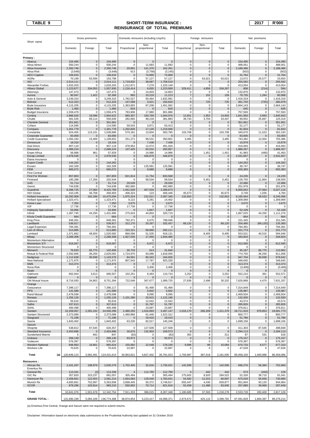# TABLE 9 SHORT-TERM INSURANCE : 2017 R'000  **REINSURANCE OF TOTAL PREMIUMS**

|                                                | Gross premiums          |                            |                         | Domestic reinsurers (including Lloyd's) |                          |                          | Foreign reinsurers         |                            | Net premiums               |                         |                                    |                       |
|------------------------------------------------|-------------------------|----------------------------|-------------------------|-----------------------------------------|--------------------------|--------------------------|----------------------------|----------------------------|----------------------------|-------------------------|------------------------------------|-----------------------|
| Short name                                     |                         |                            |                         |                                         | Non-                     |                          |                            | Non-                       |                            |                         |                                    |                       |
|                                                | Domestic                | Foreign                    | Total                   | Proportional                            | proportional             | Total                    | Proportional               | proportional               | Total                      | Domestic                | Foreign                            | Total                 |
| Primary:                                       |                         |                            |                         |                                         |                          |                          |                            |                            |                            |                         |                                    |                       |
| Abacus<br>Absa Idirect                         | 154,495<br>500,244      | $\mathbf 0$<br>$\mathbf 0$ | 154,495<br>500,244      | $\mathbf 0$<br>$\Omega$                 | $\Omega$<br>11,683       | $\mathbf{0}$<br>11,683   | $\mathbf 0$<br>$\Omega$    | $\pmb{0}$<br>0             | $\mathbf 0$<br>$\mathbf 0$ | 154,495<br>488,561      | $\pmb{0}$<br>0                     | 154,495<br>488,561    |
| Absa Insurance                                 | 2,350,748               | $\mathbf 0$                | 2,350,748               | 20,891                                  | 141,370                  | 162,261                  | $\mathbf 0$                | $\pmb{0}$                  | $\mathbf 0$                | 2,188,486               | 0                                  | 2,188,486             |
| Absa Risk<br><b>AECI Captive</b>               | (3,648)<br>106,633      | $\mathbf 0$<br>$\mathbf 0$ | (3,648)<br>106,633      | 613<br>$\mathbf 0$                      | (3,758)<br>74,869        | (3, 145)<br>74,869       | $\mathbf 0$<br>$\mathbf 0$ | $\mathbf 0$<br>$\bf 0$     | $\mathbf 0$<br>$\mathbf 0$ | (502)<br>31,764         | 0<br>$\mathsf{O}\xspace$           | (502)<br>31,764       |
| AGRe                                           | 70,199                  | 83,599                     | 153,798                 | 0                                       | 57,127                   | 57,127                   | 0                          | 63,021                     | 63,021                     | 13,072                  | 20,577                             | 33,650                |
| AIG<br>Alexander Forbes                        | 2,014,111<br>1,633,203  | $\mathbf 0$<br>$\mathbf 0$ | 2,014,111<br>1,633,203  | 1,719,832<br>1,212,871                  | 38,687<br>7,279          | 1,758,519<br>1,220,149   | $\pmb{0}$<br>$\mathbf 0$   | $\mathbf 0$<br>$\pmb{0}$   | $\mathbf 0$<br>$\mathsf 0$ | 255,592<br>413,054      | $\bf 0$<br>$\pmb{0}$               | 255,592<br>413,054    |
| <b>Allianz Global</b>                          | 1,223,877               | 334,053                    | 1,557,930               | 1,216,414                               | 6,655                    | 1,223,069                | 329.411                    | 4,856                      | 334,267                    | 808                     | (214)                              | 594                   |
| Attorneys                                      | 147,473                 | $\mathbf 0$                | 147,473                 | $\Omega$                                | 14,603                   | 14,603                   | 0                          | 0                          | $\mathbf 0$                | 132,870                 | $\mathbf 0$                        | 132,870               |
| Aurora<br>Auto & General                       | 90,947<br>3,249,310     | 1,422<br>$\mathbf 0$       | 92,369<br>3,249,310     | 993<br>1,782,527                        | 10,219<br>50,464         | 11,213<br>1,832,991      | 7<br>0                     | 152<br>0                   | 159<br>$\Omega$            | 79,735<br>1,416,319     | 1,264<br>0                         | 80,998<br>1,416,319   |
| <b>Bidvest</b>                                 | 512,323                 | $\mathbf 0$                | 512,323                 | 147,099                                 | 3,521                    | 150,620                  | $\mathbf 0$                | 725                        | 725                        | 361,703                 | (725)                              | 360,978               |
| Bryte Insurance<br><b>Bryte Risk</b>           | 4,115,205<br>1,460      | $\mathbf 0$<br>$\mathbf 0$ | 4,115,205<br>1,460      | 1,363,855<br>816                        | 87,208<br>$\mathbf 0$    | 1,451,062<br>816         | $\Omega$<br>$\mathbf 0$    | 0<br>$\pmb{0}$             | $\mathbf 0$<br>$\mathbf 0$ | 2,664,143<br>645        | $\mathbf 0$<br>0                   | 2,664,143<br>645      |
| <b>Budget Insurance</b>                        | 1,559,479               | $\mathbf 0$                | 1,559,479               | 783,906                                 | 17,980                   | 801,886                  | $\Omega$                   | 0                          | $\Omega$                   | 757,593                 | 0                                  | 757,593               |
| Centriq<br>Chubb                               | 2,886,026<br>481,535    | 18,596<br>69,114           | 2,904,622<br>550,649    | 860,307<br>282,665                      | 183,769<br>99,218        | 1,044,076<br>381,883     | 12,651<br>39,743           | 1,952<br>3,704             | 14,603<br>43,447           | 1,841,950<br>99,652     | 3,993<br>25,667                    | ,845,943<br>125,319   |
| <b>Clientele General</b>                       | 351,661                 | $\mathbf 0$                | 351,661                 | $\Omega$                                | $\mathbf 0$              | $\Omega$                 | $\mathbf 0$                | $\pmb{0}$                  | $\mathbf 0$                | 351,661                 | $\bf 0$                            | 351,661               |
| Coface<br>Compass                              | 114,590<br>1,301,779    | $\mathbf 0$<br>$\mathbf 0$ | 114,590<br>1,301,779    | 59,542<br>1,202,826                     | 3,871<br>17,120          | 63,413<br>1,219,946      | $\mathbf 0$<br>$\mathbf 0$ | 0<br>$\pmb{0}$             | $\mathbf 0$<br>$\mathbf 0$ | 51,177<br>81,833        | $\mathbf 0$<br>0                   | 51,177<br>81,833      |
| Constantia                                     | 924,455                 | 115,231                    | 1,039,686               | 570,181                                 | 13,604                   | 583,785                  | 103,708                    | 0                          | 103.708                    | 340.670                 | 11,523                             | 352,193               |
| Corporate Guarantee                            | 83,000                  | $\mathbf 0$<br>15,469      | 83,000<br>1,109,652     | $\Omega$<br>251,271                     | $\overline{0}$           | $\Omega$<br>350,801      | $\Omega$<br>3,465          | $\pmb{0}$<br>$\pmb{0}$     | $\Omega$<br>3,465          | 83,000                  | $\pmb{0}$<br>12,004                | 83,000<br>755,386     |
| <b>Credit Guarantee</b><br>Densecure           | 1,094,183<br>18,316     | $\mathbf 0$                | 18,316                  | $\Omega$                                | 99,531<br>7,438          | 7,438                    | $\mathbf 0$                | $\pmb{0}$                  | $\pmb{0}$                  | 743,382<br>10,878       | $\pmb{0}$                          | 10,878                |
| <b>Dial Direct</b>                             | 907,119                 | $\mathbf 0$                | 907,119                 | 478,952                                 | 12,074                   | 491,026                  | $\Omega$                   | $\mathbf 0$                | $\mathbf 0$                | 416,093                 | $\mathbf 0$                        | 416,093               |
| Discovery<br><b>Enpet Africa</b>               | 2,089,224<br>56,968     | $\pmb{0}$<br>961           | 2,089,224<br>57,929     | 137,425<br>0                            | 63,532<br>14,986         | 200,957<br>14,986        | 0<br>0                     | $\pmb{0}$<br>1,451         | $\pmb{0}$<br>1,451         | 1,888,267<br>41,983     | $\mathbf 0$<br>(490)               | 1,888,267<br>41,493   |
| <b>Escap Limited</b>                           | 2,978,536               | $\mathbf 0$                | 2,978,536               | $\Omega$                                | 446,879                  | 446,879                  | $\mathbf 0$                | $\pmb{0}$                  | $\pmb{0}$                  | 2,531,657               | $\mathbf 0$                        | 2,531,657             |
| Etana Insurance<br><b>Export Credit</b>        | $\Omega$<br>144,262     | $\mathbf 0$<br>$\pmb{0}$   | 0<br>144,262            | $\mathbf 0$<br>$\mathbf 0$              | $\mathbf 0$<br>$\pmb{0}$ | $\mathbf 0$<br>$\pmb{0}$ | $\mathbf 0$<br>0           | $\pmb{0}$<br>$\pmb{0}$     | $\mathbf 0$<br>$\pmb{0}$   | 0<br>144,262            | $\mathsf 0$<br>$\mathsf{O}\xspace$ | $\Omega$<br>144,262   |
| Exxaro                                         | 162,328                 | $\mathbf 0$                | 162,328                 | $\mathbf 0$                             | 125,581                  | 125,581                  | $\mathbf 0$                | $\mathbf 0$                | $\mathbf 0$                | 36,747                  | $\mathbf 0$                        | 36,747                |
| <b>FEM</b><br><b>First Central</b>             | 665,072                 | $\mathbf 0$                | 665,072                 | $\Omega$                                | 9,689                    | 9,689                    | $\mathbf 0$                | $\bf 0$                    | $\pmb{0}$                  | 655,383                 | $\pmb{0}$                          | 655,383               |
| First For Women                                | 857,803                 | $\mathbf 0$                | 857,803                 | 821,814                                 | 11,754                   | 833,568                  | $\mathbf 0$                | $\overline{0}$             | $\mathbf 0$                | 24,235                  | $\mathbf 0$                        | 24,235                |
| Firstrand                                      | 185,288                 | 17,256                     | 202,544                 | $\mathbf 0$                             | 58,534                   | 58,534                   | $\mathbf 0$                | 5,451                      | 5,451                      | 126,755                 | 11,804                             | 138,559               |
| G4S<br>Genric                                  | 51,714<br>744,638       | $\mathbf 0$<br>$\mathbf 0$ | 51,714<br>744,638       | 29,028<br>492,660                       | $\pmb{0}$<br>$\Omega$    | 29,028<br>492,660        | $\mathbf 0$<br>0           | $\pmb{0}$<br>0             | $\mathbf 0$<br>0           | 22,686<br>251,978       | $\pmb{0}$<br>0                     | 22,686<br>251,978     |
| Guardrisk                                      | 8,398,725               | 27,064                     | 8,425,789               | 1,941,639                               | 457,034                  | 2,398,673                | 0                          | $\pmb{0}$                  | $\pmb{0}$                  | 6,000,052               | 27,064                             | 6,027,116             |
| <b>HDI Global</b><br><b>Hollard Insurance</b>  | 410,195<br>10,282,908   | 46,708<br>192,186          | 456,903<br>10,475,094   | 406,323<br>1,875,324                    | 123<br>222,021           | 406,446<br>2,097,345     | 45,673<br>132,653          | 0<br>$\overline{0}$        | 45,673<br>132,653          | 3,749<br>8,185,564      | 1,035<br>59,533                    | 4,784<br>8,245,096    |
| <b>Hollard Specialised</b>                     | 1,323,471               | $\mathbf 0$                | 1,323,471               | 9,122                                   | 5,281                    | 14,402                   | $\mathbf 0$                | $\mathbf 0$                | $\mathbf 0$                | 1,309,069               | $\mathbf 0$                        | 1,309,069             |
| Home Loan<br>IGF                               | 7,350<br>17,736         | $\mathbf 0$<br>$\mathbf 0$ | 7,350<br>17,736         | 3,675<br>17,736                         | $\mathbf 0$<br>0         | 3,675<br>17,736          | $\mathbf 0$<br>$\Omega$    | $\pmb{0}$<br>0             | $\pmb{0}$<br>0             | 3,675<br>0              | $\mathsf{O}\xspace$<br>0           | 3,675<br>0            |
| <b>Indequity Specialised</b>                   | 53,956                  | $\mathbf 0$                | 53,956                  |                                         | 1,847                    | 1,847                    | $\mathbf 0$                | $\pmb{0}$                  | $\pmb{0}$                  | 52,109                  | $\mathbf 0$                        | 52,109                |
| Infiniti<br>Khula Credit Guarantee             | 1,387,745<br>664        | 44,250<br>$\mathbf 0$      | 1,431,995<br>664        | 275,916                                 | 44,803<br>$\mathbf 0$    | 320,719                  | 0<br>$\mathbf 0$           | 0<br>$\overline{0}$        | $\mathbf 0$<br>$\pmb{0}$   | 1,067,025<br>664        | 44,250<br>$\mathbf 0$              | 1,111,276<br>664      |
| <b>King Price</b>                              | 949,391                 | $\mathbf 0$                | 949,391                 | 792,371                                 | 5,675                    | 798,046                  | $\mathbf 0$                | 0                          | $\mathbf 0$                | 151,345                 | $\mathbf 0$                        | 151,345               |
| Landbank                                       | 536,917<br>794,391      | $\mathbf 0$<br>$\mathbf 0$ | 536,917<br>794,391      | 312,170<br>0                            | 20,267<br>$\mathbf 0$    | 332,437<br>$\Omega$      | 69,120<br>$\mathbf 0$      | $\pmb{0}$<br>0             | 69,120<br>0                | 204,480<br>794,391      | (69, 120)<br>$\mathbf 0$           | 135,360               |
| Legal Expenses<br>Lion of Africa               | 513,885                 | $\mathbf 0$                | 513,885                 | 222,221                                 | 69,890                   | 292,111                  | 0                          | $\pmb{0}$                  | $\mathbf 0$                | 221,773                 | $\mathbf 0$                        | 794,391<br>221,773    |
| Lombard                                        | 1,471,662               | 48,920                     | 1,520,582               | 866,596                                 | 51,535                   | 918,131                  | 0                          | 8,405                      | 8,405                      | 553,531                 | 40,515                             | 594,046               |
| Miway<br>Momentum Alternative                  | 2,289,308<br>$\Omega$   | $\mathbf 0$<br>$\mathbf 0$ | 2,289,308<br>$\Omega$   | 1,927,035<br>$\mathbf 0$                | 17,450<br>$\Omega$       | 1,944,485<br>$\mathbf 0$ | 0<br>$\mathbf 0$           | $\mathbf 0$<br>$\mathbf 0$ | $\mathbf 0$<br>$\mathbf 0$ | 344,824<br>$\mathbf 0$  | $\mathbf 0$<br>$\mathbf 0$         | 344,824<br>$\Omega$   |
| Momentum STI                                   | 619,567                 | $\mathbf 0$                | 619,567                 | $\mathbf 0$                             | 6,972                    | 6,972                    | $\mathbf 0$                | $\bf 0$                    | $\mathbf 0$                | 612,595                 | $\pmb{0}$                          | 612,595               |
| Momentum Structured<br>Monarch                 | 0<br>76,833             | $\mathbf 0$<br>65,775      | 0<br>142,608            | 0<br>30,733                             | 0<br>913                 | $\Omega$<br>31,646       | 0<br>$\pmb{0}$             | 0<br>$\pmb{0}$             | 0<br>$\mathbf 0$           | 0<br>45,187             | 0<br>65,775                        | $\Omega$<br>110,962   |
| Mutual & Federal Risk                          | 2,592,806               | 36,256                     | 2,629,062               | 1,724,970                               | 93,086                   | 1,818,056                | $\mathbf 0$                | $\pmb{0}$                  | $\mathsf 0$                | 774,750                 | 36,256                             | 811,006               |
| Nedgroup<br><b>New National</b>                | 1,112,638<br>1,171,975  | 30,938<br>$\mathbf 0$      | 1,143,576<br>1,171,975  | 84,591<br>807,543                       | 80,343<br>17,787         | 164,935<br>825.330       | 0<br>$\Omega$              | $\pmb{0}$<br>$\Omega$      | $\mathbf 0$<br>0           | 947,704<br>346,645      | 30,938<br>0                        | 978,642<br>346,645    |
| <b>NMS</b>                                     | 313,374                 | $\mathbf 0$                | 313,374                 | $\mathbf{0}$                            | $\pmb{0}$                | $\bf{0}$                 | $\mathbf{0}$               | $\mathbf 0$                | $\mathsf{O}\xspace$        | 313,374                 | 0                                  | 313,374               |
| Nova Risk<br>Nzalo                             | 0<br>$\mathbf 0$        | $\mathbf 0$<br>$\mathbf 0$ | 0<br>$\mathbf 0$        | 0<br>$\mathbf 0$                        | 3,406<br>$\mathbf 0$     | 3,406<br>$\mathbf 0$     | $\mathbf 0$<br>$\mathbf 0$ | 0<br>$\mathbf 0$           | $\mathbf 0$<br>$\mathbf 0$ | (3, 406)<br>$\mathbf 0$ | 0<br>$\mathbf 0$                   | (3, 406)              |
| Oakhurst                                       | 662,944                 | 3,613                      | 666,557                 | 102,251                                 | 8,483                    | 110,734                  | 3,252                      | 0                          | 3,252                      | 552,210                 | 361                                | 552,571               |
| Oakleaf<br>Old Mutual Insure                   | 8,716,593               | 34,802                     | 8,751,394               | 722.048                                 | $\mathbf 0$<br>367,677   | 1,089,725                | $\mathbf 0$<br>27,836      | $\mathbf 0$<br>2,496       | $\mathbf 0$<br>30,332      | 7,626,868               | $\mathbf 0$<br>4,470               | 7,631,337             |
| Orange                                         |                         |                            |                         |                                         |                          |                          |                            |                            |                            |                         |                                    |                       |
| Outsurance<br><b>PPS</b>                       | 7,396,117<br>141,589    | $\mathbf 0$<br>$\mathbf 0$ | 7,396,117<br>141,589    | $\mathbf 0$<br>0                        | 81,468<br>5,602          | 81,468<br>5,602          | $\mathbf 0$<br>0           | $\pmb{0}$<br>$\pmb{0}$     | $\mathbf 0$<br>$\mathbf 0$ | 7,314,649<br>135,987    | $\mathbf 0$<br>$\mathbf 0$         | 7,314,649<br>135,987  |
| Rand Mutual                                    | 2,478,599               | $\mathbf 0$                | 2,478,599               | $\Omega$                                | 9,095                    | 9,095                    | 0                          | 0                          | $\mathbf 0$                | 2,469,504               | $\mathbf 0$                        | 2,469,504             |
| Renasa<br>Sabsure                              | 1,255,126               | $\pmb{0}$                  | 1,255,126               | 1,101,280                               | 20,915                   | 1,122,196                | $\mathbf 0$                | $\pmb{0}$                  | $\mathbf 0$                | 132,930                 | 0                                  | 132,930               |
| Safire                                         | 55,616<br>337,613       | $\mathbf 0$<br>$\mathbf 0$ | 55,616<br>337,613       | 0<br>$\bf 0$                            | 12,042<br>51,787         | 12,042<br>51,787         | 0<br>$\mathbf 0$           | 0<br>$\pmb{0}$             | $\mathbf 0$<br>$\mathbf 0$ | 43,574<br>285,826       | 0<br>$\mathbf 0$                   | 43,574<br>285,826     |
| SAHL                                           | 400,498                 | $\mathsf 0$                | 400,498                 | $\mathbf 0$                             | 23,687                   | 23,687                   | $\mathbf 0$                | $\pmb{0}$                  | $\mathsf 0$                | 376,811                 | $\mathbf 0$                        | 376,811               |
| Santam<br>Santam Structured                    | 22,209,067<br>2,373,089 | 2,291,232<br>$\mathbf 0$   | 24,500,299<br>2,373,089 | 2,480,255<br>1,460,866                  | 1,016,893<br>61,446      | 3,497,147<br>1,522,312   | 1,016,170<br>$\Omega$      | 295,209<br>0               | 1,311,379<br>$\mathbf 0$   | 18,711,919<br>850,777   | 979,853<br>$\mathbf 0$             | 19,691,773<br>850,777 |
| Sasguard                                       | 71,196                  | $\mathbf 0$                | 71,196                  | 0                                       | 19,410                   | 19,410                   | $\mathbf 0$                | $\pmb{0}$                  | $\mathsf{O}\xspace$        | 51,786                  | $\mathbf 0$                        | 51,786                |
| Sasria<br>Saxum                                | 1,843,402               | $\mathbf 0$                | 1,843,402               | 63,230                                  | 82,017                   | 145,246                  | 0                          | 0                          | $\mathbf 0$                | 1,698,156               | 0                                  | 1,698,156             |
| Shoprite                                       | 538,812                 | 87,545                     | 626,357                 | $\mathbf 0$                             | 127,509                  | 127,509                  | $\mathbf 0$                | $\pmb{0}$                  | $\mathbf 0$                | 411,303                 | 87,545                             | 498,848               |
| Standard Insurance<br><b>Sunderland Marine</b> | 2,453,686<br>5          | $\mathbf 0$<br>842         | 2,453,686<br>847        | 26,670<br>(82)                          | 132,903<br>0             | 159,573<br>(82)          | 0<br>302                   | $\pmb{0}$<br>9             | $\mathbf 0$<br>311         | 2,294,113<br>87         | $\bf{0}$<br>531                    | 2,294,113<br>618      |
| Unitrans                                       | 269,130                 | $\pmb{0}$                  | 269,130                 | 93,972                                  | $\pmb{0}$                | 93,972                   | $\mathbf 0$                | $\pmb{0}$                  | $\pmb{0}$                  | 175,157                 | $\mathbf 0$                        | 175,157               |
| Vodacom                                        | 576,397                 | $\mathbf 0$                | 576,397                 | 0                                       | 0                        | 0                        | 0                          | 0<br>88                    | $\mathsf 0$                | 576,397                 | 0                                  | 576,397               |
| <b>Western National</b><br>Workers Life        | 848,963<br>70,625       | 16,661<br>$\mathbf 0$      | 865,624<br>70,625       | 155,682<br>22,997                       | 22,548<br>$\Omega$       | 178,230<br>22,997        | 9,996<br>$\Omega$          | $\mathbf 0$                | 10,084<br>$\Omega$         | 670,733<br>47,628       | 6,577<br>0                         | 677,310<br>47,628     |
| Total<br>(a)                                   | 120,849,123             | 3,582,491                  | 124,431,614             | 30,963,621                              | 4,827,402                | 35,791,023               | 1,793,987                  | 387,518                    | 2,181,505                  | 85,058,100              | 1,400,986                          | 86,459,086            |
|                                                |                         |                            |                         |                                         |                          |                          |                            |                            |                            |                         |                                    |                       |
| Reinsurers:                                    |                         |                            |                         |                                         |                          |                          |                            |                            |                            |                         |                                    |                       |
| African Re<br><b>Emeritus Re</b>               | 2,431,297               | 198,979                    | 2,630,276               | 1,702,405                               | 32,616                   | 1,735,021                | 142,595                    | $\pmb{0}$                  | 142,595                    | 696,276                 | 56,384                             | 752,660               |
| General Re                                     | 113,341                 | (2)                        | 113,339                 | 4                                       | 112,765                  | 112,769                  | $\mathbf 0$                | 442                        | 442                        | 573                     | (444)                              | 129                   |
| GIC Re<br>Hannover Re                          | 357,820<br>2,458,661    | 323,237<br>122,553         | 681,057<br>2,581,214    | 305,494<br>1,654,083                    | $\Omega$<br>129,549      | 305,494<br>1,783,631     | 275,602<br>54,582          | 8,920<br>12,315            | 284,522<br>66,897          | 52,326<br>675,029       | 38,715<br>55,656                   | 91,041<br>730,685     |
| Munich Re                                      | 4,600,661               | 752,997                    | 5,353,658               | 3,698,445                               | 50,372                   | 3,748,817                | 655,447                    | 4,430                      | 659,877                    | 851,844                 | 93,120                             | 944,964               |
| <b>SCOR</b>                                    | 879,296                 | 103,914                    | 983,210                 | 550,902                                 | 70,714                   | 621,616                  | 52,459                     | 11,486                     | 63,945                     | 257,680                 | 39,969                             | 297,649               |
| <b>Total</b>                                   | 10,841,076              | 1,501,678                  | 12,342,754              | 7,911,333                               | 396,015                  | 8,307,348                | 1,180,685                  | 37,593                     | 1,218,278                  | 2,533,728               | 283,400                            | 2,817,128             |
| <b>GRAND TOTAL:</b>                            | 131,690,199             | 5,084,169                  | 136,774,368             | 38,874,954                              | 5,223,417                | 44,098,371               | 2,974,672                  | 425,110                    | 3,399,782                  | 87,591,828              | 1,684,387                          | 89,276,214            |

(a) Emeritus,First Central, Orange and Saxum were not required to submit returns.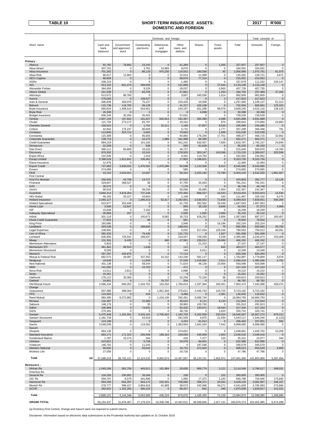# TABLE 10 SHORT-TERM INSURANCE ASSETS: 2017 | R'000 **DOMESTIC AND FOREIGN**

|                                         | Domestic and foreign         |                                     |                         |                                |                               |                          |                            |                        |                        | Total consists of          |  |
|-----------------------------------------|------------------------------|-------------------------------------|-------------------------|--------------------------------|-------------------------------|--------------------------|----------------------------|------------------------|------------------------|----------------------------|--|
| Short name                              | Cash and<br>bank<br>balances | Government<br>and approved<br>stock | Outstanding<br>premiums | Debentures<br>and<br>mortgages | Other<br>loans and<br>debtors | Shares                   | Fixed<br>assets            | Total                  | Domestic               | Foreign                    |  |
| Primary:                                |                              |                                     |                         |                                |                               |                          |                            |                        |                        |                            |  |
| Abacus                                  | 92,782                       | 78,892                              | 23,243                  | 0                              | 61,384                        | $\mathbf 0$              | 1,355                      | 257,657                | 257,657                | $\pmb{0}$                  |  |
| Absa Idirect<br>Absa Insurance          | 307,761<br>701,352           | 0<br>$\mathbf 0$                    | 3,782<br>86,129         | 14,969<br>970,230              | 8,079<br>118,552              | $\mathbf 0$<br>180,558   | 0<br>45                    | 334,591<br>2,056,866   | 334,591<br>1,975,791   | 0<br>81,075                |  |
| Absa Risk                               | 86,517                       | 12,862                              | 0                       | 0                              | 22,014                        | 11,998                   | 0                          | 133,392                | 128,721                | 4,671                      |  |
| <b>AECI Captive</b>                     | 68,859                       | $\mathbf 0$                         | 0                       | 0                              | 68,879                        | 77,314                   | $\mathbf 0$                | 215,052                | 215,052                | $\mathbf 0$                |  |
| AGRe<br>AIG                             | 336,219<br>913,102           | $\mathbf 0$<br>651,474              | 0<br>399,059            | 0<br>0                         | 1,460<br>131,869              | $\mathbf 0$<br>$\pmb{0}$ | 0<br>37,644                | 337,679<br>2,133,148   | 111,532<br>2,133,148   | 226,147<br>$\pmb{0}$       |  |
| Alexander Forbes                        | 364.565                      | 0                                   | 9,228                   | $\Omega$                       | 28,037                        | $\mathbf 0$              | 5,905                      | 407,735                | 407,735                | 0                          |  |
| <b>Allianz Global</b>                   | 161,939                      | $\mathsf{O}\xspace$                 | 83,705                  | 0                              | 47,861                        | $\overline{0}$           | 1,250                      | 294,755                | 257,489                | 37,266                     |  |
| Attorneys<br>Aurora                     | 513,672<br>278,093           | 98,760<br>0                         | 0<br>139,527            | 0<br>0                         | 3,607<br>$\mathbf 0$          | 345,556<br>$\Omega$      | 1,014<br>3                 | 962,609<br>417,623     | 962,609<br>417.623     | 0<br>$\mathbf 0$           |  |
| Auto & General                          | 496,839                      | 494,076                             | 76,107                  | 0                              | 220,420                       | 10,009                   | 0                          | 1,297,450              | 1,246,137              | 51,313                     |  |
| <b>Bidvest</b>                          | 115,736                      | 118,705                             | 36,138                  | 0                              | 41,317                        | 420,108                  | 0                          | 732,004                | 606,681                | 125,323                    |  |
| Bryte Insurance<br><b>Bryte Risk</b>    | 660,824<br>26,300            | 1,408,510<br>$\mathbf 0$            | 616,451<br>$\Omega$     | 0<br>0                         | 244,197<br>$\mathbf 0$        | 631,288<br>4,098         | 98,976<br>$\mathbf 0$      | 3,660,245<br>30,398    | 3,522,116<br>30,398    | 138,129<br>$\pmb{0}$       |  |
| <b>Budget Insurance</b>                 | 606,246                      | 30,250                              | 35,401                  | 0                              | 57,631                        | $\Omega$                 | 0                          | 729,528                | 729,528                | $\mathsf 0$                |  |
| Centriq                                 | 2,907,163                    | 197,842                             | 181,827                 | 942,813                        | 192,367                       | 265,489                  | 4,388                      | 4,691,888              | 4,691,888              | $\pmb{0}$                  |  |
| Chubb<br><b>Clientele General</b>       | 121,704<br>159,622           | 273,172<br>0                        | 83,787<br>1,741         | 0<br>15,211                    | 20,310<br>1,166               | $\Omega$<br>57,807       | 870<br>9,539               | 499,843<br>245,085     | 474,960<br>245,085     | 24,883<br>$\mathbf 0$      |  |
| Coface                                  | 42,942                       | 176,247                             | 80,609                  | 0                              | 5,715                         | 0                        | 1,777                      | 307,289                | 306,498                | 791                        |  |
| Compass                                 | 113,800                      | 323,714                             | 5,662                   | 0                              | 70,663                        | $\overline{0}$           | 1,699                      | 515,538                | 515,538                | $\mathbf 0$                |  |
| Constantia<br>Corporate Guarantee       | 115,388<br>138,710           | $\mathbf 0$<br>$\mathsf{O}\xspace$  | 95,055<br>10,275        | 0<br>1,988                     | 94,983<br>341,908             | 176,250<br>69,390        | 17,701<br>$\mathbf 0$      | 499,377<br>562,271     | 466,715<br>562,271     | 32,662<br>$\mathbf 0$      |  |
| <b>Credit Guarantee</b>                 | 684,219                      | 0                                   | 141,165                 | 0                              | 351,241                       | 632,507                  | 7,655                      | 1,816,787              | 1,792,147              | 24,640                     |  |
| Densecure<br><b>Dial Direct</b>         | 22,599<br>368,111            | $\pmb{0}$<br>84,699                 | 538<br>16,103           | 0<br>0                         | 565<br>46,727                 | 61,628<br>0              | $\mathbf 0$<br>0           | 85,330<br>515,640      | 85,330<br>500,876      | $\mathbf 0$<br>14,764      |  |
| <b>Discovery</b>                        | 979,302                      | 0                                   | 10,241                  | 0                              | 278,925                       | 303,167                  | 143,598                    | 1,715,233              | 1,389,637              | 325,596                    |  |
| <b>Enpet Africa</b>                     | 122,939                      | $\mathbf 0$                         | 1,019                   | 0                              | 4,341                         | 113,763                  | $\mathbf 0$                | 242,062                | 242,062                | 0                          |  |
| <b>Escap Limited</b><br>Etana Insurance | 5,398,029<br>12,476          | 1,612,641<br>$\Omega$               | 106,462<br>$\Omega$     | 0<br>$\Omega$                  | 17,802<br>8                   | 1,188,821<br>0           | $\mathbf 0$<br>0           | 8,323,755<br>12,484    | 8,323,755<br>12,484    | $\pmb{0}$<br>0             |  |
| <b>Export Credit</b>                    | 737,683                      | 3,630,031                           | 1,476,561               | 1,470,296                      | 90,598                        | 1,132,506                | 8,010                      | 8,545,685              | 8,545,685              | $\pmb{0}$                  |  |
| Exxaro                                  | 274,086                      | $\mathbf 0$                         | $\Omega$                | 0                              | 580                           | $\Omega$                 | 0                          | 274,665                | 274,665                | 0                          |  |
| <b>FEM</b><br><b>First Central</b>      | 43,310                       | 3,016,021                           | 10,487                  | 0                              | 59,322                        | 3,202,182                | 72,780                     | 6,404,102              | 4,542,535              | 1,861,567                  |  |
| First For Women                         | 259,925                      | 43,709                              | 19,727                  | $\pmb{0}$                      | 47,542                        | $\mathbf 0$              | $\mathsf{O}\xspace$        | 370,903                | 355,777                | 15,126                     |  |
| Firstrand<br>G4S                        | 329,847<br>39,572            | 368,527<br>$\pmb{0}$                | 58<br>$\Omega$          | 0<br>0                         | 47,755<br>7,176               | 35,054<br>$\mathbf 0$    | 0<br>$\mathbf 0$           | 781,241<br>46,748      | 781,241<br>46,748      | 0<br>$\pmb{0}$             |  |
| Genric                                  | 90,618                       | $\mathbf 0$                         | 48,250                  | 0                              | 56,099                        | 35,895                   | 1,504                      | 232,367                | 232,367                | $\mathbf 0$                |  |
| Guardrisk                               | 3,866,414                    | 3,619,264                           | 737,246                 | 0                              | 375,450                       | 896,537                  | 24,543                     | 9,519,454              | 9,503,924              | 15,530                     |  |
| <b>HDI Global</b><br>Hollard Insurance  | 46,165<br>2,060,127          | 20,227<br>0                         | 43,803<br>1,395,415     | 0<br>52,317                    | 1,109<br>2,282,661            | $\mathbf 0$<br>2,536,552 | 163<br>72,838              | 111,467<br>8,399,910   | 105,192<br>7,839,551   | 6,275<br>560,359           |  |
| <b>Hollard Specialised</b>              | 915,877                      | 253,448                             | 0                       | 0                              | 91,728                        | 392,562                  | 33,436                     | 1,687,053              | 1,687,053              | $\mathbf 0$                |  |
| Home Loan                               | 3,506                        | 13,647                              | $\Omega$                | 0                              | 893                           | 35,150                   | 8,846                      | 62,042                 | 57,073                 | 4,969                      |  |
| IGF<br><b>Indequity Specialised</b>     | 15,838<br>28,884             | $\mathbf 0$<br>257                  | 2,162<br>11             | 0<br>0                         | 209<br>2,095                  | $\Omega$<br>1,835        | 0<br>2,060                 | 18,209<br>35,142       | 18,209<br>35,142       | 0<br>$\mathbf 0$           |  |
| Infiniti                                | 301,119                      | $\mathbf 0$                         | 100,671                 | 8,062                          | 26,723                        | 618,252                  | 2,856                      | 1,057,683              | 897,277                | 160,407                    |  |
| Khula Credit Guarantee                  | 77,822                       | $\pmb{0}$                           | 99                      | $\mathbf 0$                    | 581                           | $\overline{0}$           | $\mathbf 0$                | 78,502                 | 78,502                 | $\pmb{0}$                  |  |
| King Price<br>Landbank                  | 183,080<br>293,538           | $\mathbf 0$<br>0                    | 0<br>198,694            | 0<br>0                         | 2,948<br>188,054              | 0<br>$\overline{0}$      | 16,196<br>79               | 202,224<br>680,365     | 202,224<br>659,665     | 0<br>20,700                |  |
| Legal Expenses                          | 138,991                      | $\overline{0}$                      | 0                       | 0                              | 5,032                         | 517,434                  | 129,106                    | 790,563                | 750,512                | 40,051                     |  |
| Lion of Africa<br>Lombard               | 382,333<br>635,950           | $\overline{0}$<br>726,541           | 75,436<br>196,637       | 0<br>0                         | 131,733<br>104,557            | $\mathbf 0$<br>729,259   | 1,507<br>2,538             | 591,008<br>2,395,482   | 591,008<br>2,242,074   | $\pmb{0}$<br>153,408       |  |
| Miway                                   | 131,301                      | 8,430                               | $\mathbf 0$             | 480                            | 47,981                        | 239,012                  | 39,089                     | 466,292                | 466,292                | $\pmb{0}$                  |  |
| Momentum Alternative                    | 5,833                        | 0                                   | 0                       | 0                              | $\mathbf 0$                   | 21,314                   | 0                          | 27,147                 | 27,147                 | $\mathsf 0$                |  |
| Momentum STI<br>Momentum Structured     | 361,461<br>8,593             | 99,524<br>$\mathbf 0$               | 1,636<br>0              | 0<br>$\Omega$                  | 112<br>144                    | $\mathbf 0$<br>5,611     | 843<br>$\Omega$            | 463,577<br>14,348      | 463,577<br>14,348      | $\pmb{0}$<br>0             |  |
| Monarch                                 | 297,297                      | 445,875                             | 0                       | 0                              | 77,113                        | $\mathbf 0$              | 0                          | 820,284                | 820,284                | $\pmb{0}$                  |  |
| Mutual & Federal Risk<br>Nedgroup       | 682,073<br>19,648            | 29,087<br>$\pmb{0}$                 | 337,352<br>11,839       | 10,152<br>$\mathbf 0$          | 143,106<br>37,028             | 581,117<br>1,019,892     | $\Omega$<br>2,011          | 1,782,887<br>1,090,418 | 1,779,809<br>1,085,666 | 3,078<br>4,752             |  |
| <b>New National</b>                     | 301,138                      | 0                                   | 58,244                  | 0                              | 71,624                        | 48,136                   | 23,956                     | 503,098                | 503,098                | 0                          |  |
| <b>NMS</b>                              | 141,050                      | 0                                   | 15,703                  | 0                              | 471                           | $\mathbf 0$              | 0                          | 157,224                | 157,224                | $\bf{0}$                   |  |
| Nova Risk<br>Nzalo                      | 13,511<br>15,261             | 2,813<br>$\mathbf 0$                | 0<br>$\pmb{0}$          | 0<br>0                         | 2,898<br>$\mathbf 0$          | 0<br>$\overline{0}$      | $\mathbf 0$<br>$\mathbf 0$ | 19,222<br>15,261       | 19,222<br>15,261       | $\pmb{0}$<br>$\pmb{0}$     |  |
| Oakhurst                                | 176,112                      | 33,300                              | 0                       | 0                              | 52,259                        | 72,104                   | 38                         | 333.813                | 333.813                | 0                          |  |
| Oakleaf<br>Old Mutual Insure            | 19,841<br>2,586,434          | $\Omega$<br>660,202                 | $\pmb{0}$<br>1,244,702  | 76,737<br>102,294              | 204<br>1,766,024              | $\Omega$<br>1,297,364    | $\mathbf 0$<br>245,451     | 96,782<br>7,902,472    | 96,782<br>7,442,998    | $\pmb{0}$<br>459,474       |  |
| Orange                                  |                              |                                     |                         |                                |                               |                          |                            |                        |                        |                            |  |
| Outsurance                              | 507,485                      | 398,304                             | $\Omega$                | 1,951,304                      | 275,621                       | 2,446,743                | 143,725                    | 5,723,182              | 5,723,182              | 0                          |  |
| <b>PPS</b><br>Rand Mutual               | 110,363<br>982,480           | $\mathbf 0$<br>8,272,982            | 419<br>0                | $\mathbf 0$<br>1,416,136       | 3,469<br>292,451              | $\mathbf 0$<br>6,000,744 | 2,381<br>0                 | 116,632<br>16,964,793  | 116,632<br>16,964,793  | $\pmb{0}$<br>0             |  |
| Renasa                                  | 134,387                      | $\mathsf{O}\xspace$                 | 31,689                  | $\Omega$                       | 35,523                        | 6,111                    | 5,134                      | 212,844                | 212,844                | $\pmb{0}$                  |  |
| Sabsure                                 | 148,176                      | $\mathbf 0$                         | 35                      | 0                              | 39,963                        | 103,740                  | 0<br>18,044                | 291,913                | 291,913                | $\mathsf 0$                |  |
| Safire<br>SAHL                          | 100,968<br>270,391           | $\mathbf 0$<br>$\mathbf 0$          | 74,931<br>$\Omega$      | 0<br>$\Omega$                  | 92,420<br>48,730              | 130,971<br>0             | 1,620                      | 417,334<br>320,741     | 417,334<br>320,741     | $\pmb{0}$<br>0             |  |
| Santam                                  | 5,475,448                    | 1,341,591                           | 3,343,161               | 2,700,422                      | 1,193,753                     | 5,262,009                | 230,204                    | 19,546,587             | 18,667,274             | 879,313                    |  |
| Santam Structured<br>Sasquard           | 1,181,734<br>123,198         | 0<br>$\mathsf{O}\xspace$            | 53,919<br>0             | 0<br>0                         | 281,559<br>4,253              | 4,875<br>81,012          | 21,030<br>$\mathbf 0$      | 1,543,117<br>208,463   | 1,544,240<br>207,801   | (1, 123)<br>662            |  |
| Sasria                                  | 3,548,209                    | $\mathsf 0$                         | 119,302                 | $\mathbf 0$                    | 1,383,004                     | 1,941,024                | 7,542                      | 6,999,080              | 6,999,080              | $\mathbf 0$                |  |
| Saxum                                   |                              |                                     |                         |                                |                               |                          |                            |                        |                        |                            |  |
| Shoprite<br>Standard Insurance          | 664,139<br>893,171           | 0<br>171,323                        | $\Omega$<br>205,406     | 0<br>169,163                   | 374,822<br>169,693            | 0<br>435,856             | 0<br>1,903                 | 1.038.961<br>2,046,516 | 1,028,702<br>2,046,516 | 10,259<br>$\mathbf 0$      |  |
| Sunderland Marine                       | 1,787                        | 15,174                              | 344                     | 0                              | 419                           | 7,477                    | 120                        | 25,321                 | 24,977                 | 344                        |  |
| Unitrans<br>Vodacom                     | 510,651<br>146,791           | $\mathbf 0$<br>$\mathbf 0$          | 6,758<br>11,242         | $\mathbf 0$<br>$\mathbf 0$     | 20,978<br>$\mathbf 0$         | 84,601<br>187,546        | $\mathbf 0$<br>$\mathbf 0$ | 622,988<br>345,579     | 622,988<br>345,579     | $\mathbf 0$<br>$\mathbf 0$ |  |
| <b>Western National</b>                 | 59,832                       | 0                                   | 59,042                  | 0                              | 16,715                        | 472,924                  | $\mathbf 0$                | 608,513                | 603,520                | 4,993                      |  |
| <b>Workers Life</b>                     | 27,059                       | 0                                   | $\Omega$                | 0                              | 20,728                        | 0                        | 0                          | 47,786                 | 47,786                 | 0                          |  |
| Total<br>(a)                            | 47,288,316                   | 28,732,121                          | 12,124,232              | 9,902,574                      | 12,457,937                    | 35, 133, 151             | 1,452,972                  | 147,091,305            | 141,803,900            | 5,287,404                  |  |
|                                         |                              |                                     |                         |                                |                               |                          |                            |                        |                        |                            |  |
| Reinsurers:<br>African Re               | 1,045,266                    | 562,756                             | 445,811                 | 161,984                        | 26,836                        | 868,774                  | 3,121                      | 3,114,548              | 2,766,517              | 348,031                    |  |
| <b>Emeritus Re</b>                      |                              |                                     |                         |                                |                               |                          |                            |                        |                        |                            |  |
| General Re                              | 134,293                      | 230,952                             | 28,349                  | 0                              | 158                           | $\mathbf 0$              | 153                        | 393,905                | 393,905                | $\pmb{0}$                  |  |
| GIC Re<br>Hannover Re                   | 559,707<br>564,256           | 8,579<br>653,287                    | 341,890<br>943,172      | 0<br>232,331                   | 1,995<br>708,686              | 17,372<br>306,371        | 1,243<br>20,031            | 930,786<br>3,428,134   | 754,946<br>3,081,807   | 175,840<br>346,327         |  |
| Munich Re                               | 278,777                      | 586,417                             | 2,804,616               | 41,909                         | 38,573                        | 242,096                  | 49,271                     | 4,041,659              | 3,765,993              | 275,666                    |  |
| <b>SCOR</b>                             | 283,822                      | 1,102,355                           | 490,152                 | $\mathbf 0$                    | 98,427                        | 842                      | 340                        | 1,975,938              | 1,834,917              | 141,021                    |  |
| Total                                   | 2,866,121                    | 3,144,346                           | 5,053,990               | 436,224                        | 874,675                       | 1,435,455                | 74,159                     | 13,884,970             | 12,598,085             | 1,286,885                  |  |
| <b>GRAND TOTAL</b>                      | 50, 154, 437                 | 31,876,467                          | 17,178,223              | 10,338,798                     | 13,332,612                    | 36,568,606               | 1,527,131                  | 160,976,274            | 154,401,985            | 6,574,289                  |  |

(a) Emeritus,First Central, Orange and Saxum were not required to submit returns.